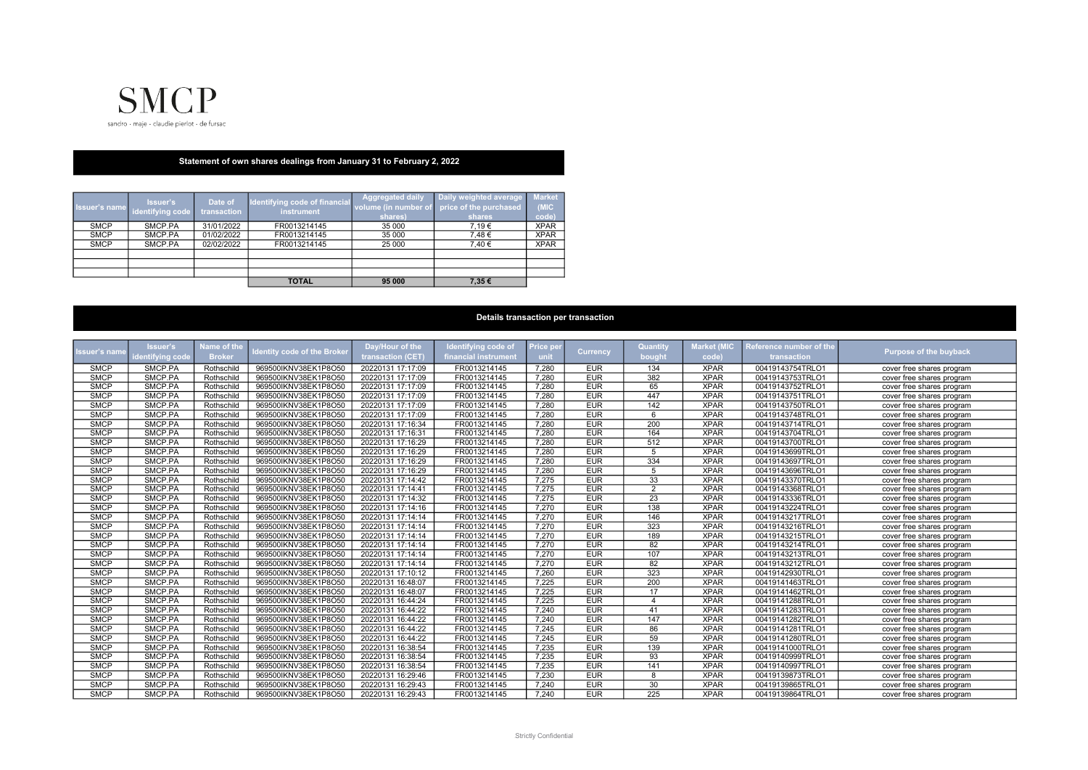

## Statement of own shares dealings from January 31 to February 2, 2022

|             | Issuer's<br>Issuer's name identifying code | Date of<br>transaction | Identifying code of financial<br>instrument | <b>Aggregated daily</b><br>volume (in number of<br>shares) | Daily weighted average<br>price of the purchased<br>shares | <b>Market</b><br>(MIC)<br>code) |
|-------------|--------------------------------------------|------------------------|---------------------------------------------|------------------------------------------------------------|------------------------------------------------------------|---------------------------------|
| <b>SMCP</b> | SMCP.PA                                    | 31/01/2022             | FR0013214145                                | 35 000                                                     | 7.19€                                                      | <b>XPAR</b>                     |
| <b>SMCP</b> | SMCP.PA                                    | 01/02/2022             | FR0013214145                                | 35 000                                                     | 7.48€                                                      | <b>XPAR</b>                     |
| <b>SMCP</b> | SMCP.PA                                    | 02/02/2022             | FR0013214145                                | 25 000                                                     | 7.40 €                                                     | <b>XPAR</b>                     |
|             |                                            |                        |                                             |                                                            |                                                            |                                 |
|             |                                            |                        |                                             |                                                            |                                                            |                                 |
|             |                                            |                        |                                             |                                                            |                                                            |                                 |
|             |                                            |                        | <b>TOTAL</b>                                | 95 000                                                     | 7.35€                                                      |                                 |

## Details transaction per transaction

|                    | Issuer's        | Name of th    |                                    | Day/Hour of the   | Identifying code of | Price pe |                 | Quantity                | <b>Market (MIC</b> | <b>Reference number of the</b> |                           |
|--------------------|-----------------|---------------|------------------------------------|-------------------|---------------------|----------|-----------------|-------------------------|--------------------|--------------------------------|---------------------------|
| <b>ssuer's nam</b> | identifying cod | <b>Broker</b> | <b>Identity code of the Broker</b> | transaction (CET) | financial instrumen | unit     | <b>Currency</b> | bought                  | code)              | transaction                    | Purpose of the buyback    |
| <b>SMCP</b>        | SMCP.PA         | Rothschild    | 969500IKNV38EK1P8O50               | 20220131 17:17:09 | FR0013214145        | 7,280    | <b>EUR</b>      | 134                     | <b>XPAR</b>        | 00419143754TRLO1               | cover free shares program |
| <b>SMCP</b>        | SMCP.PA         | Rothschild    | 969500IKNV38EK1P8O50               | 20220131 17:17:09 | FR0013214145        | 7.280    | <b>EUR</b>      | 382                     | <b>XPAR</b>        | 00419143753TRLO1               | cover free shares program |
| <b>SMCP</b>        | SMCP.PA         | Rothschild    | 969500IKNV38EK1P8O50               | 20220131 17:17:09 | FR0013214145        | 7.280    | <b>EUR</b>      | 65                      | <b>XPAR</b>        | 00419143752TRLO1               | cover free shares program |
| <b>SMCP</b>        | SMCP.PA         | Rothschild    | 969500IKNV38EK1P8O50               | 20220131 17:17:09 | FR0013214145        | 7.280    | <b>EUR</b>      | 447                     | <b>XPAR</b>        | 00419143751TRLO1               | cover free shares program |
| <b>SMCP</b>        | SMCP.PA         | Rothschild    | 969500IKNV38EK1P8O50               | 20220131 17:17:09 | FR0013214145        | 7,280    | <b>EUR</b>      | 142                     | <b>XPAR</b>        | 00419143750TRLO1               | cover free shares program |
| <b>SMCP</b>        | SMCP.PA         | Rothschild    | 969500IKNV38EK1P8O50               | 20220131 17:17:09 | FR0013214145        | 7.280    | <b>EUR</b>      | 6                       | <b>XPAR</b>        | 00419143748TRLO1               | cover free shares program |
| <b>SMCP</b>        | SMCP.PA         | Rothschild    | 969500IKNV38EK1P8O50               | 20220131 17:16:34 | FR0013214145        | 7,280    | <b>EUR</b>      | 200                     | <b>XPAR</b>        | 00419143714TRLO1               | cover free shares program |
| <b>SMCP</b>        | SMCP.PA         | Rothschild    | 969500IKNV38EK1P8O50               | 20220131 17:16:31 | FR0013214145        | 7.280    | <b>EUR</b>      | 164                     | <b>XPAR</b>        | 00419143704TRLO1               | cover free shares program |
| <b>SMCP</b>        | SMCP.PA         | Rothschild    | 969500IKNV38EK1P8O50               | 20220131 17:16:29 | FR0013214145        | 7.280    | <b>EUR</b>      | 512                     | <b>XPAR</b>        | 00419143700TRLO1               | cover free shares program |
| <b>SMCP</b>        | SMCP.PA         | Rothschild    | 969500IKNV38EK1P8O50               | 20220131 17:16:29 | FR0013214145        | 7,280    | <b>EUR</b>      | 5                       | <b>XPAR</b>        | 00419143699TRLO1               | cover free shares program |
| <b>SMCP</b>        | SMCP.PA         | Rothschild    | 969500IKNV38EK1P8O50               | 20220131 17:16:29 | FR0013214145        | 7.280    | <b>EUR</b>      | 334                     | <b>XPAR</b>        | 00419143697TRLO1               | cover free shares program |
| <b>SMCP</b>        | SMCP.PA         | Rothschild    | 969500IKNV38EK1P8O50               | 20220131 17:16:29 | FR0013214145        | 7.280    | <b>EUR</b>      | 5                       | <b>XPAR</b>        | 00419143696TRLO1               | cover free shares program |
| <b>SMCP</b>        | SMCP.PA         | Rothschild    | 969500IKNV38EK1P8O50               | 20220131 17:14:42 | FR0013214145        | 7.275    | <b>EUR</b>      | 33                      | <b>XPAR</b>        | 00419143370TRLO1               | cover free shares program |
| <b>SMCP</b>        | SMCP.PA         | Rothschild    | 969500IKNV38EK1P8O50               | 20220131 17:14:41 | FR0013214145        | 7,275    | <b>EUR</b>      | $\overline{2}$          | <b>XPAR</b>        | 00419143368TRLO1               | cover free shares program |
| <b>SMCP</b>        | SMCP.PA         | Rothschild    | 969500IKNV38EK1P8O50               | 20220131 17:14:32 | FR0013214145        | 7,275    | <b>EUR</b>      | 23                      | <b>XPAR</b>        | 00419143336TRLO1               | cover free shares program |
| <b>SMCP</b>        | SMCP.PA         | Rothschild    | 969500IKNV38EK1P8O50               | 20220131 17:14:16 | FR0013214145        | 7.270    | <b>EUR</b>      | 138                     | <b>XPAR</b>        | 00419143224TRLO1               | cover free shares program |
| <b>SMCP</b>        | SMCP.PA         | Rothschild    | 969500IKNV38EK1P8O50               | 20220131 17:14:14 | FR0013214145        | 7.270    | <b>EUR</b>      | 146                     | <b>XPAR</b>        | 00419143217TRLO1               | cover free shares program |
| <b>SMCP</b>        | SMCP.PA         | Rothschild    | 969500IKNV38EK1P8O50               | 20220131 17:14:14 | FR0013214145        | 7,270    | <b>EUR</b>      | 323                     | <b>XPAR</b>        | 00419143216TRLO1               | cover free shares program |
| <b>SMCP</b>        | SMCP.PA         | Rothschild    | 969500IKNV38EK1P8O50               | 20220131 17:14:14 | FR0013214145        | 7.270    | <b>EUR</b>      | 189                     | <b>XPAR</b>        | 00419143215TRLO1               | cover free shares program |
| <b>SMCP</b>        | SMCP.PA         | Rothschild    | 969500IKNV38EK1P8O50               | 20220131 17:14:14 | FR0013214145        | 7.270    | <b>EUR</b>      | 82                      | <b>XPAR</b>        | 00419143214TRLO1               | cover free shares program |
| <b>SMCP</b>        | SMCP.PA         | Rothschild    | 969500IKNV38EK1P8O50               | 20220131 17:14:14 | FR0013214145        | 7,270    | <b>EUR</b>      | 107                     | <b>XPAR</b>        | 00419143213TRLO1               | cover free shares program |
| <b>SMCP</b>        | SMCP.PA         | Rothschild    | 969500IKNV38EK1P8O50               | 20220131 17:14:14 | FR0013214145        | 7.270    | <b>EUR</b>      | 82                      | <b>XPAR</b>        | 00419143212TRLO1               | cover free shares program |
| <b>SMCP</b>        | SMCP.PA         | Rothschild    | 969500IKNV38EK1P8O50               | 20220131 17:10:12 | FR0013214145        | 7,260    | <b>EUR</b>      | 323                     | <b>XPAR</b>        | 00419142930TRLO1               | cover free shares program |
| <b>SMCP</b>        | SMCP.PA         | Rothschild    | 969500IKNV38EK1P8O50               | 20220131 16:48:07 | FR0013214145        | 7.225    | <b>EUR</b>      | 200                     | <b>XPAR</b>        | 00419141463TRLO1               | cover free shares program |
| <b>SMCP</b>        | SMCP.PA         | Rothschild    | 969500IKNV38EK1P8O50               | 20220131 16:48:07 | FR0013214145        | 7.225    | <b>EUR</b>      | 17                      | <b>XPAR</b>        | 00419141462TRLO1               | cover free shares program |
| <b>SMCP</b>        | SMCP.PA         | Rothschild    | 969500IKNV38EK1P8O50               | 20220131 16:44:24 | FR0013214145        | 7,225    | <b>EUR</b>      | $\overline{\mathbf{A}}$ | <b>XPAR</b>        | 00419141288TRLO1               | cover free shares program |
| <b>SMCP</b>        | SMCP.PA         | Rothschild    | 969500IKNV38EK1P8O50               | 20220131 16:44:22 | FR0013214145        | 7.240    | <b>EUR</b>      | 41                      | <b>XPAR</b>        | 00419141283TRLO1               | cover free shares program |
| <b>SMCP</b>        | SMCP.PA         | Rothschild    | 969500IKNV38EK1P8O50               | 20220131 16:44:22 | FR0013214145        | 7.240    | <b>EUR</b>      | 147                     | <b>XPAR</b>        | 00419141282TRLO1               | cover free shares program |
| <b>SMCP</b>        | SMCP.PA         | Rothschild    | 969500IKNV38EK1P8O50               | 20220131 16:44:22 | FR0013214145        | 7.245    | <b>EUR</b>      | 86                      | <b>XPAR</b>        | 00419141281TRLO1               | cover free shares program |
| <b>SMCP</b>        | SMCP.PA         | Rothschild    | 969500IKNV38EK1P8O50               | 20220131 16:44:22 | FR0013214145        | 7.245    | <b>EUR</b>      | 59                      | <b>XPAR</b>        | 00419141280TRLO1               | cover free shares program |
| <b>SMCP</b>        | SMCP.PA         | Rothschild    | 969500IKNV38EK1P8O50               | 20220131 16:38:54 | FR0013214145        | 7.235    | <b>EUR</b>      | 139                     | <b>XPAR</b>        | 00419141000TRLO1               | cover free shares program |
| <b>SMCP</b>        | SMCP.PA         | Rothschild    | 969500IKNV38EK1P8O50               | 20220131 16:38:54 | FR0013214145        | 7,235    | <b>EUR</b>      | 93                      | <b>XPAR</b>        | 00419140999TRLO1               | cover free shares program |
| <b>SMCP</b>        | SMCP.PA         | Rothschild    | 969500IKNV38EK1P8O50               | 20220131 16:38:54 | FR0013214145        | 7.235    | <b>EUR</b>      | 141                     | <b>XPAR</b>        | 00419140997TRLO1               | cover free shares program |
| <b>SMCP</b>        | SMCP.PA         | Rothschild    | 969500IKNV38EK1P8O50               | 20220131 16:29:46 | FR0013214145        | 7.230    | <b>EUR</b>      | 8                       | <b>XPAR</b>        | 00419139873TRLO1               | cover free shares program |
| <b>SMCP</b>        | SMCP.PA         | Rothschild    | 969500IKNV38EK1P8O50               | 20220131 16:29:43 | FR0013214145        | 7,240    | <b>EUR</b>      | 30                      | <b>XPAR</b>        | 00419139865TRLO1               | cover free shares program |
| <b>SMCP</b>        | SMCP.PA         | Rothschild    | 969500IKNV38EK1P8O50               | 20220131 16:29:43 | FR0013214145        | 7.240    | <b>EUR</b>      | 225                     | <b>XPAR</b>        | 00419139864TRLO1               | cover free shares program |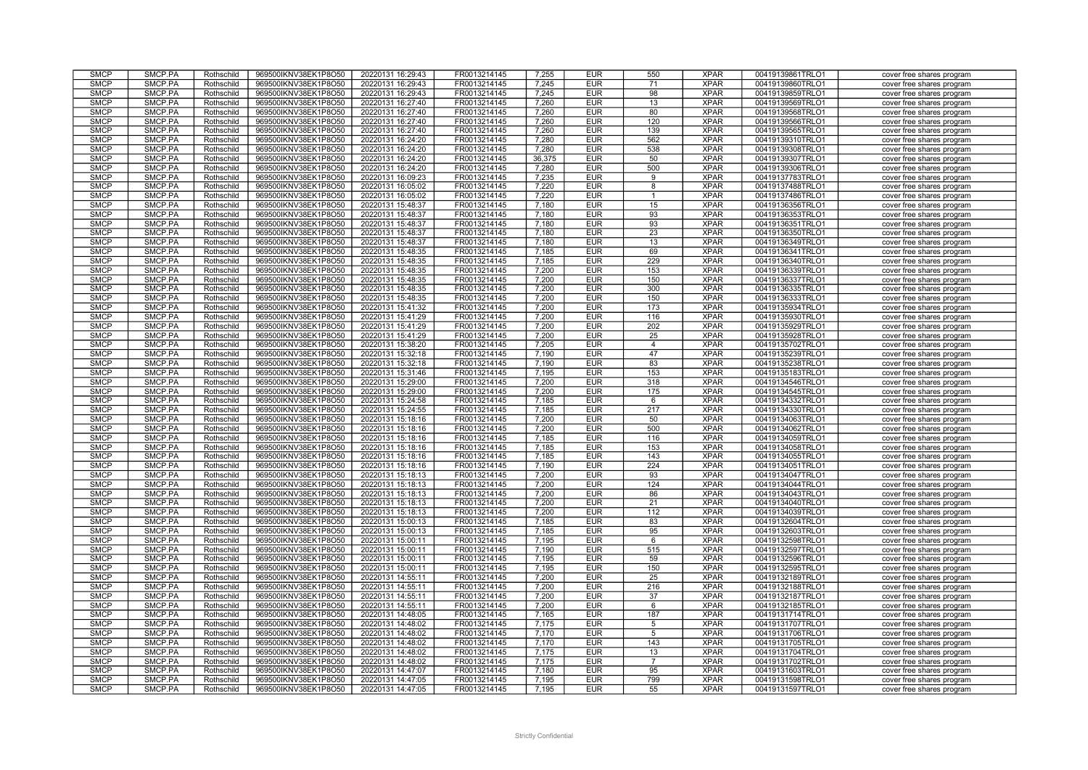| <b>SMCP</b> | SMCP.PA | Rothschild | 969500IKNV38EK1P8O50 | 20220131 16:29:43 | FR0013214145 | 7,255  | <b>EUR</b> | 550             | <b>XPAR</b> | 00419139861TRLO1 | cover free shares program |
|-------------|---------|------------|----------------------|-------------------|--------------|--------|------------|-----------------|-------------|------------------|---------------------------|
| <b>SMCP</b> | SMCP.PA | Rothschild | 969500IKNV38EK1P8O50 | 20220131 16:29:43 | FR0013214145 | 7,245  | <b>EUR</b> | 71              | <b>XPAR</b> | 00419139860TRLO1 | cover free shares program |
| <b>SMCP</b> | SMCP.PA | Rothschild | 969500IKNV38EK1P8O50 | 20220131 16:29:43 | FR0013214145 | 7,245  | <b>EUR</b> | 98              | <b>XPAR</b> | 00419139859TRLO1 | cover free shares program |
| <b>SMCP</b> | SMCP.PA | Rothschild | 969500IKNV38EK1P8O50 | 20220131 16:27:40 | FR0013214145 | 7,260  | <b>EUR</b> | 13              | <b>XPAR</b> | 00419139569TRLO1 | cover free shares program |
| <b>SMCP</b> | SMCP.PA | Rothschild | 969500IKNV38EK1P8O50 | 20220131 16:27:40 | FR0013214145 | 7,260  | <b>EUR</b> | 80              | <b>XPAR</b> | 00419139568TRLO1 |                           |
|             |         |            |                      |                   |              |        |            |                 |             |                  | cover free shares program |
| <b>SMCP</b> | SMCP.PA | Rothschild | 969500IKNV38EK1P8O50 | 20220131 16:27:40 | FR0013214145 | 7,260  | <b>EUR</b> | 120             | <b>XPAR</b> | 00419139566TRLO1 | cover free shares program |
| <b>SMCP</b> | SMCP.PA | Rothschild | 969500IKNV38EK1P8O50 | 20220131 16:27:40 | FR0013214145 | 7,260  | <b>EUR</b> | 139             | <b>XPAR</b> | 00419139565TRLO1 | cover free shares program |
| <b>SMCP</b> | SMCP.PA | Rothschild | 969500IKNV38EK1P8O50 | 20220131 16:24:20 | FR0013214145 | 7,280  | <b>EUR</b> | 562             | <b>XPAR</b> | 00419139310TRLO1 | cover free shares program |
| <b>SMCP</b> | SMCP.PA | Rothschild | 969500IKNV38EK1P8O50 | 20220131 16:24:20 | FR0013214145 | 7,280  | <b>EUR</b> | 538             | <b>XPAR</b> | 00419139308TRLO1 | cover free shares program |
| <b>SMCP</b> | SMCP.PA | Rothschild | 969500IKNV38EK1P8O50 | 20220131 16:24:20 | FR0013214145 | 36,375 | <b>EUR</b> | 50              | <b>XPAR</b> | 00419139307TRLO1 | cover free shares program |
| <b>SMCP</b> | SMCP.PA | Rothschild | 969500IKNV38EK1P8O50 | 20220131 16:24:20 | FR0013214145 | 7,280  | <b>EUR</b> | 500             | <b>XPAR</b> | 00419139306TRLO1 | cover free shares program |
| <b>SMCP</b> | SMCP.PA | Rothschild | 969500IKNV38EK1P8O50 | 20220131 16:09:23 | FR0013214145 | 7,235  | <b>EUR</b> | 9               | <b>XPAR</b> | 00419137783TRLO1 | cover free shares program |
| <b>SMCP</b> |         |            |                      |                   |              |        |            |                 | <b>XPAR</b> |                  |                           |
|             | SMCP.PA | Rothschild | 969500IKNV38EK1P8O50 | 20220131 16:05:02 | FR0013214145 | 7,220  | <b>EUR</b> | 8               |             | 00419137488TRLO1 | cover free shares program |
| <b>SMCP</b> | SMCP.PA | Rothschild | 969500IKNV38EK1P8O50 | 20220131 16:05:02 | FR0013214145 | 7,220  | <b>EUR</b> | $\mathbf{1}$    | <b>XPAR</b> | 00419137486TRLO1 | cover free shares program |
| <b>SMCP</b> | SMCP.PA | Rothschild | 969500IKNV38EK1P8O50 | 20220131 15:48:37 | FR0013214145 | 7.180  | <b>EUR</b> | 15              | <b>XPAR</b> | 00419136356TRLO1 | cover free shares program |
| <b>SMCP</b> | SMCP.PA | Rothschild | 969500IKNV38EK1P8O50 | 20220131 15:48:37 | FR0013214145 | 7,180  | <b>EUR</b> | 93              | <b>XPAR</b> | 00419136353TRLO1 | cover free shares program |
| <b>SMCP</b> | SMCP.PA | Rothschild | 969500IKNV38EK1P8O50 | 20220131 15:48:37 | FR0013214145 | 7,180  | <b>EUR</b> | $\overline{93}$ | <b>XPAR</b> | 00419136351TRLO1 | cover free shares program |
| <b>SMCP</b> | SMCP.PA | Rothschild | 969500IKNV38EK1P8O50 | 20220131 15:48:37 | FR0013214145 | 7,180  | <b>EUR</b> | 23              | <b>XPAR</b> | 00419136350TRLO1 | cover free shares program |
| <b>SMCP</b> | SMCP.PA | Rothschild | 969500IKNV38EK1P8O50 | 20220131 15:48:37 | FR0013214145 | 7,180  | <b>EUR</b> | 13              | <b>XPAR</b> | 00419136349TRLO1 | cover free shares program |
| <b>SMCP</b> | SMCP.PA | Rothschild | 969500IKNV38EK1P8O50 | 20220131 15:48:35 | FR0013214145 | 7,185  | <b>EUR</b> | 69              | <b>XPAR</b> | 00419136341TRLO1 | cover free shares program |
| <b>SMCP</b> | SMCP.PA | Rothschild | 969500IKNV38EK1P8O50 | 20220131 15:48:35 | FR0013214145 | 7,185  | <b>EUR</b> | 229             | <b>XPAR</b> | 00419136340TRLO1 | cover free shares program |
| <b>SMCP</b> | SMCP.PA | Rothschild | 969500IKNV38EK1P8O50 | 20220131 15:48:35 | FR0013214145 | 7,200  | <b>EUR</b> | 153             | <b>XPAR</b> | 00419136339TRLO1 |                           |
|             |         |            |                      |                   |              |        |            |                 |             |                  | cover free shares program |
| <b>SMCP</b> | SMCP.PA | Rothschild | 969500IKNV38EK1P8O50 | 20220131 15:48:35 | FR0013214145 | 7,200  | <b>EUR</b> | 150             | <b>XPAR</b> | 00419136337TRLO1 | cover free shares program |
| <b>SMCP</b> | SMCP.PA | Rothschild | 969500IKNV38EK1P8O50 | 20220131 15:48:35 | FR0013214145 | 7,200  | <b>EUR</b> | 300             | <b>XPAR</b> | 00419136335TRLO1 | cover free shares program |
| <b>SMCP</b> | SMCP.PA | Rothschild | 969500IKNV38EK1P8O50 | 20220131 15:48:35 | FR0013214145 | 7,200  | <b>EUR</b> | 150             | <b>XPAR</b> | 00419136333TRLO1 | cover free shares program |
| <b>SMCP</b> | SMCP.PA | Rothschild | 969500IKNV38EK1P8O50 | 20220131 15:41:32 | FR0013214145 | 7,200  | <b>EUR</b> | 173             | <b>XPAR</b> | 00419135934TRLO1 | cover free shares program |
| <b>SMCP</b> | SMCP.PA | Rothschild | 969500IKNV38EK1P8O50 | 20220131 15:41:29 | FR0013214145 | 7,200  | <b>EUR</b> | 116             | <b>XPAR</b> | 00419135930TRLO1 | cover free shares program |
| <b>SMCP</b> | SMCP.PA | Rothschild | 969500IKNV38EK1P8O50 | 20220131 15:41:29 | FR0013214145 | 7,200  | <b>EUR</b> | 202             | <b>XPAR</b> | 00419135929TRLO1 | cover free shares program |
| <b>SMCP</b> | SMCP.PA | Rothschild | 969500IKNV38EK1P8O50 | 20220131 15:41:29 | FR0013214145 | 7,200  | <b>EUR</b> | 25              | <b>XPAR</b> | 00419135928TRLO1 | cover free shares program |
| <b>SMCP</b> | SMCP.PA | Rothschild | 969500IKNV38EK1P8O50 | 20220131 15:38:20 | FR0013214145 | 7,205  | <b>EUR</b> | $\overline{4}$  | <b>XPAR</b> | 00419135702TRLO1 |                           |
|             |         |            |                      |                   |              |        |            |                 |             |                  | cover free shares program |
| <b>SMCP</b> | SMCP.PA | Rothschild | 969500IKNV38EK1P8O50 | 20220131 15:32:18 | FR0013214145 | 7,190  | <b>EUR</b> | 47              | <b>XPAR</b> | 00419135239TRLO1 | cover free shares program |
| <b>SMCP</b> | SMCP.PA | Rothschild | 969500IKNV38EK1P8O50 | 20220131 15:32:18 | FR0013214145 | 7,190  | <b>EUR</b> | 83              | <b>XPAR</b> | 00419135238TRLO1 | cover free shares program |
| <b>SMCP</b> | SMCP.PA | Rothschild | 969500IKNV38EK1P8O50 | 20220131 15:31:46 | FR0013214145 | 7,195  | <b>EUR</b> | 153             | <b>XPAR</b> | 00419135183TRLO1 | cover free shares program |
| <b>SMCP</b> | SMCP.PA | Rothschild | 969500IKNV38EK1P8O50 | 20220131 15:29:00 | FR0013214145 | 7,200  | <b>EUR</b> | 318             | <b>XPAR</b> | 00419134546TRLO1 | cover free shares program |
| <b>SMCP</b> | SMCP.PA | Rothschild | 969500IKNV38EK1P8O50 | 20220131 15:29:00 | FR0013214145 | 7.200  | <b>EUR</b> | 175             | <b>XPAR</b> | 00419134545TRLO1 | cover free shares program |
| <b>SMCP</b> | SMCP.PA | Rothschild | 969500IKNV38EK1P8O50 | 20220131 15:24:58 | FR0013214145 | 7,185  | <b>EUR</b> | 6               | <b>XPAR</b> | 00419134332TRLO1 | cover free shares program |
| <b>SMCP</b> | SMCP.PA | Rothschild | 969500IKNV38EK1P8O50 | 20220131 15:24:55 | FR0013214145 | 7,185  | <b>EUR</b> | 217             | <b>XPAR</b> | 00419134330TRLO1 | cover free shares program |
| <b>SMCP</b> | SMCP.PA | Rothschild | 969500IKNV38EK1P8O50 | 20220131 15:18:16 | FR0013214145 | 7,200  | <b>EUR</b> | 50              | <b>XPAR</b> | 00419134063TRLO1 | cover free shares program |
|             |         |            |                      |                   |              |        |            | 500             |             |                  |                           |
| <b>SMCP</b> | SMCP.PA | Rothschild | 969500IKNV38EK1P8O50 | 20220131 15:18:16 | FR0013214145 | 7,200  | <b>EUR</b> |                 | <b>XPAR</b> | 00419134062TRLO1 | cover free shares program |
| <b>SMCP</b> | SMCP.PA | Rothschild | 969500IKNV38EK1P8O50 | 20220131 15:18:16 | FR0013214145 | 7,185  | <b>EUR</b> | 116             | <b>XPAR</b> | 00419134059TRLO1 | cover free shares program |
| <b>SMCP</b> | SMCP.PA | Rothschild | 969500IKNV38EK1P8O50 | 20220131 15:18:16 | FR0013214145 | 7,185  | <b>EUR</b> | 153             | <b>XPAR</b> | 00419134058TRLO1 | cover free shares program |
| <b>SMCP</b> | SMCP.PA | Rothschild | 969500IKNV38EK1P8O50 | 20220131 15:18:16 | FR0013214145 | 7,185  | <b>EUR</b> | 143             | <b>XPAR</b> | 00419134055TRLO1 | cover free shares program |
| <b>SMCP</b> | SMCP.PA | Rothschild | 969500IKNV38EK1P8O50 | 20220131 15:18:16 | FR0013214145 | 7,190  | <b>EUR</b> | 224             | <b>XPAR</b> | 00419134051TRLO1 | cover free shares program |
| <b>SMCP</b> | SMCP.PA | Rothschild | 969500IKNV38EK1P8O50 | 20220131 15:18:13 | FR0013214145 | 7,200  | <b>EUR</b> | 93              | <b>XPAR</b> | 00419134047TRLO1 | cover free shares program |
| <b>SMCP</b> | SMCP.PA | Rothschild | 969500IKNV38EK1P8O50 | 20220131 15:18:13 | FR0013214145 | 7,200  | <b>EUR</b> | 124             | <b>XPAR</b> | 00419134044TRLO1 | cover free shares program |
| <b>SMCP</b> | SMCP.PA | Rothschild | 969500IKNV38EK1P8O50 | 20220131 15:18:13 | FR0013214145 | 7,200  | <b>EUR</b> | 86              | <b>XPAR</b> | 00419134043TRLO1 | cover free shares program |
| <b>SMCP</b> | SMCP.PA | Rothschild | 969500IKNV38EK1P8O50 | 20220131 15:18:13 | FR0013214145 | 7,200  | <b>EUR</b> | 21              | <b>XPAR</b> | 00419134040TRLO1 |                           |
|             |         |            |                      |                   |              |        |            |                 |             |                  | cover free shares program |
| <b>SMCP</b> | SMCP.PA | Rothschild | 969500IKNV38EK1P8O50 | 20220131 15:18:13 | FR0013214145 | 7.200  | <b>EUR</b> | 112             | <b>XPAR</b> | 00419134039TRLO1 | cover free shares program |
| <b>SMCP</b> | SMCP.PA | Rothschild | 969500IKNV38EK1P8O50 | 20220131 15:00:13 | FR0013214145 | 7,185  | <b>EUR</b> | 83              | <b>XPAR</b> | 00419132604TRLO1 | cover free shares program |
| <b>SMCP</b> | SMCP.PA | Rothschild | 969500IKNV38EK1P8O50 | 20220131 15:00:13 | FR0013214145 | 7,185  | <b>EUR</b> | 95              | <b>XPAR</b> | 00419132603TRLO1 | cover free shares program |
| <b>SMCP</b> | SMCP.PA | Rothschild | 969500IKNV38EK1P8O50 | 20220131 15:00:11 | FR0013214145 | 7,195  | <b>EUR</b> | 6               | <b>XPAR</b> | 00419132598TRLO1 | cover free shares program |
| <b>SMCP</b> | SMCP.PA | Rothschild | 969500IKNV38EK1P8O50 | 20220131 15:00:11 | FR0013214145 | 7,190  | <b>EUR</b> | 515             | <b>XPAR</b> | 00419132597TRLO1 | cover free shares program |
| <b>SMCP</b> | SMCP.PA | Rothschild | 969500IKNV38EK1P8O50 | 20220131 15:00:11 | FR0013214145 | 7.195  | <b>EUR</b> | 59              | <b>XPAR</b> | 00419132596TRLO1 | cover free shares program |
| <b>SMCP</b> | SMCP.PA | Rothschild | 969500IKNV38EK1P8O50 | 20220131 15:00:11 | FR0013214145 | 7,195  | <b>EUR</b> | 150             | <b>XPAR</b> | 00419132595TRLO1 | cover free shares program |
| <b>SMCP</b> | SMCP.PA | Rothschild | 969500IKNV38EK1P8O50 | 20220131 14:55:11 | FR0013214145 | 7,200  | <b>EUR</b> | 25              | <b>XPAR</b> | 00419132189TRLO1 | cover free shares program |
| <b>SMCP</b> | SMCP.PA | Rothschild | 969500IKNV38EK1P8O50 | 20220131 14:55:11 | FR0013214145 | 7,200  | <b>EUR</b> | 216             | <b>XPAR</b> | 00419132188TRLO1 | cover free shares program |
|             | SMCP.PA |            |                      |                   |              |        |            |                 |             |                  |                           |
| <b>SMCP</b> |         | Rothschild | 969500IKNV38EK1P8O50 | 20220131 14:55:11 | FR0013214145 | 7,200  | <b>EUR</b> | 37              | <b>XPAR</b> | 00419132187TRLO1 | cover free shares program |
| <b>SMCP</b> | SMCP.PA | Rothschild | 969500IKNV38EK1P8O50 | 20220131 14:55:11 | FR0013214145 | 7,200  | <b>EUR</b> | 6               | <b>XPAR</b> | 00419132185TRLO1 | cover free shares program |
| <b>SMCP</b> | SMCP.PA | Rothschild | 969500IKNV38EK1P8O50 | 20220131 14:48:05 | FR0013214145 | 7,165  | <b>EUR</b> | 187             | <b>XPAR</b> | 00419131714TRLO1 | cover free shares program |
| <b>SMCP</b> | SMCP.PA | Rothschild | 969500IKNV38EK1P8O50 | 20220131 14:48:02 | FR0013214145 | 7,175  | <b>EUR</b> | 5               | <b>XPAR</b> | 00419131707TRLO1 | cover free shares program |
| <b>SMCP</b> | SMCP.PA | Rothschild | 969500IKNV38EK1P8O50 | 20220131 14:48:02 | FR0013214145 | 7.170  | <b>EUR</b> | $\overline{5}$  | <b>XPAR</b> | 00419131706TRLO1 | cover free shares program |
| <b>SMCP</b> | SMCP.PA | Rothschild | 969500IKNV38EK1P8O50 | 20220131 14:48:02 | FR0013214145 | 7,170  | <b>EUR</b> | 143             | <b>XPAR</b> | 00419131705TRLO1 | cover free shares program |
| <b>SMCP</b> | SMCP.PA | Rothschild | 969500IKNV38EK1P8O50 | 20220131 14:48:02 | FR0013214145 | 7,175  | <b>EUR</b> | 13              | <b>XPAR</b> | 00419131704TRLO1 | cover free shares program |
| <b>SMCP</b> | SMCP.PA | Rothschild | 969500IKNV38EK1P8O50 | 20220131 14:48:02 | FR0013214145 | 7,175  | <b>EUR</b> | $\overline{7}$  | <b>XPAR</b> | 00419131702TRLO1 | cover free shares program |
| <b>SMCP</b> | SMCP.PA | Rothschild | 969500IKNV38EK1P8O50 | 20220131 14:47:07 | FR0013214145 | 7,180  | <b>EUR</b> | 95              | <b>XPAR</b> | 00419131603TRLO1 | cover free shares program |
| <b>SMCP</b> | SMCP.PA | Rothschild | 969500IKNV38EK1P8O50 | 20220131 14:47:05 | FR0013214145 | 7.195  | <b>EUR</b> | 799             | <b>XPAR</b> | 00419131598TRLO1 |                           |
|             |         |            |                      |                   |              |        |            |                 |             |                  | cover free shares program |
| <b>SMCP</b> | SMCP.PA | Rothschild | 969500IKNV38EK1P8O50 | 20220131 14:47:05 | FR0013214145 | 7,195  | <b>EUR</b> | 55              | <b>XPAR</b> | 00419131597TRLO1 | cover free shares program |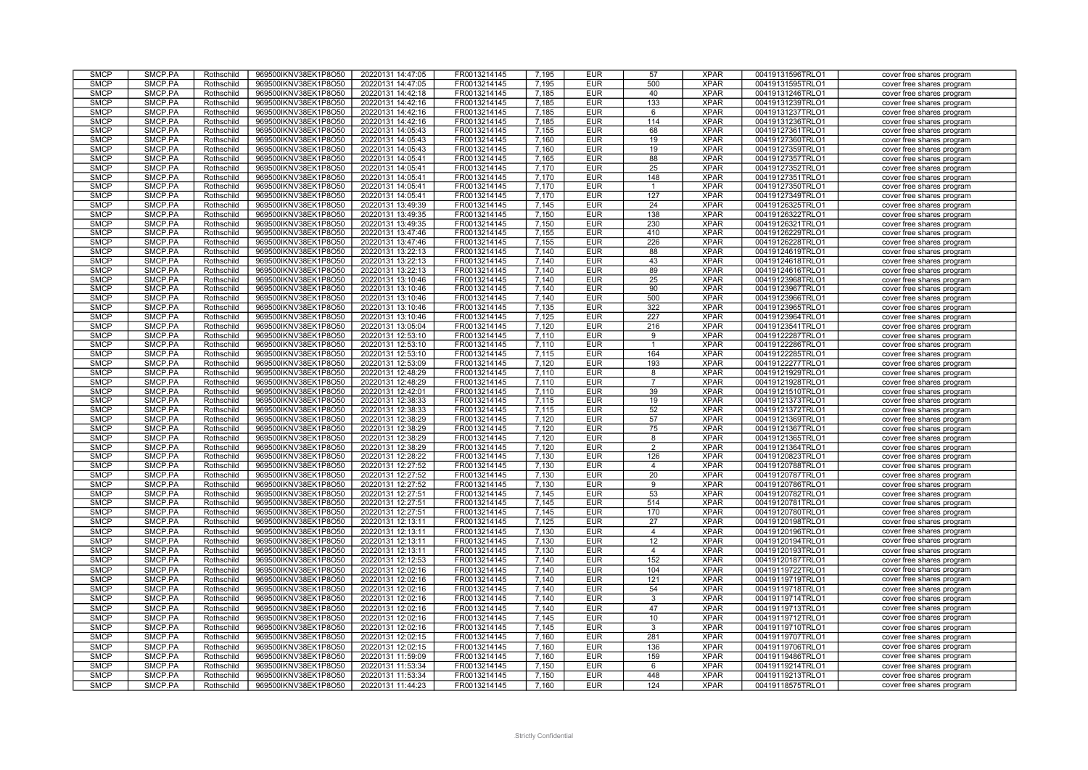| <b>SMCP</b> | SMCP.PA | Rothschild | 969500IKNV38EK1P8O50 | 20220131 14:47:05 | FR0013214145 | 7,195 | <b>EUR</b> | 57              | <b>XPAR</b> | 00419131596TRLO1 | cover free shares program |
|-------------|---------|------------|----------------------|-------------------|--------------|-------|------------|-----------------|-------------|------------------|---------------------------|
| <b>SMCP</b> | SMCP.PA | Rothschild | 969500IKNV38EK1P8O50 | 20220131 14:47:05 | FR0013214145 | 7,195 | <b>EUR</b> | 500             | <b>XPAR</b> | 00419131595TRLO1 | cover free shares program |
| <b>SMCP</b> | SMCP.PA | Rothschild | 969500IKNV38EK1P8O50 | 20220131 14:42:18 | FR0013214145 | 7,185 | <b>EUR</b> | 40              | <b>XPAR</b> | 00419131246TRLO1 | cover free shares program |
| <b>SMCP</b> | SMCP.PA | Rothschild | 969500IKNV38EK1P8O50 | 20220131 14:42:16 | FR0013214145 | 7,185 | <b>EUR</b> | 133             | <b>XPAR</b> | 00419131239TRLO1 | cover free shares program |
| <b>SMCP</b> | SMCP.PA | Rothschild | 969500IKNV38EK1P8O50 | 20220131 14:42:16 | FR0013214145 | 7,185 | <b>EUR</b> | 6               | <b>XPAR</b> | 00419131237TRLO1 | cover free shares program |
| <b>SMCP</b> | SMCP.PA | Rothschild | 969500IKNV38EK1P8O50 | 20220131 14:42:16 | FR0013214145 | 7.185 | <b>EUR</b> | 114             | <b>XPAR</b> | 00419131236TRLO1 | cover free shares program |
| <b>SMCP</b> | SMCP.PA | Rothschild | 969500IKNV38EK1P8O50 | 20220131 14:05:43 | FR0013214145 | 7,155 | <b>EUR</b> | 68              | <b>XPAR</b> | 00419127361TRLO1 | cover free shares program |
| <b>SMCP</b> | SMCP.PA |            |                      |                   |              |       | <b>EUR</b> | 19              | <b>XPAR</b> |                  |                           |
|             |         | Rothschild | 969500IKNV38EK1P8O50 | 20220131 14:05:43 | FR0013214145 | 7,160 |            |                 |             | 00419127360TRLO1 | cover free shares program |
| <b>SMCP</b> | SMCP.PA | Rothschild | 969500IKNV38EK1P8O50 | 20220131 14:05:43 | FR0013214145 | 7,160 | <b>EUR</b> | 19              | <b>XPAR</b> | 00419127359TRLO1 | cover free shares program |
| <b>SMCP</b> | SMCP.PA | Rothschild | 969500IKNV38EK1P8O50 | 20220131 14:05:41 | FR0013214145 | 7,165 | <b>EUR</b> | 88              | <b>XPAR</b> | 00419127357TRLO1 | cover free shares program |
| <b>SMCP</b> | SMCP.PA | Rothschild | 969500IKNV38EK1P8O50 | 20220131 14:05:41 | FR0013214145 | 7,170 | <b>EUR</b> | 25              | <b>XPAR</b> | 00419127352TRLO1 | cover free shares program |
| <b>SMCP</b> | SMCP.PA | Rothschild | 969500IKNV38EK1P8O50 | 20220131 14:05:41 | FR0013214145 | 7,170 | <b>EUR</b> | 148             | <b>XPAR</b> | 00419127351TRLO1 | cover free shares program |
| <b>SMCP</b> | SMCP.PA | Rothschild | 969500IKNV38EK1P8O50 | 20220131 14:05:41 | FR0013214145 | 7,170 | <b>EUR</b> |                 | <b>XPAR</b> | 00419127350TRLO1 | cover free shares program |
| <b>SMCP</b> | SMCP.PA | Rothschild | 969500IKNV38EK1P8O50 | 20220131 14:05:41 | FR0013214145 | 7,170 | <b>EUR</b> | 127             | <b>XPAR</b> | 00419127349TRLO1 | cover free shares program |
| <b>SMCP</b> | SMCP.PA | Rothschild | 969500IKNV38EK1P8O50 | 20220131 13:49:39 | FR0013214145 | 7,145 | <b>EUR</b> | $\overline{24}$ | <b>XPAR</b> | 00419126325TRLO1 | cover free shares program |
| <b>SMCP</b> | SMCP.PA | Rothschild | 969500IKNV38EK1P8O50 | 20220131 13:49:35 | FR0013214145 | 7,150 | <b>EUR</b> | 138             | <b>XPAR</b> | 00419126322TRLO1 | cover free shares program |
| <b>SMCP</b> | SMCP.PA | Rothschild | 969500IKNV38EK1P8O50 | 20220131 13:49:35 | FR0013214145 | 7,150 | <b>EUR</b> | 230             | <b>XPAR</b> | 00419126321TRLO1 | cover free shares program |
| <b>SMCP</b> | SMCP.PA | Rothschild | 969500IKNV38EK1P8O50 | 20220131 13:47:46 | FR0013214145 | 7,155 | <b>EUR</b> | 410             | <b>XPAR</b> | 00419126229TRLO1 | cover free shares program |
| <b>SMCP</b> | SMCP.PA | Rothschild | 969500IKNV38EK1P8O50 | 20220131 13:47:46 | FR0013214145 | 7,155 | <b>EUR</b> | 226             | <b>XPAR</b> | 00419126228TRLO1 | cover free shares program |
| <b>SMCP</b> | SMCP.PA |            |                      | 20220131 13:22:13 | FR0013214145 | 7,140 | <b>EUR</b> | 88              | <b>XPAR</b> | 00419124619TRLO1 |                           |
|             |         | Rothschild | 969500IKNV38EK1P8O50 |                   |              |       |            |                 |             |                  | cover free shares program |
| <b>SMCP</b> | SMCP.PA | Rothschild | 969500IKNV38EK1P8O50 | 20220131 13:22:13 | FR0013214145 | 7.140 | <b>EUR</b> | 43              | <b>XPAR</b> | 00419124618TRLO1 | cover free shares program |
| <b>SMCP</b> | SMCP.PA | Rothschild | 969500IKNV38EK1P8O50 | 20220131 13:22:13 | FR0013214145 | 7,140 | <b>EUR</b> | 89              | <b>XPAR</b> | 00419124616TRLO1 | cover free shares program |
| <b>SMCP</b> | SMCP.PA | Rothschild | 969500IKNV38EK1P8O50 | 20220131 13:10:46 | FR0013214145 | 7,140 | <b>EUR</b> | 25              | <b>XPAR</b> | 00419123968TRLO1 | cover free shares program |
| <b>SMCP</b> | SMCP.PA | Rothschild | 969500IKNV38EK1P8O50 | 20220131 13:10:46 | FR0013214145 | 7,140 | <b>EUR</b> | 90              | <b>XPAR</b> | 00419123967TRLO1 | cover free shares program |
| <b>SMCP</b> | SMCP.PA | Rothschild | 969500IKNV38EK1P8O50 | 20220131 13:10:46 | FR0013214145 | 7.140 | <b>EUR</b> | 500             | <b>XPAR</b> | 00419123966TRLO1 | cover free shares program |
| <b>SMCP</b> | SMCP.PA | Rothschild | 969500IKNV38EK1P8O50 | 20220131 13:10:46 | FR0013214145 | 7,135 | <b>EUR</b> | 322             | <b>XPAR</b> | 00419123965TRLO1 | cover free shares program |
| <b>SMCP</b> | SMCP.PA | Rothschild | 969500IKNV38EK1P8O50 | 20220131 13:10:46 | FR0013214145 | 7,125 | <b>EUR</b> | 227             | <b>XPAR</b> | 00419123964TRLO1 | cover free shares program |
| <b>SMCP</b> | SMCP.PA | Rothschild | 969500IKNV38EK1P8O50 | 20220131 13:05:04 | FR0013214145 | 7,120 | <b>EUR</b> | 216             | <b>XPAR</b> | 00419123541TRLO1 | cover free shares program |
| <b>SMCP</b> | SMCP.PA | Rothschild | 969500IKNV38EK1P8O50 | 20220131 12:53:10 | FR0013214145 | 7.110 | <b>EUR</b> | 9               | <b>XPAR</b> | 00419122287TRLO1 | cover free shares program |
| <b>SMCP</b> | SMCP.PA | Rothschild | 969500IKNV38EK1P8O50 | 20220131 12:53:10 | FR0013214145 | 7,110 | <b>EUR</b> |                 | <b>XPAR</b> | 00419122286TRLO1 | cover free shares program |
| <b>SMCP</b> | SMCP.PA | Rothschild | 969500IKNV38EK1P8O50 | 20220131 12:53:10 | FR0013214145 | 7,115 | <b>EUR</b> | 164             | <b>XPAR</b> | 00419122285TRLO1 | cover free shares program |
| <b>SMCP</b> | SMCP.PA | Rothschild | 969500lKNV38EK1P8O50 | 20220131 12:53:09 | FR0013214145 | 7,120 | <b>EUR</b> | 193             | <b>XPAR</b> | 00419122277TRLO1 | cover free shares program |
| <b>SMCP</b> | SMCP.PA | Rothschild | 969500IKNV38EK1P8O50 | 20220131 12:48:29 | FR0013214145 | 7,110 | <b>EUR</b> | $\overline{8}$  | <b>XPAR</b> | 00419121929TRLO1 | cover free shares program |
| <b>SMCP</b> | SMCP.PA |            |                      |                   |              |       | <b>EUR</b> | $\overline{7}$  | <b>XPAR</b> |                  |                           |
|             |         | Rothschild | 969500IKNV38EK1P8O50 | 20220131 12:48:29 | FR0013214145 | 7,110 |            |                 | <b>XPAR</b> | 00419121928TRLO1 | cover free shares program |
| <b>SMCP</b> | SMCP.PA | Rothschild | 969500IKNV38EK1P8O50 | 20220131 12:42:01 | FR0013214145 | 7,110 | <b>EUR</b> | 39              |             | 00419121510TRLO1 | cover free shares program |
| <b>SMCP</b> | SMCP.PA | Rothschild | 969500IKNV38EK1P8O50 | 20220131 12:38:33 | FR0013214145 | 7,115 | <b>EUR</b> | 19              | <b>XPAR</b> | 00419121373TRLO1 | cover free shares program |
| <b>SMCP</b> | SMCP.PA | Rothschild | 969500IKNV38EK1P8O50 | 20220131 12:38:33 | FR0013214145 | 7,115 | <b>EUR</b> | 52              | <b>XPAR</b> | 00419121372TRLO1 | cover free shares program |
| <b>SMCP</b> | SMCP.PA | Rothschild | 969500IKNV38EK1P8O50 | 20220131 12:38:29 | FR0013214145 | 7,120 | <b>EUR</b> | 57              | <b>XPAR</b> | 00419121369TRLO1 | cover free shares program |
| <b>SMCP</b> | SMCP.PA | Rothschild | 969500IKNV38EK1P8O50 | 20220131 12:38:29 | FR0013214145 | 7,120 | <b>EUR</b> | 75              | <b>XPAR</b> | 00419121367TRLO1 | cover free shares program |
| <b>SMCP</b> | SMCP.PA | Rothschild | 969500IKNV38EK1P8O50 | 20220131 12:38:29 | FR0013214145 | 7,120 | <b>EUR</b> | 8               | <b>XPAR</b> | 00419121365TRLO1 | cover free shares program |
| <b>SMCP</b> | SMCP.PA | Rothschild | 969500IKNV38EK1P8O50 | 20220131 12:38:29 | FR0013214145 | 7,120 | <b>EUR</b> | $\overline{2}$  | <b>XPAR</b> | 00419121364TRLO1 | cover free shares program |
| <b>SMCP</b> | SMCP.PA | Rothschild | 969500IKNV38EK1P8O50 | 20220131 12:28:22 | FR0013214145 | 7.130 | <b>EUR</b> | 126             | <b>XPAR</b> | 00419120823TRLO1 | cover free shares program |
| <b>SMCP</b> | SMCP.PA | Rothschild | 969500IKNV38EK1P8O50 | 20220131 12:27:52 | FR0013214145 | 7,130 | <b>EUR</b> | $\overline{4}$  | <b>XPAR</b> | 00419120788TRLO1 | cover free shares program |
| <b>SMCP</b> | SMCP.PA | Rothschild | 969500IKNV38EK1P8O50 | 20220131 12:27:52 | FR0013214145 | 7,130 | <b>EUR</b> | $\overline{20}$ | <b>XPAR</b> | 00419120787TRLO1 | cover free shares program |
| <b>SMCP</b> | SMCP.PA | Rothschild | 969500IKNV38EK1P8O50 | 20220131 12:27:52 | FR0013214145 | 7,130 | <b>EUR</b> | 9               | <b>XPAR</b> | 00419120786TRLO1 | cover free shares program |
| <b>SMCP</b> | SMCP.PA | Rothschild | 969500IKNV38EK1P8O50 | 20220131 12:27:51 | FR0013214145 | 7,145 | <b>EUR</b> | 53              | <b>XPAR</b> | 00419120782TRLO1 | cover free shares program |
| <b>SMCP</b> | SMCP.PA | Rothschild | 969500IKNV38EK1P8O50 | 20220131 12:27:51 | FR0013214145 | 7,145 | <b>EUR</b> | 514             | <b>XPAR</b> | 00419120781TRLO1 | cover free shares program |
| <b>SMCP</b> | SMCP.PA | Rothschild | 969500IKNV38EK1P8O50 | 20220131 12:27:51 | FR0013214145 | 7.145 | <b>EUR</b> | 170             | <b>XPAR</b> | 00419120780TRLO1 |                           |
| <b>SMCP</b> | SMCP.PA |            |                      |                   |              |       |            |                 | <b>XPAR</b> |                  | cover free shares program |
|             |         | Rothschild | 969500IKNV38EK1P8O50 | 20220131 12:13:11 | FR0013214145 | 7,125 | <b>EUR</b> | 27              |             | 00419120198TRLO1 | cover free shares program |
| <b>SMCP</b> | SMCP.PA | Rothschild | 969500IKNV38EK1P8O50 | 20220131 12:13:11 | FR0013214145 | 7,130 | <b>EUR</b> | $\overline{4}$  | <b>XPAR</b> | 00419120196TRLO1 | cover free shares program |
| <b>SMCP</b> | SMCP.PA | Rothschild | 969500IKNV38EK1P8O50 | 20220131 12:13:11 | FR0013214145 | 7,130 | <b>EUR</b> | 12              | <b>XPAR</b> | 00419120194TRLO1 | cover free shares program |
| <b>SMCP</b> | SMCP.PA | Rothschild | 969500IKNV38EK1P8O50 | 20220131 12:13:11 | FR0013214145 | 7,130 | <b>EUR</b> | 4               | <b>XPAR</b> | 00419120193TRLO1 | cover free shares program |
| <b>SMCP</b> | SMCP.PA | Rothschild | 969500IKNV38EK1P8O50 | 20220131 12:12:53 | FR0013214145 | 7.140 | <b>EUR</b> | 152             | <b>XPAR</b> | 00419120187TRLO1 | cover free shares program |
| <b>SMCP</b> | SMCP.PA | Rothschild | 969500IKNV38EK1P8O50 | 20220131 12:02:16 | FR0013214145 | 7,140 | <b>EUR</b> | 104             | <b>XPAR</b> | 00419119722TRLO1 | cover free shares program |
| <b>SMCP</b> | SMCP.PA | Rothschild | 969500IKNV38EK1P8O50 | 20220131 12:02:16 | FR0013214145 | 7,140 | <b>EUR</b> | 121             | <b>XPAR</b> | 00419119719TRLO1 | cover free shares program |
| <b>SMCP</b> | SMCP.PA | Rothschild | 969500IKNV38EK1P8O50 | 20220131 12:02:16 | FR0013214145 | 7,140 | <b>EUR</b> | 54              | <b>XPAR</b> | 00419119718TRLO1 | cover free shares program |
| <b>SMCP</b> | SMCP.PA | Rothschild | 969500IKNV38EK1P8O50 | 20220131 12:02:16 | FR0013214145 | 7,140 | <b>EUR</b> | 3               | <b>XPAR</b> | 00419119714TRLO1 | cover free shares program |
|             |         |            |                      |                   |              |       |            |                 |             |                  |                           |
| <b>SMCP</b> | SMCP.PA | Rothschild | 969500IKNV38EK1P8O50 | 20220131 12:02:16 | FR0013214145 | 7,140 | <b>EUR</b> | 47              | <b>XPAR</b> | 00419119713TRLO1 | cover free shares program |
| <b>SMCP</b> | SMCP.PA | Rothschild | 969500IKNV38EK1P8O50 | 20220131 12:02:16 | FR0013214145 | 7,145 | <b>EUR</b> | 10              | <b>XPAR</b> | 00419119712TRLO1 | cover free shares program |
| <b>SMCP</b> | SMCP.PA | Rothschild | 969500IKNV38EK1P8O50 | 20220131 12:02:16 | FR0013214145 | 7,145 | <b>EUR</b> | 3               | <b>XPAR</b> | 00419119710TRLO1 | cover free shares program |
| <b>SMCP</b> | SMCP.PA | Rothschild | 969500IKNV38EK1P8O50 | 20220131 12:02:15 | FR0013214145 | 7,160 | <b>EUR</b> | 281             | <b>XPAR</b> | 00419119707TRLO1 | cover free shares program |
| <b>SMCP</b> | SMCP.PA | Rothschild | 969500IKNV38EK1P8O50 | 20220131 12:02:15 | FR0013214145 | 7,160 | <b>EUR</b> | 136             | <b>XPAR</b> | 00419119706TRLO1 | cover free shares program |
| <b>SMCP</b> | SMCP.PA | Rothschild | 969500IKNV38EK1P8O50 | 20220131 11:59:09 | FR0013214145 | 7,160 | <b>EUR</b> | 159             | <b>XPAR</b> | 00419119486TRLO1 | cover free shares program |
| <b>SMCP</b> | SMCP.PA | Rothschild | 969500IKNV38EK1P8O50 | 20220131 11:53:34 | FR0013214145 | 7,150 | <b>EUR</b> | 6               | <b>XPAR</b> | 00419119214TRLO1 | cover free shares program |
| <b>SMCP</b> | SMCP.PA | Rothschild | 969500IKNV38EK1P8O50 | 20220131 11:53:34 | FR0013214145 | 7,150 | <b>EUR</b> | 448             | <b>XPAR</b> | 00419119213TRLO1 | cover free shares program |
| <b>SMCP</b> | SMCP.PA | Rothschild | 969500IKNV38EK1P8O50 | 20220131 11:44:23 | FR0013214145 | 7,160 | <b>EUR</b> | 124             | <b>XPAR</b> | 00419118575TRLO1 | cover free shares program |
|             |         |            |                      |                   |              |       |            |                 |             |                  |                           |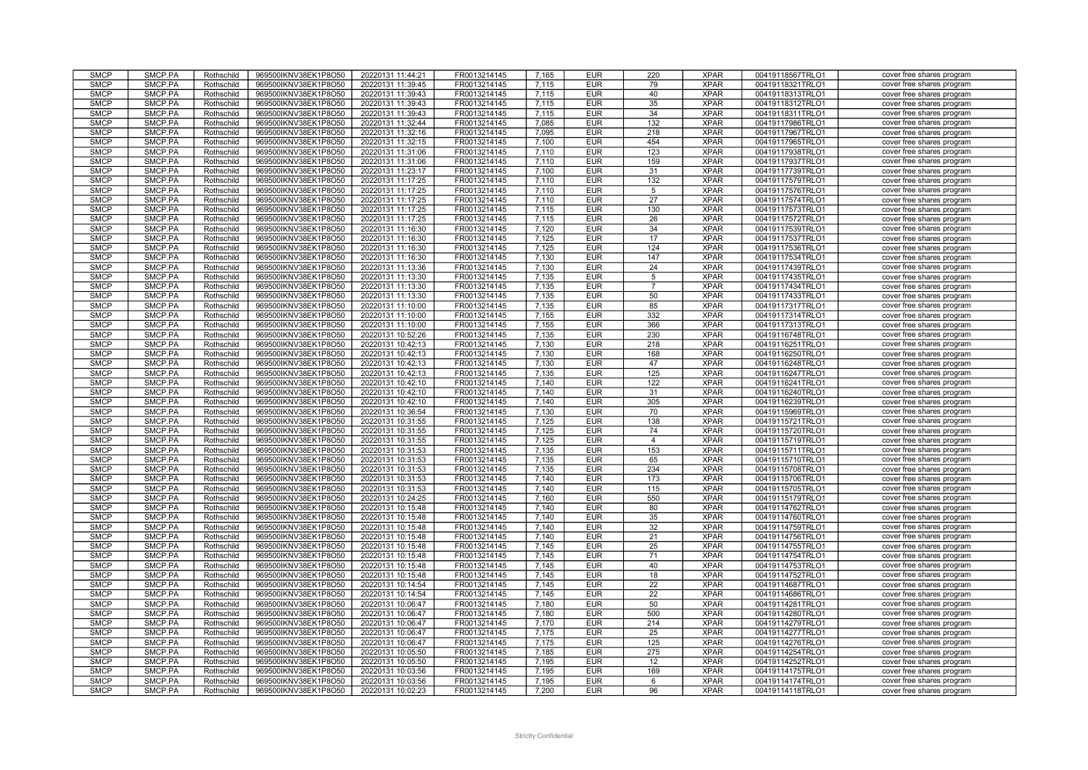| <b>SMCP</b> | SMCP.PA | Rothschild | 969500IKNV38EK1P8O50 | 20220131 11:44:21 | FR0013214145 | 7,165 | <b>EUR</b> | 220             | <b>XPAR</b>                | 00419118567TRLO1 | cover free shares program                              |
|-------------|---------|------------|----------------------|-------------------|--------------|-------|------------|-----------------|----------------------------|------------------|--------------------------------------------------------|
| <b>SMCP</b> | SMCP.PA | Rothschild | 969500IKNV38EK1P8O50 | 20220131 11:39:45 | FR0013214145 | 7,115 | <b>EUR</b> | 79              | <b>XPAR</b>                | 00419118321TRLO1 | cover free shares program                              |
| <b>SMCP</b> | SMCP.PA | Rothschild | 969500IKNV38EK1P8O50 | 20220131 11:39:43 | FR0013214145 | 7,115 | <b>EUR</b> | 40              | <b>XPAR</b>                | 00419118313TRLO1 | cover free shares program                              |
| <b>SMCP</b> | SMCP.PA | Rothschild | 969500IKNV38EK1P8O50 | 20220131 11:39:43 | FR0013214145 | 7,115 | <b>EUR</b> | 35              | <b>XPAR</b>                | 00419118312TRLO1 | cover free shares program                              |
| <b>SMCP</b> | SMCP.PA | Rothschild | 969500IKNV38EK1P8O50 | 20220131 11:39:43 | FR0013214145 | 7,115 | <b>EUR</b> | 34              | <b>XPAR</b>                | 00419118311TRLO1 | cover free shares program                              |
| <b>SMCP</b> | SMCP.PA | Rothschild | 969500IKNV38EK1P8O50 | 20220131 11:32:44 | FR0013214145 | 7.085 | <b>EUR</b> | 132             | <b>XPAR</b>                | 00419117986TRLO1 | cover free shares program                              |
| <b>SMCP</b> | SMCP.PA | Rothschild | 969500IKNV38EK1P8O50 | 20220131 11:32:16 | FR0013214145 | 7,095 | <b>EUR</b> | 218             | <b>XPAR</b>                | 00419117967TRLO1 | cover free shares program                              |
| <b>SMCP</b> | SMCP.PA | Rothschild | 969500IKNV38EK1P8O50 |                   | FR0013214145 | 7,100 | <b>EUR</b> | 454             | <b>XPAR</b>                | 00419117965TRLO1 |                                                        |
|             |         |            |                      | 20220131 11:32:15 |              |       |            |                 |                            |                  | cover free shares program                              |
| <b>SMCP</b> | SMCP.PA | Rothschild | 969500IKNV38EK1P8O50 | 20220131 11:31:06 | FR0013214145 | 7,110 | <b>EUR</b> | 123             | <b>XPAR</b>                | 00419117938TRLO1 | cover free shares program                              |
| <b>SMCP</b> | SMCP.PA | Rothschild | 969500IKNV38EK1P8O50 | 20220131 11:31:06 | FR0013214145 | 7,110 | <b>EUR</b> | 159             | <b>XPAR</b>                | 00419117937TRLO1 | cover free shares program                              |
| <b>SMCP</b> | SMCP.PA | Rothschild | 969500IKNV38EK1P8O50 | 20220131 11:23:17 | FR0013214145 | 7,100 | <b>EUR</b> | 31              | <b>XPAR</b>                | 00419117739TRLO1 | cover free shares program                              |
| <b>SMCP</b> | SMCP.PA | Rothschild | 969500IKNV38EK1P8O50 | 20220131 11:17:25 | FR0013214145 | 7,110 | <b>EUR</b> | 132             | <b>XPAR</b>                | 00419117579TRLO1 | cover free shares program                              |
| <b>SMCP</b> | SMCP.PA | Rothschild | 969500IKNV38EK1P8O50 | 20220131 11:17:25 | FR0013214145 | 7,110 | <b>EUR</b> | 5               | <b>XPAR</b>                | 00419117576TRLO1 | cover free shares program                              |
| <b>SMCP</b> | SMCP.PA | Rothschild | 969500IKNV38EK1P8O50 | 20220131 11:17:25 | FR0013214145 | 7,110 | <b>EUR</b> | $\overline{27}$ | <b>XPAR</b>                | 00419117574TRLO1 | cover free shares program                              |
| <b>SMCP</b> | SMCP.PA | Rothschild | 969500IKNV38EK1P8O50 | 20220131 11:17:25 | FR0013214145 | 7,115 | <b>EUR</b> | 130             | <b>XPAR</b>                | 00419117573TRLO1 | cover free shares program                              |
| <b>SMCP</b> | SMCP.PA | Rothschild | 969500IKNV38EK1P8O50 | 20220131 11:17:25 | FR0013214145 | 7,115 | <b>EUR</b> | 26              | <b>XPAR</b>                | 00419117572TRLO1 | cover free shares program                              |
| <b>SMCP</b> | SMCP.PA | Rothschild | 969500IKNV38EK1P8O50 | 20220131 11:16:30 | FR0013214145 | 7,120 | <b>EUR</b> | 34              | <b>XPAR</b>                | 00419117539TRLO1 | cover free shares program                              |
| <b>SMCP</b> | SMCP.PA | Rothschild | 969500IKNV38EK1P8O50 | 20220131 11:16:30 | FR0013214145 | 7,125 | <b>EUR</b> | 17              | <b>XPAR</b>                | 00419117537TRLO1 | cover free shares program                              |
| <b>SMCP</b> | SMCP.PA | Rothschild | 969500IKNV38EK1P8O50 | 20220131 11:16:30 | FR0013214145 | 7,125 | <b>EUR</b> | 124             | <b>XPAR</b>                | 00419117536TRLO1 | cover free shares program                              |
| <b>SMCP</b> | SMCP.PA | Rothschild | 969500IKNV38EK1P8O50 | 20220131 11:16:30 | FR0013214145 | 7,130 | <b>EUR</b> | 147             | <b>XPAR</b>                | 00419117534TRLO1 | cover free shares program                              |
| <b>SMCP</b> | SMCP.PA |            |                      |                   |              | 7,130 | <b>EUR</b> | $\overline{24}$ | <b>XPAR</b>                |                  |                                                        |
|             |         | Rothschild | 969500IKNV38EK1P8O50 | 20220131 11:13:36 | FR0013214145 |       |            |                 |                            | 00419117439TRLO1 | cover free shares program                              |
| <b>SMCP</b> | SMCP.PA | Rothschild | 969500IKNV38EK1P8O50 | 20220131 11:13:30 | FR0013214145 | 7,135 | <b>EUR</b> | 5               | <b>XPAR</b>                | 00419117435TRLO1 | cover free shares program                              |
| <b>SMCP</b> | SMCP.PA | Rothschild | 969500IKNV38EK1P8O50 | 20220131 11:13:30 | FR0013214145 | 7,135 | <b>EUR</b> | $\overline{7}$  | <b>XPAR</b>                | 00419117434TRLO1 | cover free shares program                              |
| <b>SMCP</b> | SMCP.PA | Rothschild | 969500IKNV38EK1P8O50 | 20220131 11:13:30 | FR0013214145 | 7,135 | <b>EUR</b> | 50              | <b>XPAR</b>                | 00419117433TRLO1 | cover free shares program                              |
| <b>SMCP</b> | SMCP.PA | Rothschild | 969500IKNV38EK1P8O50 | 20220131 11:10:00 | FR0013214145 | 7,135 | <b>EUR</b> | 85              | <b>XPAR</b>                | 00419117317TRLO1 | cover free shares program                              |
| <b>SMCP</b> | SMCP.PA | Rothschild | 969500IKNV38EK1P8O50 | 20220131 11:10:00 | FR0013214145 | 7,155 | <b>EUR</b> | 332             | <b>XPAR</b>                | 00419117314TRLO1 | cover free shares program                              |
| <b>SMCP</b> | SMCP.PA | Rothschild | 969500IKNV38EK1P8O50 | 20220131 11:10:00 | FR0013214145 | 7,155 | <b>EUR</b> | 366             | <b>XPAR</b>                | 00419117313TRLO1 | cover free shares program                              |
| <b>SMCP</b> | SMCP.PA | Rothschild | 969500IKNV38EK1P8O50 | 20220131 10:52:26 | FR0013214145 | 7,135 | <b>EUR</b> | 230             | <b>XPAR</b>                | 00419116748TRLO1 | cover free shares program                              |
| <b>SMCP</b> | SMCP.PA | Rothschild | 969500IKNV38EK1P8O50 | 20220131 10:42:13 | FR0013214145 | 7,130 | <b>EUR</b> | 218             | <b>XPAR</b>                | 00419116251TRLO1 | cover free shares program                              |
| <b>SMCP</b> | SMCP.PA | Rothschild | 969500IKNV38EK1P8O50 | 20220131 10:42:13 | FR0013214145 | 7,130 | <b>EUR</b> | 168             | <b>XPAR</b>                | 00419116250TRLO1 | cover free shares program                              |
| <b>SMCP</b> | SMCP.PA | Rothschild | 969500IKNV38EK1P8O50 | 20220131 10:42:13 | FR0013214145 | 7,130 | <b>EUR</b> | 47              | <b>XPAR</b>                | 00419116248TRLO1 | cover free shares program                              |
| <b>SMCP</b> | SMCP.PA | Rothschild | 969500IKNV38EK1P8O50 | 20220131 10:42:13 | FR0013214145 | 7,135 | <b>EUR</b> | 125             | <b>XPAR</b>                | 00419116247TRLO1 | cover free shares program                              |
| <b>SMCP</b> | SMCP.PA | Rothschild | 969500IKNV38EK1P8O50 | 20220131 10:42:10 | FR0013214145 | 7,140 | <b>EUR</b> | 122             | <b>XPAR</b>                | 00419116241TRLO1 | cover free shares program                              |
| <b>SMCP</b> | SMCP.PA | Rothschild | 969500IKNV38EK1P8O50 | 20220131 10:42:10 | FR0013214145 | 7,140 | <b>EUR</b> | 31              | <b>XPAR</b>                | 00419116240TRLO1 |                                                        |
| <b>SMCP</b> | SMCP.PA | Rothschild | 969500IKNV38EK1P8O50 |                   |              | 7,140 | <b>EUR</b> | 305             | <b>XPAR</b>                | 00419116239TRLO1 | cover free shares program<br>cover free shares program |
|             |         |            |                      | 20220131 10:42:10 | FR0013214145 |       |            |                 | <b>XPAR</b>                |                  |                                                        |
| <b>SMCP</b> | SMCP.PA | Rothschild | 969500IKNV38EK1P8O50 | 20220131 10:36:54 | FR0013214145 | 7,130 | <b>EUR</b> | 70              |                            | 00419115969TRLO1 | cover free shares program                              |
| <b>SMCP</b> | SMCP.PA | Rothschild | 969500IKNV38EK1P8O50 | 20220131 10:31:55 | FR0013214145 | 7,125 | <b>EUR</b> | 138             | <b>XPAR</b>                | 00419115721TRLO1 | cover free shares program                              |
| <b>SMCP</b> | SMCP.PA | Rothschild | 969500IKNV38EK1P8O50 | 20220131 10:31:55 | FR0013214145 | 7,125 | <b>EUR</b> | 74              | <b>XPAR</b>                | 00419115720TRLO1 | cover free shares program                              |
| <b>SMCP</b> | SMCP.PA | Rothschild | 969500IKNV38EK1P8O50 | 20220131 10:31:55 | FR0013214145 | 7,125 | <b>EUR</b> | $\overline{4}$  | <b>XPAR</b>                | 00419115719TRLO1 | cover free shares program                              |
| <b>SMCP</b> | SMCP.PA | Rothschild | 969500IKNV38EK1P8O50 | 20220131 10:31:53 | FR0013214145 | 7,135 | <b>EUR</b> | 153             | <b>XPAR</b>                | 00419115711TRLO1 | cover free shares program                              |
| <b>SMCP</b> | SMCP.PA | Rothschild | 969500IKNV38EK1P8O50 | 20220131 10:31:53 | FR0013214145 | 7,135 | <b>EUR</b> | 65              | <b>XPAR</b>                | 00419115710TRLO1 | cover free shares program                              |
| <b>SMCP</b> | SMCP.PA | Rothschild | 969500IKNV38EK1P8O50 | 20220131 10:31:53 | FR0013214145 | 7,135 | <b>EUR</b> | 234             | <b>XPAR</b>                | 00419115708TRLO1 | cover free shares program                              |
| <b>SMCP</b> | SMCP.PA | Rothschild | 969500IKNV38EK1P8O50 | 20220131 10:31:53 | FR0013214145 | 7,140 | <b>EUR</b> | 173             | <b>XPAR</b>                | 00419115706TRLO1 | cover free shares program                              |
| <b>SMCP</b> | SMCP.PA | Rothschild | 969500IKNV38EK1P8O50 | 20220131 10:31:53 | FR0013214145 | 7,140 | <b>EUR</b> | 115             | <b>XPAR</b>                | 00419115705TRLO1 | cover free shares program                              |
| <b>SMCP</b> | SMCP.PA | Rothschild | 969500IKNV38EK1P8O50 | 20220131 10:24:25 | FR0013214145 | 7,160 | <b>EUR</b> | 550             | <b>XPAR</b>                | 00419115179TRLO1 | cover free shares program                              |
| <b>SMCP</b> | SMCP.PA | Rothschild | 969500IKNV38EK1P8O50 | 20220131 10:15:48 | FR0013214145 | 7,140 | <b>EUR</b> | 80              | <b>XPAR</b>                | 00419114762TRLO1 | cover free shares program                              |
| <b>SMCP</b> | SMCP.PA | Rothschild | 969500IKNV38EK1P8O50 | 20220131 10:15:48 | FR0013214145 | 7,140 | <b>EUR</b> | 35              | <b>XPAR</b>                | 00419114760TRLO1 | cover free shares program                              |
| <b>SMCP</b> | SMCP.PA | Rothschild | 969500IKNV38EK1P8O50 | 20220131 10:15:48 | FR0013214145 | 7,140 | <b>EUR</b> | 32              | <b>XPAR</b>                | 00419114759TRLO1 | cover free shares program                              |
| <b>SMCP</b> | SMCP.PA | Rothschild | 969500IKNV38EK1P8O50 | 20220131 10:15:48 | FR0013214145 | 7,140 | <b>EUR</b> | 21              | <b>XPAR</b>                | 00419114756TRLO1 | cover free shares program                              |
| <b>SMCP</b> | SMCP.PA | Rothschild | 969500IKNV38EK1P8O50 | 20220131 10:15:48 | FR0013214145 | 7,145 | <b>EUR</b> | $\overline{25}$ | <b>XPAR</b>                | 00419114755TRLO1 | cover free shares program                              |
| <b>SMCP</b> | SMCP.PA |            |                      |                   | FR0013214145 | 7.145 | <b>EUR</b> | 71              | <b>XPAR</b>                | 00419114754TRLO1 |                                                        |
|             |         | Rothschild | 969500IKNV38EK1P8O50 | 20220131 10:15:48 |              |       |            |                 |                            |                  | cover free shares program                              |
| <b>SMCP</b> | SMCP.PA | Rothschild | 969500IKNV38EK1P8O50 | 20220131 10:15:48 | FR0013214145 | 7,145 | <b>EUR</b> | 40              | <b>XPAR</b><br><b>XPAR</b> | 00419114753TRLO1 | cover free shares program                              |
| <b>SMCP</b> | SMCP.PA | Rothschild | 969500IKNV38EK1P8O50 | 20220131 10:15:48 | FR0013214145 | 7,145 | <b>EUR</b> | 18              |                            | 00419114752TRLO1 | cover free shares program                              |
| <b>SMCP</b> | SMCP.PA | Rothschild | 969500IKNV38EK1P8O50 | 20220131 10:14:54 | FR0013214145 | 7,145 | <b>EUR</b> | $\overline{22}$ | <b>XPAR</b>                | 00419114687TRLO1 | cover free shares program                              |
| <b>SMCP</b> | SMCP.PA | Rothschild | 969500IKNV38EK1P8O50 | 20220131 10:14:54 | FR0013214145 | 7,145 | <b>EUR</b> | 22              | <b>XPAR</b>                | 00419114686TRLO1 | cover free shares program                              |
| <b>SMCP</b> | SMCP.PA | Rothschild | 969500IKNV38EK1P8O50 | 20220131 10:06:47 | FR0013214145 | 7,180 | <b>EUR</b> | 50              | <b>XPAR</b>                | 00419114281TRLO1 | cover free shares program                              |
| <b>SMCP</b> | SMCP.PA | Rothschild | 969500IKNV38EK1P8O50 | 20220131 10:06:47 | FR0013214145 | 7.180 | <b>EUR</b> | 500             | <b>XPAR</b>                | 00419114280TRLO1 | cover free shares program                              |
| <b>SMCP</b> | SMCP.PA | Rothschild | 969500IKNV38EK1P8O50 | 20220131 10:06:47 | FR0013214145 | 7,170 | <b>EUR</b> | 214             | <b>XPAR</b>                | 00419114279TRLO1 | cover free shares program                              |
| <b>SMCP</b> | SMCP.PA | Rothschild | 969500IKNV38EK1P8O50 | 20220131 10:06:47 | FR0013214145 | 7,175 | <b>EUR</b> | 25              | <b>XPAR</b>                | 00419114277TRLO1 | cover free shares program                              |
| <b>SMCP</b> | SMCP.PA | Rothschild | 969500IKNV38EK1P8O50 | 20220131 10:06:47 | FR0013214145 | 7,175 | <b>EUR</b> | 125             | <b>XPAR</b>                | 00419114276TRLO1 | cover free shares program                              |
| <b>SMCP</b> | SMCP.PA | Rothschild | 969500IKNV38EK1P8O50 | 20220131 10:05:50 | FR0013214145 | 7,185 | <b>EUR</b> | 275             | <b>XPAR</b>                | 00419114254TRLO1 | cover free shares program                              |
| <b>SMCP</b> | SMCP.PA | Rothschild | 969500IKNV38EK1P8O50 | 20220131 10:05:50 | FR0013214145 | 7,195 | <b>EUR</b> | 12              | <b>XPAR</b>                | 00419114252TRLO1 | cover free shares program                              |
| <b>SMCP</b> | SMCP.PA | Rothschild | 969500IKNV38EK1P8O50 | 20220131 10:03:56 | FR0013214145 | 7,195 | <b>EUR</b> | 169             | <b>XPAR</b>                | 00419114175TRLO1 | cover free shares program                              |
| <b>SMCP</b> | SMCP.PA | Rothschild | 969500IKNV38EK1P8O50 | 20220131 10:03:56 | FR0013214145 | 7,195 | <b>EUR</b> | 6               | <b>XPAR</b>                | 00419114174TRLO1 | cover free shares program                              |
| <b>SMCP</b> | SMCP.PA | Rothschild | 969500IKNV38EK1P8O50 | 20220131 10:02:23 | FR0013214145 | 7,200 | <b>EUR</b> | 96              | <b>XPAR</b>                | 00419114118TRLO1 | cover free shares program                              |
|             |         |            |                      |                   |              |       |            |                 |                            |                  |                                                        |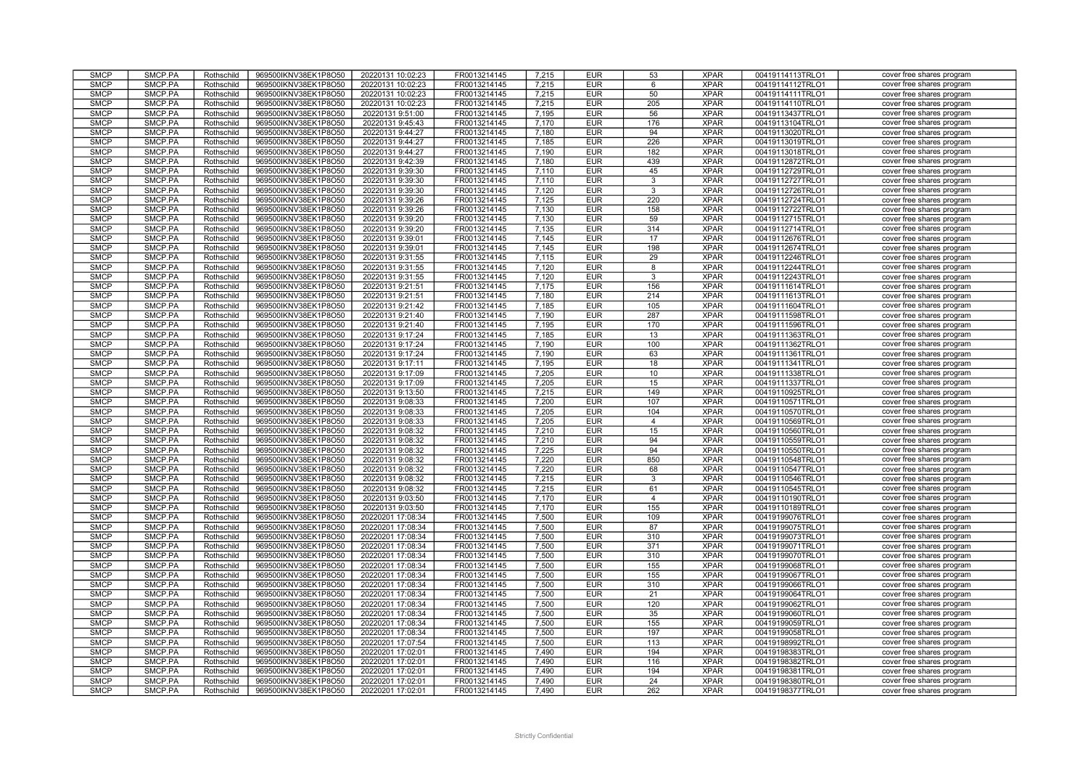| <b>SMCP</b> | SMCP.PA | Rothschild | 969500IKNV38EK1P8O50 | 20220131 10:02:23 | FR0013214145 | 7,215 | <b>EUR</b> | 53              | <b>XPAR</b> | 00419114113TRLO1 | cover free shares program |
|-------------|---------|------------|----------------------|-------------------|--------------|-------|------------|-----------------|-------------|------------------|---------------------------|
| <b>SMCP</b> | SMCP.PA | Rothschild | 969500IKNV38EK1P8O50 | 20220131 10:02:23 | FR0013214145 | 7,215 | <b>EUR</b> | 6               | <b>XPAR</b> | 00419114112TRLO1 | cover free shares program |
| <b>SMCP</b> | SMCP.PA | Rothschild | 969500IKNV38EK1P8O50 | 20220131 10:02:23 | FR0013214145 | 7,215 | <b>EUR</b> | 50              | <b>XPAR</b> | 00419114111TRLO1 | cover free shares program |
| <b>SMCP</b> | SMCP.PA | Rothschild | 969500IKNV38EK1P8O50 | 20220131 10:02:23 | FR0013214145 | 7,215 | <b>EUR</b> | 205             | <b>XPAR</b> | 00419114110TRLO1 | cover free shares program |
| <b>SMCP</b> | SMCP.PA | Rothschild | 969500IKNV38EK1P8O50 | 20220131 9:51:00  | FR0013214145 | 7,195 | <b>EUR</b> | 56              | <b>XPAR</b> | 00419113437TRLO1 | cover free shares program |
| <b>SMCP</b> | SMCP.PA | Rothschild | 969500IKNV38EK1P8O50 | 20220131 9:45:43  | FR0013214145 | 7.170 | <b>EUR</b> | 176             | <b>XPAR</b> | 00419113104TRLO1 | cover free shares program |
| <b>SMCP</b> | SMCP.PA | Rothschild | 969500IKNV38EK1P8O50 | 20220131 9:44:27  | FR0013214145 | 7,180 | <b>EUR</b> | 94              | <b>XPAR</b> | 00419113020TRLO1 | cover free shares program |
| <b>SMCP</b> | SMCP.PA | Rothschild | 969500IKNV38EK1P8O50 | 20220131 9:44:27  | FR0013214145 | 7,185 | <b>EUR</b> | 226             | <b>XPAR</b> | 00419113019TRLO1 | cover free shares program |
| <b>SMCP</b> | SMCP.PA |            |                      |                   |              |       | <b>EUR</b> | 182             | <b>XPAR</b> |                  |                           |
|             |         | Rothschild | 969500IKNV38EK1P8O50 | 20220131 9:44:27  | FR0013214145 | 7,190 |            |                 |             | 00419113018TRLO1 | cover free shares program |
| <b>SMCP</b> | SMCP.PA | Rothschild | 969500IKNV38EK1P8O50 | 20220131 9:42:39  | FR0013214145 | 7,180 | <b>EUR</b> | 439             | <b>XPAR</b> | 00419112872TRLO1 | cover free shares program |
| <b>SMCP</b> | SMCP.PA | Rothschild | 969500IKNV38EK1P8O50 | 20220131 9:39:30  | FR0013214145 | 7,110 | <b>EUR</b> | 45              | <b>XPAR</b> | 00419112729TRLO1 | cover free shares program |
| <b>SMCP</b> | SMCP.PA | Rothschild | 969500IKNV38EK1P8O50 | 20220131 9:39:30  | FR0013214145 | 7,110 | <b>EUR</b> | 3               | <b>XPAR</b> | 00419112727TRLO1 | cover free shares program |
| <b>SMCP</b> | SMCP.PA | Rothschild | 969500IKNV38EK1P8O50 | 20220131 9:39:30  | FR0013214145 | 7,120 | <b>EUR</b> | 3               | <b>XPAR</b> | 00419112726TRLO1 | cover free shares program |
| <b>SMCP</b> | SMCP.PA | Rothschild | 969500IKNV38EK1P8O50 | 20220131 9:39:26  | FR0013214145 | 7,125 | <b>EUR</b> | 220             | <b>XPAR</b> | 00419112724TRLO1 | cover free shares program |
| <b>SMCP</b> | SMCP.PA | Rothschild | 969500IKNV38EK1P8O50 | 20220131 9:39:26  | FR0013214145 | 7,130 | <b>EUR</b> | 158             | <b>XPAR</b> | 00419112722TRLO1 | cover free shares program |
| <b>SMCP</b> | SMCP.PA | Rothschild | 969500IKNV38EK1P8O50 | 20220131 9:39:20  | FR0013214145 | 7,130 | <b>EUR</b> | 59              | <b>XPAR</b> | 00419112715TRLO1 | cover free shares program |
| <b>SMCP</b> | SMCP.PA | Rothschild | 969500IKNV38EK1P8O50 | 20220131 9:39:20  | FR0013214145 | 7,135 | <b>EUR</b> | 314             | <b>XPAR</b> | 00419112714TRLO1 | cover free shares program |
| <b>SMCP</b> | SMCP.PA | Rothschild | 969500IKNV38EK1P8O50 | 20220131 9:39:01  | FR0013214145 | 7.145 | <b>EUR</b> | 17              | <b>XPAR</b> | 00419112676TRLO1 | cover free shares program |
| <b>SMCP</b> | SMCP.PA | Rothschild | 969500IKNV38EK1P8O50 | 20220131 9:39:01  | FR0013214145 | 7,145 | <b>EUR</b> | 198             | <b>XPAR</b> | 00419112674TRLO1 | cover free shares program |
| <b>SMCP</b> | SMCP.PA | Rothschild | 969500IKNV38EK1P8O50 | 20220131 9:31:55  | FR0013214145 | 7.115 | <b>EUR</b> | $\overline{29}$ | <b>XPAR</b> | 00419112246TRLO1 | cover free shares program |
| <b>SMCP</b> | SMCP.PA | Rothschild | 969500IKNV38EK1P8O50 | 20220131 9:31:55  | FR0013214145 | 7,120 | <b>EUR</b> | 8               | <b>XPAR</b> | 00419112244TRLO1 | cover free shares program |
| <b>SMCP</b> | SMCP.PA | Rothschild | 969500IKNV38EK1P8O50 | 20220131 9:31:55  | FR0013214145 | 7,120 | <b>EUR</b> | 3               | <b>XPAR</b> | 00419112243TRLO1 | cover free shares program |
| <b>SMCP</b> | SMCP.PA | Rothschild | 969500IKNV38EK1P8O50 | 20220131 9:21:51  | FR0013214145 | 7,175 | <b>EUR</b> | 156             | <b>XPAR</b> | 00419111614TRLO1 | cover free shares program |
| <b>SMCP</b> | SMCP.PA | Rothschild | 969500IKNV38EK1P8O50 | 20220131 9:21:51  | FR0013214145 | 7,180 | <b>EUR</b> | 214             | <b>XPAR</b> | 00419111613TRLO1 | cover free shares program |
| <b>SMCP</b> |         |            |                      |                   |              |       |            |                 | <b>XPAR</b> |                  | cover free shares program |
|             | SMCP.PA | Rothschild | 969500IKNV38EK1P8O50 | 20220131 9:21:42  | FR0013214145 | 7,185 | <b>EUR</b> | 105             |             | 00419111604TRLO1 |                           |
| <b>SMCP</b> | SMCP.PA | Rothschild | 969500IKNV38EK1P8O50 | 20220131 9:21:40  | FR0013214145 | 7,190 | <b>EUR</b> | 287             | <b>XPAR</b> | 00419111598TRLO1 | cover free shares program |
| <b>SMCP</b> | SMCP.PA | Rothschild | 969500IKNV38EK1P8O50 | 20220131 9:21:40  | FR0013214145 | 7,195 | <b>EUR</b> | 170             | <b>XPAR</b> | 00419111596TRLO1 | cover free shares program |
| <b>SMCP</b> | SMCP.PA | Rothschild | 969500IKNV38EK1P8O50 | 20220131 9:17:24  | FR0013214145 | 7,185 | <b>EUR</b> | 13              | <b>XPAR</b> | 00419111363TRLO1 | cover free shares program |
| <b>SMCP</b> | SMCP.PA | Rothschild | 969500IKNV38EK1P8O50 | 20220131 9:17:24  | FR0013214145 | 7,190 | <b>EUR</b> | 100             | <b>XPAR</b> | 00419111362TRLO1 | cover free shares program |
| <b>SMCP</b> | SMCP.PA | Rothschild | 969500IKNV38EK1P8O50 | 20220131 9:17:24  | FR0013214145 | 7,190 | <b>EUR</b> | 63              | <b>XPAR</b> | 00419111361TRLO1 | cover free shares program |
| <b>SMCP</b> | SMCP.PA | Rothschild | 969500IKNV38EK1P8O50 | 20220131 9:17:11  | FR0013214145 | 7,195 | <b>EUR</b> | 18              | <b>XPAR</b> | 00419111341TRLO1 | cover free shares program |
| <b>SMCP</b> | SMCP.PA | Rothschild | 969500IKNV38EK1P8O50 | 20220131 9:17:09  | FR0013214145 | 7,205 | <b>EUR</b> | 10              | <b>XPAR</b> | 00419111338TRLO1 | cover free shares program |
| <b>SMCP</b> | SMCP.PA | Rothschild | 969500IKNV38EK1P8O50 | 20220131 9:17:09  | FR0013214145 | 7,205 | <b>EUR</b> | $\overline{15}$ | <b>XPAR</b> | 00419111337TRLO1 | cover free shares program |
| <b>SMCP</b> | SMCP.PA | Rothschild | 969500IKNV38EK1P8O50 | 20220131 9:13:50  | FR0013214145 | 7,215 | <b>EUR</b> | 149             | <b>XPAR</b> | 00419110925TRLO1 | cover free shares program |
| <b>SMCP</b> | SMCP.PA | Rothschild | 969500IKNV38EK1P8O50 | 20220131 9:08:33  | FR0013214145 | 7,200 | <b>EUR</b> | 107             | <b>XPAR</b> | 00419110571TRLO1 | cover free shares program |
| <b>SMCP</b> | SMCP.PA | Rothschild | 969500IKNV38EK1P8O50 | 20220131 9:08:33  | FR0013214145 | 7,205 | <b>EUR</b> | 104             | <b>XPAR</b> | 00419110570TRLO1 | cover free shares program |
| <b>SMCP</b> | SMCP.PA | Rothschild | 969500IKNV38EK1P8O50 | 20220131 9:08:33  | FR0013214145 | 7,205 | <b>EUR</b> | $\overline{4}$  | <b>XPAR</b> | 00419110569TRLO1 | cover free shares program |
| <b>SMCP</b> | SMCP.PA | Rothschild | 969500IKNV38EK1P8O50 | 20220131 9:08:32  | FR0013214145 | 7,210 | <b>EUR</b> | 15              | <b>XPAR</b> | 00419110560TRLO1 | cover free shares program |
| <b>SMCP</b> | SMCP.PA | Rothschild | 969500IKNV38EK1P8O50 | 20220131 9:08:32  | FR0013214145 | 7,210 | <b>EUR</b> | 94              | <b>XPAR</b> | 00419110559TRLO1 | cover free shares program |
| <b>SMCP</b> | SMCP.PA | Rothschild | 969500IKNV38EK1P8O50 | 20220131 9:08:32  | FR0013214145 | 7,225 | <b>EUR</b> | 94              | <b>XPAR</b> | 00419110550TRLO1 | cover free shares program |
| <b>SMCP</b> | SMCP.PA | Rothschild | 969500IKNV38EK1P8O50 | 20220131 9:08:32  | FR0013214145 | 7,220 | <b>EUR</b> | 850             | <b>XPAR</b> | 00419110548TRLO1 | cover free shares program |
| <b>SMCP</b> | SMCP.PA | Rothschild | 969500IKNV38EK1P8O50 | 20220131 9:08:32  | FR0013214145 | 7,220 | <b>EUR</b> | 68              | <b>XPAR</b> | 00419110547TRLO1 | cover free shares program |
| <b>SMCP</b> | SMCP.PA | Rothschild | 969500IKNV38EK1P8O50 | 20220131 9:08:32  | FR0013214145 | 7,215 | <b>EUR</b> | $\overline{3}$  | <b>XPAR</b> | 00419110546TRLO1 | cover free shares program |
| <b>SMCP</b> | SMCP.PA | Rothschild | 969500IKNV38EK1P8O50 | 20220131 9:08:32  | FR0013214145 | 7,215 | <b>EUR</b> | 61              | <b>XPAR</b> | 00419110545TRLO1 | cover free shares program |
| <b>SMCP</b> | SMCP.PA | Rothschild | 969500IKNV38EK1P8O50 | 20220131 9:03:50  | FR0013214145 | 7.170 | <b>EUR</b> | $\overline{4}$  | <b>XPAR</b> | 00419110190TRLO1 | cover free shares program |
| <b>SMCP</b> | SMCP.PA | Rothschild | 969500IKNV38EK1P8O50 | 20220131 9:03:50  | FR0013214145 | 7,170 | <b>EUR</b> | 155             | <b>XPAR</b> | 00419110189TRLO1 | cover free shares program |
| <b>SMCP</b> |         |            |                      |                   |              |       | <b>EUR</b> |                 | <b>XPAR</b> |                  |                           |
|             | SMCP.PA | Rothschild | 969500IKNV38EK1P8O50 | 20220201 17:08:34 | FR0013214145 | 7.500 |            | 109             |             | 00419199076TRLO1 | cover free shares program |
| <b>SMCP</b> | SMCP.PA | Rothschild | 969500IKNV38EK1P8O50 | 20220201 17:08:34 | FR0013214145 | 7,500 | <b>EUR</b> | 87              | <b>XPAR</b> | 00419199075TRLO1 | cover free shares program |
| <b>SMCP</b> | SMCP.PA | Rothschild | 969500IKNV38EK1P8O50 | 20220201 17:08:34 | FR0013214145 | 7,500 | <b>EUR</b> | 310             | <b>XPAR</b> | 00419199073TRLO1 | cover free shares program |
| <b>SMCP</b> | SMCP.PA | Rothschild | 969500IKNV38EK1P8O50 | 20220201 17:08:34 | FR0013214145 | 7,500 | <b>EUR</b> | 371             | <b>XPAR</b> | 00419199071TRLO1 | cover free shares program |
| <b>SMCP</b> | SMCP.PA | Rothschild | 969500IKNV38EK1P8O50 | 20220201 17:08:34 | FR0013214145 | 7,500 | <b>EUR</b> | 310             | <b>XPAR</b> | 00419199070TRLO1 | cover free shares program |
| <b>SMCP</b> | SMCP.PA | Rothschild | 969500IKNV38EK1P8O50 | 20220201 17:08:34 | FR0013214145 | 7,500 | <b>EUR</b> | 155             | <b>XPAR</b> | 00419199068TRLO1 | cover free shares program |
| <b>SMCP</b> | SMCP.PA | Rothschild | 969500IKNV38EK1P8O50 | 20220201 17:08:34 | FR0013214145 | 7,500 | <b>EUR</b> | 155             | <b>XPAR</b> | 00419199067TRLO1 | cover free shares program |
| <b>SMCP</b> | SMCP.PA | Rothschild | 969500IKNV38EK1P8O50 | 20220201 17:08:34 | FR0013214145 | 7,500 | <b>EUR</b> | 310             | <b>XPAR</b> | 00419199066TRLO1 | cover free shares program |
| <b>SMCP</b> | SMCP.PA | Rothschild | 969500IKNV38EK1P8O50 | 20220201 17:08:34 | FR0013214145 | 7,500 | <b>EUR</b> | 21              | <b>XPAR</b> | 00419199064TRLO1 | cover free shares program |
| <b>SMCP</b> | SMCP.PA | Rothschild | 969500IKNV38EK1P8O50 | 20220201 17:08:34 | FR0013214145 | 7,500 | <b>EUR</b> | 120             | <b>XPAR</b> | 00419199062TRLO1 | cover free shares program |
| <b>SMCP</b> | SMCP.PA | Rothschild | 969500IKNV38EK1P8O50 | 20220201 17:08:34 | FR0013214145 | 7,500 | <b>EUR</b> | 35              | <b>XPAR</b> | 00419199060TRLO1 | cover free shares program |
| <b>SMCP</b> | SMCP.PA | Rothschild | 969500IKNV38EK1P8O50 | 20220201 17:08:34 | FR0013214145 | 7,500 | <b>EUR</b> | 155             | <b>XPAR</b> | 00419199059TRLO1 | cover free shares program |
| <b>SMCP</b> | SMCP.PA | Rothschild | 969500IKNV38EK1P8O50 | 20220201 17:08:34 | FR0013214145 | 7,500 | <b>EUR</b> | 197             | <b>XPAR</b> | 00419199058TRLO1 | cover free shares program |
| <b>SMCP</b> | SMCP.PA | Rothschild | 969500IKNV38EK1P8O50 | 20220201 17:07:54 | FR0013214145 | 7,500 | <b>EUR</b> | 113             | <b>XPAR</b> | 00419198992TRLO1 | cover free shares program |
| <b>SMCP</b> | SMCP.PA | Rothschild | 969500IKNV38EK1P8O50 | 20220201 17:02:01 | FR0013214145 | 7,490 | <b>EUR</b> | 194             | <b>XPAR</b> | 00419198383TRLO1 | cover free shares program |
| <b>SMCP</b> | SMCP.PA | Rothschild | 969500IKNV38EK1P8O50 | 20220201 17:02:01 | FR0013214145 | 7.490 | <b>EUR</b> | 116             | <b>XPAR</b> | 00419198382TRLO1 | cover free shares program |
| <b>SMCP</b> | SMCP.PA | Rothschild | 969500IKNV38EK1P8O50 | 20220201 17:02:01 | FR0013214145 | 7,490 | <b>EUR</b> | 194             | <b>XPAR</b> | 00419198381TRLO1 | cover free shares program |
| <b>SMCP</b> | SMCP.PA | Rothschild | 969500IKNV38EK1P8O50 | 20220201 17:02:01 | FR0013214145 | 7.490 | <b>EUR</b> | 24              | <b>XPAR</b> | 00419198380TRLO1 | cover free shares program |
| <b>SMCP</b> | SMCP.PA | Rothschild | 969500IKNV38EK1P8O50 | 20220201 17:02:01 | FR0013214145 | 7,490 | <b>EUR</b> | 262             | <b>XPAR</b> | 00419198377TRLO1 | cover free shares program |
|             |         |            |                      |                   |              |       |            |                 |             |                  |                           |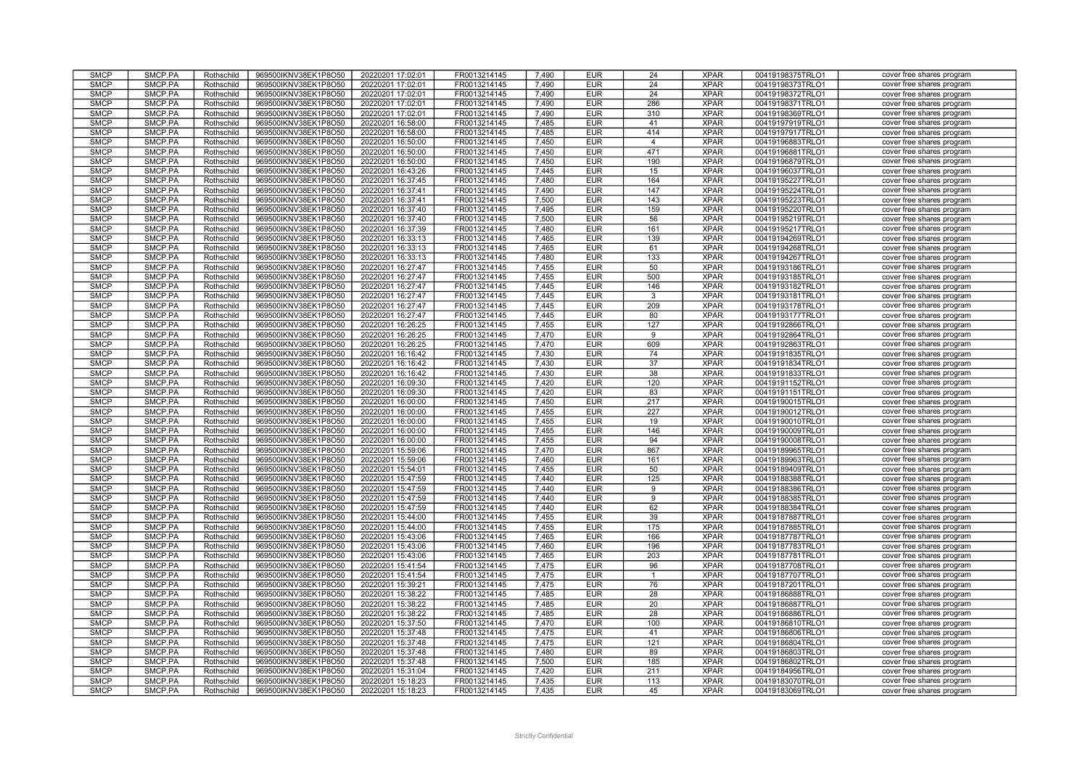| <b>SMCP</b> | SMCP.PA | Rothschild | 969500IKNV38EK1P8O50 | 20220201 17:02:01 | FR0013214145 | 7,490 | <b>EUR</b> | 24              | <b>XPAR</b> | 00419198375TRLO1 | cover free shares program |
|-------------|---------|------------|----------------------|-------------------|--------------|-------|------------|-----------------|-------------|------------------|---------------------------|
| <b>SMCP</b> | SMCP.PA | Rothschild | 969500IKNV38EK1P8O50 | 20220201 17:02:01 | FR0013214145 | 7,490 | <b>EUR</b> | $\overline{24}$ | <b>XPAR</b> | 00419198373TRLO1 | cover free shares program |
| <b>SMCP</b> | SMCP.PA | Rothschild | 969500IKNV38EK1P8O50 | 20220201 17:02:01 | FR0013214145 | 7,490 | <b>EUR</b> | 24              | <b>XPAR</b> | 00419198372TRLO1 | cover free shares program |
| <b>SMCP</b> | SMCP.PA | Rothschild | 969500IKNV38EK1P8O50 | 20220201 17:02:01 | FR0013214145 | 7,490 | <b>EUR</b> | 286             | <b>XPAR</b> | 00419198371TRLO1 | cover free shares program |
| <b>SMCP</b> | SMCP.PA | Rothschild | 969500IKNV38EK1P8O50 | 20220201 17:02:01 | FR0013214145 | 7,490 | <b>EUR</b> | 310             | <b>XPAR</b> | 00419198369TRLO1 | cover free shares program |
| <b>SMCP</b> | SMCP.PA | Rothschild | 969500IKNV38EK1P8O50 | 20220201 16:58:00 | FR0013214145 | 7,485 | <b>EUR</b> | 41              | <b>XPAR</b> | 00419197919TRLO1 | cover free shares program |
| <b>SMCP</b> | SMCP.PA | Rothschild | 969500IKNV38EK1P8O50 | 20220201 16:58:00 | FR0013214145 | 7,485 | <b>EUR</b> | 414             | <b>XPAR</b> | 00419197917TRLO1 | cover free shares program |
| <b>SMCP</b> | SMCP.PA | Rothschild | 969500IKNV38EK1P8O50 |                   | FR0013214145 | 7,450 | <b>EUR</b> | $\overline{4}$  | <b>XPAR</b> | 00419196883TRLO1 |                           |
|             |         |            |                      | 20220201 16:50:00 |              |       |            |                 |             |                  | cover free shares program |
| <b>SMCP</b> | SMCP.PA | Rothschild | 969500IKNV38EK1P8O50 | 20220201 16:50:00 | FR0013214145 | 7,450 | <b>EUR</b> | 471             | <b>XPAR</b> | 00419196881TRLO1 | cover free shares program |
| <b>SMCP</b> | SMCP.PA | Rothschild | 969500IKNV38EK1P8O50 | 20220201 16:50:00 | FR0013214145 | 7,450 | <b>EUR</b> | 190             | <b>XPAR</b> | 00419196879TRLO1 | cover free shares program |
| <b>SMCP</b> | SMCP.PA | Rothschild | 969500IKNV38EK1P8O50 | 20220201 16:43:26 | FR0013214145 | 7,445 | <b>EUR</b> | 15              | <b>XPAR</b> | 00419196037TRLO1 | cover free shares program |
| <b>SMCP</b> | SMCP.PA | Rothschild | 969500IKNV38EK1P8O50 | 20220201 16:37:45 | FR0013214145 | 7,480 | <b>EUR</b> | 164             | <b>XPAR</b> | 00419195227TRLO1 | cover free shares program |
| <b>SMCP</b> | SMCP.PA | Rothschild | 969500IKNV38EK1P8O50 | 20220201 16:37:41 | FR0013214145 | 7,490 | <b>EUR</b> | 147             | <b>XPAR</b> | 00419195224TRLO1 | cover free shares program |
| <b>SMCP</b> | SMCP.PA | Rothschild | 969500IKNV38EK1P8O50 | 20220201 16:37:41 | FR0013214145 | 7,500 | <b>EUR</b> | 143             | <b>XPAR</b> | 00419195223TRLO1 | cover free shares program |
| <b>SMCP</b> | SMCP.PA | Rothschild | 969500IKNV38EK1P8O50 | 20220201 16:37:40 | FR0013214145 | 7,495 | <b>EUR</b> | 159             | <b>XPAR</b> | 00419195220TRLO1 | cover free shares program |
| <b>SMCP</b> | SMCP.PA | Rothschild | 969500IKNV38EK1P8O50 | 20220201 16:37:40 | FR0013214145 | 7,500 | <b>EUR</b> | 56              | <b>XPAR</b> | 00419195219TRLO1 | cover free shares program |
| <b>SMCP</b> | SMCP.PA | Rothschild | 969500IKNV38EK1P8O50 | 20220201 16:37:39 | FR0013214145 | 7,480 | <b>EUR</b> | 161             | <b>XPAR</b> | 00419195217TRLO1 | cover free shares program |
| <b>SMCP</b> | SMCP.PA | Rothschild | 969500IKNV38EK1P8O50 | 20220201 16:33:13 | FR0013214145 | 7.465 | <b>EUR</b> | 139             | <b>XPAR</b> | 00419194269TRLO1 | cover free shares program |
| <b>SMCP</b> | SMCP.PA | Rothschild | 969500IKNV38EK1P8O50 | 20220201 16:33:13 | FR0013214145 | 7,465 | <b>EUR</b> | 61              | <b>XPAR</b> | 00419194268TRLO1 | cover free shares program |
| <b>SMCP</b> | SMCP.PA | Rothschild | 969500IKNV38EK1P8O50 | 20220201 16:33:13 | FR0013214145 | 7.480 | <b>EUR</b> | 133             | <b>XPAR</b> | 00419194267TRLO1 | cover free shares program |
| <b>SMCP</b> |         |            |                      |                   |              |       |            |                 | <b>XPAR</b> |                  |                           |
|             | SMCP.PA | Rothschild | 969500IKNV38EK1P8O50 | 20220201 16:27:47 | FR0013214145 | 7,455 | <b>EUR</b> | 50              |             | 00419193186TRLO1 | cover free shares program |
| <b>SMCP</b> | SMCP.PA | Rothschild | 969500IKNV38EK1P8O50 | 20220201 16:27:47 | FR0013214145 | 7,455 | <b>EUR</b> | 500             | <b>XPAR</b> | 00419193185TRLO1 | cover free shares program |
| <b>SMCP</b> | SMCP.PA | Rothschild | 969500IKNV38EK1P8O50 | 20220201 16:27:47 | FR0013214145 | 7,445 | <b>EUR</b> | 146             | <b>XPAR</b> | 00419193182TRLO1 | cover free shares program |
| <b>SMCP</b> | SMCP.PA | Rothschild | 969500IKNV38EK1P8O50 | 20220201 16:27:47 | FR0013214145 | 7,445 | <b>EUR</b> | 3               | <b>XPAR</b> | 00419193181TRLO1 | cover free shares program |
| <b>SMCP</b> | SMCP.PA | Rothschild | 969500IKNV38EK1P8O50 | 20220201 16:27:47 | FR0013214145 | 7,445 | <b>EUR</b> | 209             | <b>XPAR</b> | 00419193178TRLO1 | cover free shares program |
| <b>SMCP</b> | SMCP.PA | Rothschild | 969500IKNV38EK1P8O50 | 20220201 16:27:47 | FR0013214145 | 7,445 | <b>EUR</b> | 80              | <b>XPAR</b> | 00419193177TRLO1 | cover free shares program |
| <b>SMCP</b> | SMCP.PA | Rothschild | 969500IKNV38EK1P8O50 | 20220201 16:26:25 | FR0013214145 | 7,455 | <b>EUR</b> | 127             | <b>XPAR</b> | 00419192866TRLO1 | cover free shares program |
| <b>SMCP</b> | SMCP.PA | Rothschild | 969500IKNV38EK1P8O50 | 20220201 16:26:25 | FR0013214145 | 7,470 | <b>EUR</b> | 9               | <b>XPAR</b> | 00419192864TRLO1 | cover free shares program |
| <b>SMCP</b> | SMCP.PA | Rothschild | 969500IKNV38EK1P8O50 | 20220201 16:26:25 | FR0013214145 | 7,470 | <b>EUR</b> | 609             | <b>XPAR</b> | 00419192863TRLO1 | cover free shares program |
| <b>SMCP</b> | SMCP.PA | Rothschild | 969500IKNV38EK1P8O50 | 20220201 16:16:42 | FR0013214145 | 7,430 | <b>EUR</b> | 74              | <b>XPAR</b> | 00419191835TRLO1 | cover free shares program |
| <b>SMCP</b> | SMCP.PA | Rothschild | 969500IKNV38EK1P8O50 | 20220201 16:16:42 | FR0013214145 | 7,430 | <b>EUR</b> | 37              | <b>XPAR</b> | 00419191834TRLO1 | cover free shares program |
| <b>SMCP</b> | SMCP.PA | Rothschild | 969500IKNV38EK1P8O50 | 20220201 16:16:42 | FR0013214145 | 7,430 | <b>EUR</b> | 38              | <b>XPAR</b> | 00419191833TRLO1 | cover free shares program |
| <b>SMCP</b> | SMCP.PA | Rothschild | 969500IKNV38EK1P8O50 | 20220201 16:09:30 | FR0013214145 | 7,420 | <b>EUR</b> | 120             | <b>XPAR</b> | 00419191152TRLO1 | cover free shares program |
| <b>SMCP</b> | SMCP.PA | Rothschild | 969500IKNV38EK1P8O50 |                   | FR0013214145 | 7,420 | <b>EUR</b> | 83              | <b>XPAR</b> | 00419191151TRLO1 |                           |
| <b>SMCP</b> |         |            |                      | 20220201 16:09:30 |              |       |            | 217             |             |                  | cover free shares program |
|             | SMCP.PA | Rothschild | 969500IKNV38EK1P8O50 | 20220201 16:00:00 | FR0013214145 | 7,450 | <b>EUR</b> |                 | <b>XPAR</b> | 00419190015TRLO1 | cover free shares program |
| <b>SMCP</b> | SMCP.PA | Rothschild | 969500IKNV38EK1P8O50 | 20220201 16:00:00 | FR0013214145 | 7,455 | <b>EUR</b> | 227             | <b>XPAR</b> | 00419190012TRLO1 | cover free shares program |
| <b>SMCP</b> | SMCP.PA | Rothschild | 969500IKNV38EK1P8O50 | 20220201 16:00:00 | FR0013214145 | 7,455 | <b>EUR</b> | 19              | <b>XPAR</b> | 00419190010TRLO1 | cover free shares program |
| <b>SMCP</b> | SMCP.PA | Rothschild | 969500IKNV38EK1P8O50 | 20220201 16:00:00 | FR0013214145 | 7,455 | <b>EUR</b> | 146             | <b>XPAR</b> | 00419190009TRLO1 | cover free shares program |
| <b>SMCP</b> | SMCP.PA | Rothschild | 969500IKNV38EK1P8O50 | 20220201 16:00:00 | FR0013214145 | 7,455 | <b>EUR</b> | 94              | <b>XPAR</b> | 00419190008TRLO1 | cover free shares program |
| <b>SMCP</b> | SMCP.PA | Rothschild | 969500IKNV38EK1P8O50 | 20220201 15:59:06 | FR0013214145 | 7,470 | <b>EUR</b> | 867             | <b>XPAR</b> | 00419189965TRLO1 | cover free shares program |
| <b>SMCP</b> | SMCP.PA | Rothschild | 969500IKNV38EK1P8O50 | 20220201 15:59:06 | FR0013214145 | 7,460 | <b>EUR</b> | 161             | <b>XPAR</b> | 00419189963TRLO1 | cover free shares program |
| <b>SMCP</b> | SMCP.PA | Rothschild | 969500IKNV38EK1P8O50 | 20220201 15:54:01 | FR0013214145 | 7,455 | <b>EUR</b> | 50              | <b>XPAR</b> | 00419189409TRLO1 | cover free shares program |
| <b>SMCP</b> | SMCP.PA | Rothschild | 969500IKNV38EK1P8O50 | 20220201 15:47:59 | FR0013214145 | 7,440 | <b>EUR</b> | 125             | <b>XPAR</b> | 00419188388TRLO1 | cover free shares program |
| <b>SMCP</b> | SMCP.PA | Rothschild | 969500IKNV38EK1P8O50 | 20220201 15:47:59 | FR0013214145 | 7,440 | <b>EUR</b> | 9               | <b>XPAR</b> | 00419188386TRLO1 | cover free shares program |
| <b>SMCP</b> | SMCP.PA | Rothschild | 969500IKNV38EK1P8O50 | 20220201 15:47:59 | FR0013214145 | 7.440 | <b>EUR</b> | 9               | <b>XPAR</b> | 00419188385TRLO1 | cover free shares program |
| <b>SMCP</b> | SMCP.PA | Rothschild | 969500IKNV38EK1P8O50 | 20220201 15:47:59 | FR0013214145 | 7,440 | <b>EUR</b> | 62              | <b>XPAR</b> | 00419188384TRLO1 | cover free shares program |
| <b>SMCP</b> | SMCP.PA | Rothschild | 969500IKNV38EK1P8O50 | 20220201 15:44:00 | FR0013214145 | 7,455 | <b>EUR</b> | 39              | <b>XPAR</b> | 00419187887TRLO1 | cover free shares program |
| <b>SMCP</b> | SMCP.PA | Rothschild | 969500IKNV38EK1P8O50 | 20220201 15:44:00 | FR0013214145 | 7,455 | <b>EUR</b> | 175             | <b>XPAR</b> | 00419187885TRLO1 | cover free shares program |
| <b>SMCP</b> | SMCP.PA | Rothschild | 969500IKNV38EK1P8O50 | 20220201 15:43:06 | FR0013214145 | 7,465 | <b>EUR</b> | 166             | <b>XPAR</b> | 00419187787TRLO1 | cover free shares program |
| <b>SMCP</b> | SMCP.PA | Rothschild | 969500IKNV38EK1P8O50 | 20220201 15:43:06 | FR0013214145 | 7,460 | <b>EUR</b> | 196             | <b>XPAR</b> | 00419187783TRLO1 | cover free shares program |
| <b>SMCP</b> | SMCP.PA |            | 969500IKNV38EK1P8O50 | 20220201 15:43:06 | FR0013214145 | 7,465 | <b>EUR</b> | 203             | <b>XPAR</b> | 00419187781TRLO1 |                           |
| <b>SMCP</b> |         | Rothschild |                      |                   |              |       |            |                 |             |                  | cover free shares program |
|             | SMCP.PA | Rothschild | 969500IKNV38EK1P8O50 | 20220201 15:41:54 | FR0013214145 | 7,475 | <b>EUR</b> | 96              | <b>XPAR</b> | 00419187708TRLO1 | cover free shares program |
| <b>SMCP</b> | SMCP.PA | Rothschild | 969500IKNV38EK1P8O50 | 20220201 15:41:54 | FR0013214145 | 7,475 | <b>EUR</b> | $\mathbf{1}$    | <b>XPAR</b> | 00419187707TRLO1 | cover free shares program |
| <b>SMCP</b> | SMCP.PA | Rothschild | 969500IKNV38EK1P8O50 | 20220201 15:39:21 | FR0013214145 | 7,475 | <b>EUR</b> | $\overline{76}$ | <b>XPAR</b> | 00419187201TRLO1 | cover free shares program |
| <b>SMCP</b> | SMCP.PA | Rothschild | 969500IKNV38EK1P8O50 | 20220201 15:38:22 | FR0013214145 | 7,485 | <b>EUR</b> | $\overline{28}$ | <b>XPAR</b> | 00419186888TRLO1 | cover free shares program |
| <b>SMCP</b> | SMCP.PA | Rothschild | 969500IKNV38EK1P8O50 | 20220201 15:38:22 | FR0013214145 | 7,485 | <b>EUR</b> | 20              | <b>XPAR</b> | 00419186887TRLO1 | cover free shares program |
| <b>SMCP</b> | SMCP.PA | Rothschild | 969500IKNV38EK1P8O50 | 20220201 15:38:22 | FR0013214145 | 7,485 | <b>EUR</b> | 28              | <b>XPAR</b> | 00419186886TRLO1 | cover free shares program |
| <b>SMCP</b> | SMCP.PA | Rothschild | 969500IKNV38EK1P8O50 | 20220201 15:37:50 | FR0013214145 | 7,470 | <b>EUR</b> | 100             | <b>XPAR</b> | 00419186810TRLO1 | cover free shares program |
| <b>SMCP</b> | SMCP.PA | Rothschild | 969500IKNV38EK1P8O50 | 20220201 15:37:48 | FR0013214145 | 7,475 | <b>EUR</b> | 41              | <b>XPAR</b> | 00419186806TRLO1 | cover free shares program |
| <b>SMCP</b> | SMCP.PA | Rothschild | 969500IKNV38EK1P8O50 | 20220201 15:37:48 | FR0013214145 | 7,475 | <b>EUR</b> | 121             | <b>XPAR</b> | 00419186804TRLO1 | cover free shares program |
| <b>SMCP</b> | SMCP.PA | Rothschild | 969500IKNV38EK1P8O50 | 20220201 15:37:48 | FR0013214145 | 7,480 | <b>EUR</b> | 89              | <b>XPAR</b> | 00419186803TRLO1 | cover free shares program |
| <b>SMCP</b> | SMCP.PA | Rothschild | 969500IKNV38EK1P8O50 | 20220201 15:37:48 | FR0013214145 | 7,500 | <b>EUR</b> | 185             | <b>XPAR</b> | 00419186802TRLO1 | cover free shares program |
| <b>SMCP</b> | SMCP.PA | Rothschild | 969500IKNV38EK1P8O50 | 20220201 15:31:04 | FR0013214145 | 7,420 | <b>EUR</b> | 211             | <b>XPAR</b> | 00419184956TRLO1 | cover free shares program |
| <b>SMCP</b> | SMCP.PA | Rothschild | 969500IKNV38EK1P8O50 | 20220201 15:18:23 | FR0013214145 | 7,435 | <b>EUR</b> | 113             | <b>XPAR</b> | 00419183070TRLO1 | cover free shares program |
| <b>SMCP</b> | SMCP.PA | Rothschild | 969500IKNV38EK1P8O50 | 20220201 15:18:23 | FR0013214145 | 7,435 | <b>EUR</b> | 45              | <b>XPAR</b> | 00419183069TRLO1 | cover free shares program |
|             |         |            |                      |                   |              |       |            |                 |             |                  |                           |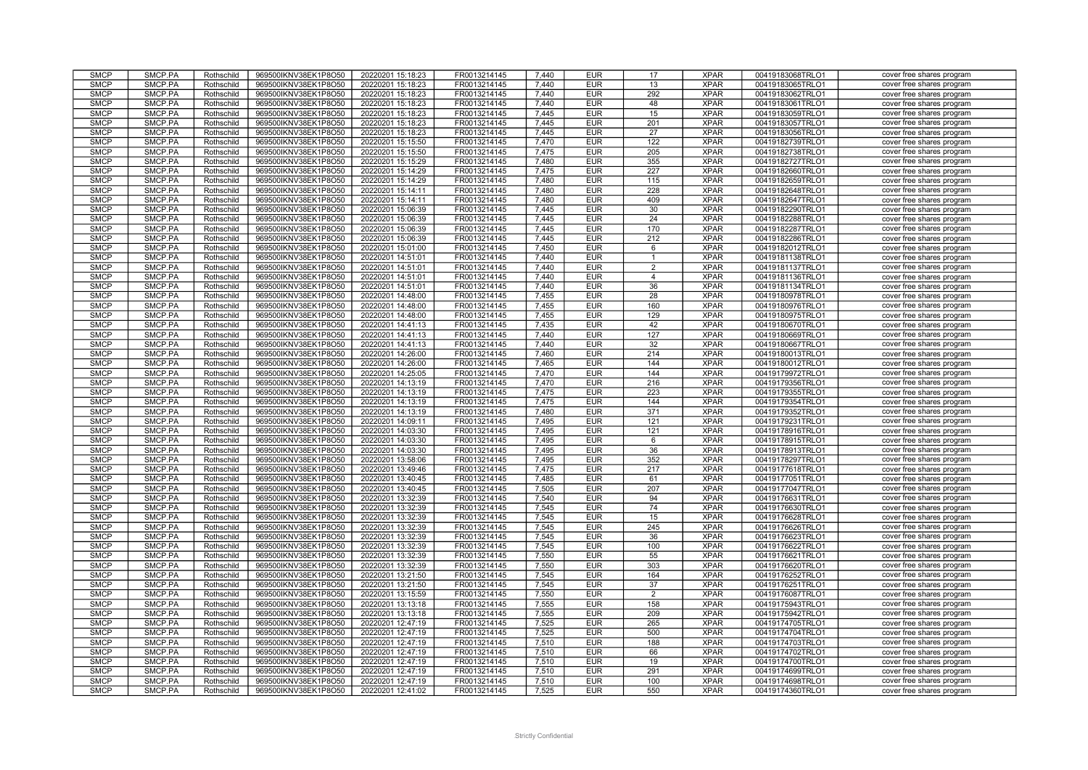| <b>SMCP</b><br>SMCP.PA | 969500IKNV38EK1P8O50<br>Rothschild | 20220201 15:18:23 | FR0013214145 | 7,440 | <b>EUR</b> | 17             | <b>XPAR</b>                | 00419183068TRLO1 | cover free shares program |
|------------------------|------------------------------------|-------------------|--------------|-------|------------|----------------|----------------------------|------------------|---------------------------|
| <b>SMCP</b><br>SMCP.PA | 969500IKNV38EK1P8O50<br>Rothschild | 20220201 15:18:23 | FR0013214145 | 7,440 | <b>EUR</b> | 13             | <b>XPAR</b>                | 00419183065TRLO1 | cover free shares program |
| <b>SMCP</b><br>SMCP.PA | Rothschild<br>969500IKNV38EK1P8O50 | 20220201 15:18:23 | FR0013214145 | 7.440 | <b>EUR</b> | 292            | <b>XPAR</b>                | 00419183062TRLO1 | cover free shares program |
| <b>SMCP</b><br>SMCP.PA | Rothschild<br>969500IKNV38EK1P8O50 | 20220201 15:18:23 | FR0013214145 | 7.440 | <b>EUR</b> | 48             | <b>XPAR</b>                | 00419183061TRLO1 | cover free shares program |
| <b>SMCP</b><br>SMCP.PA | 969500IKNV38EK1P8O50<br>Rothschild | 20220201 15:18:23 | FR0013214145 | 7,445 | <b>EUR</b> | 15             | <b>XPAR</b>                | 00419183059TRLO1 | cover free shares program |
| <b>SMCP</b><br>SMCP.PA | 969500IKNV38EK1P8O50<br>Rothschild | 20220201 15:18:23 | FR0013214145 | 7.445 | <b>EUR</b> | 201            | <b>XPAR</b>                | 00419183057TRLO1 | cover free shares program |
| <b>SMCP</b><br>SMCP.PA | 969500IKNV38EK1P8O50<br>Rothschild | 20220201 15:18:23 | FR0013214145 | 7,445 | <b>EUR</b> | 27             | <b>XPAR</b>                | 00419183056TRLO1 |                           |
| <b>SMCP</b>            |                                    |                   |              |       |            |                |                            |                  | cover free shares program |
| SMCP.PA                | Rothschild<br>969500IKNV38EK1P8O50 | 20220201 15:15:50 | FR0013214145 | 7,470 | <b>EUR</b> | 122            | <b>XPAR</b>                | 00419182739TRLO1 | cover free shares program |
| <b>SMCP</b><br>SMCP.PA | 969500IKNV38EK1P8O50<br>Rothschild | 20220201 15:15:50 | FR0013214145 | 7,475 | <b>EUR</b> | 205            | <b>XPAR</b>                | 00419182738TRLO1 | cover free shares program |
| <b>SMCP</b><br>SMCP.PA | Rothschild<br>969500IKNV38EK1P8O50 | 20220201 15:15:29 | FR0013214145 | 7,480 | <b>EUR</b> | 355            | <b>XPAR</b>                | 00419182727TRLO1 | cover free shares program |
| <b>SMCP</b><br>SMCP.PA | Rothschild<br>969500IKNV38EK1P8O50 | 20220201 15:14:29 | FR0013214145 | 7,475 | <b>EUR</b> | 227            | <b>XPAR</b>                | 00419182660TRLO1 | cover free shares program |
| <b>SMCP</b><br>SMCP.PA | 969500IKNV38EK1P8O50<br>Rothschild | 20220201 15:14:29 | FR0013214145 | 7,480 | <b>EUR</b> | 115            | <b>XPAR</b>                | 00419182659TRLO1 | cover free shares program |
| <b>SMCP</b><br>SMCP.PA | 969500IKNV38EK1P8O50<br>Rothschild | 20220201 15:14:11 | FR0013214145 | 7,480 | <b>EUR</b> | 228            | <b>XPAR</b>                | 00419182648TRLO1 | cover free shares program |
| <b>SMCP</b><br>SMCP.PA | Rothschild<br>969500IKNV38EK1P8O50 | 20220201 15:14:11 | FR0013214145 | 7,480 | <b>EUR</b> | 409            | <b>XPAR</b>                | 00419182647TRLO1 | cover free shares program |
| <b>SMCP</b><br>SMCP.PA | 969500IKNV38EK1P8O50<br>Rothschild | 20220201 15:06:39 | FR0013214145 | 7,445 | <b>EUR</b> | 30             | <b>XPAR</b>                | 00419182290TRLO1 | cover free shares program |
| <b>SMCP</b><br>SMCP.PA | 969500IKNV38EK1P8O50<br>Rothschild | 20220201 15:06:39 | FR0013214145 | 7,445 | <b>EUR</b> | 24             | <b>XPAR</b>                | 00419182288TRLO1 | cover free shares program |
| <b>SMCP</b><br>SMCP.PA | 969500IKNV38EK1P8O50<br>Rothschild | 20220201 15:06:39 | FR0013214145 | 7,445 | <b>EUR</b> | 170            | <b>XPAR</b>                | 00419182287TRLO1 | cover free shares program |
| <b>SMCP</b><br>SMCP.PA | Rothschild<br>969500IKNV38EK1P8O50 | 20220201 15:06:39 | FR0013214145 | 7,445 | <b>EUR</b> | 212            | <b>XPAR</b>                | 00419182286TRLO1 | cover free shares program |
| <b>SMCP</b><br>SMCP.PA |                                    | 20220201 15:01:00 |              | 7,450 | <b>EUR</b> |                | <b>XPAR</b>                |                  |                           |
|                        | 969500IKNV38EK1P8O50<br>Rothschild |                   | FR0013214145 |       |            | 6              |                            | 00419182012TRLO1 | cover free shares program |
| <b>SMCP</b><br>SMCP.PA | 969500IKNV38EK1P8O50<br>Rothschild | 20220201 14:51:01 | FR0013214145 | 7.440 | <b>EUR</b> |                | <b>XPAR</b>                | 00419181138TRLO1 | cover free shares program |
| <b>SMCP</b><br>SMCP.PA | Rothschild<br>969500IKNV38EK1P8O50 | 20220201 14:51:01 | FR0013214145 | 7,440 | <b>EUR</b> | $\overline{2}$ | <b>XPAR</b>                | 00419181137TRLO1 | cover free shares program |
| <b>SMCP</b><br>SMCP.PA | 969500IKNV38EK1P8O50<br>Rothschild | 20220201 14:51:01 | FR0013214145 | 7,440 | <b>EUR</b> | $\overline{4}$ | <b>XPAR</b>                | 00419181136TRLO1 | cover free shares program |
| <b>SMCP</b><br>SMCP.PA | Rothschild<br>969500IKNV38EK1P8O50 | 20220201 14:51:01 | FR0013214145 | 7.440 | <b>EUR</b> | 36             | <b>XPAR</b>                | 00419181134TRLO1 | cover free shares program |
| <b>SMCP</b><br>SMCP.PA | 969500IKNV38EK1P8O50<br>Rothschild | 20220201 14:48:00 | FR0013214145 | 7,455 | <b>EUR</b> | 28             | <b>XPAR</b>                | 00419180978TRLO1 | cover free shares program |
| <b>SMCP</b><br>SMCP.PA | 969500IKNV38EK1P8O50<br>Rothschild | 20220201 14:48:00 | FR0013214145 | 7,455 | <b>EUR</b> | 160            | <b>XPAR</b>                | 00419180976TRLO1 | cover free shares program |
| <b>SMCP</b><br>SMCP.PA | 969500IKNV38EK1P8O50<br>Rothschild | 20220201 14:48:00 | FR0013214145 | 7,455 | <b>EUR</b> | 129            | <b>XPAR</b>                | 00419180975TRLO1 | cover free shares program |
| <b>SMCP</b><br>SMCP.PA | Rothschild<br>969500IKNV38EK1P8O50 | 20220201 14:41:13 | FR0013214145 | 7,435 | <b>EUR</b> | 42             | <b>XPAR</b>                | 00419180670TRLO1 | cover free shares program |
| <b>SMCP</b><br>SMCP.PA | 969500IKNV38EK1P8O50<br>Rothschild | 20220201 14:41:13 | FR0013214145 | 7,440 | <b>EUR</b> | 127            | <b>XPAR</b>                | 00419180669TRLO1 | cover free shares program |
| <b>SMCP</b><br>SMCP.PA | 969500IKNV38EK1P8O50<br>Rothschild | 20220201 14:41:13 | FR0013214145 | 7,440 | <b>EUR</b> | 32             | <b>XPAR</b>                | 00419180667TRLO1 | cover free shares program |
| <b>SMCP</b><br>SMCP.PA | 969500IKNV38EK1P8O50<br>Rothschild | 20220201 14:26:00 | FR0013214145 | 7,460 | <b>EUR</b> | 214            | <b>XPAR</b>                | 00419180013TRLO1 | cover free shares program |
|                        |                                    |                   |              |       |            |                | <b>XPAR</b>                |                  |                           |
| <b>SMCP</b><br>SMCP.PA | 969500IKNV38EK1P8O50<br>Rothschild | 20220201 14:26:00 | FR0013214145 | 7,465 | <b>EUR</b> | 144            |                            | 00419180012TRLO1 | cover free shares program |
| SMCP.PA<br><b>SMCP</b> | 969500IKNV38EK1P8O50<br>Rothschild | 20220201 14:25:05 | FR0013214145 | 7,470 | <b>EUR</b> | 144            | <b>XPAR</b>                | 00419179972TRLO1 | cover free shares program |
| SMCP.PA<br><b>SMCP</b> | 969500IKNV38EK1P8O50<br>Rothschild | 20220201 14:13:19 | FR0013214145 | 7,470 | <b>EUR</b> | 216            | <b>XPAR</b>                | 00419179356TRLO1 | cover free shares program |
| <b>SMCP</b><br>SMCP.PA | Rothschild<br>969500IKNV38EK1P8O50 | 20220201 14:13:19 | FR0013214145 | 7,475 | <b>EUR</b> | 223            | <b>XPAR</b>                | 00419179355TRLO1 | cover free shares program |
| <b>SMCP</b><br>SMCP.PA | Rothschild<br>969500IKNV38EK1P8O50 | 20220201 14:13:19 | FR0013214145 | 7,475 | <b>EUR</b> | 144            | <b>XPAR</b>                | 00419179354TRLO1 | cover free shares program |
| <b>SMCP</b><br>SMCP.PA | 969500IKNV38EK1P8O50<br>Rothschild | 20220201 14:13:19 | FR0013214145 | 7,480 | <b>EUR</b> | 371            | <b>XPAR</b>                | 00419179352TRLO1 | cover free shares program |
| <b>SMCP</b><br>SMCP.PA | Rothschild<br>969500IKNV38EK1P8O50 | 20220201 14:09:11 | FR0013214145 | 7,495 | <b>EUR</b> | 121            | <b>XPAR</b>                | 00419179231TRLO1 | cover free shares program |
| <b>SMCP</b><br>SMCP.PA | Rothschild<br>969500IKNV38EK1P8O50 | 20220201 14:03:30 | FR0013214145 | 7.495 | <b>EUR</b> | 121            | <b>XPAR</b>                | 00419178916TRLO1 | cover free shares program |
| <b>SMCP</b><br>SMCP.PA | 969500IKNV38EK1P8O50<br>Rothschild | 20220201 14:03:30 | FR0013214145 | 7,495 | <b>EUR</b> | 6              | <b>XPAR</b>                | 00419178915TRLO1 | cover free shares program |
| <b>SMCP</b><br>SMCP.PA | Rothschild<br>969500IKNV38EK1P8O50 | 20220201 14:03:30 | FR0013214145 | 7,495 | <b>EUR</b> | 36             | <b>XPAR</b>                | 00419178913TRLO1 | cover free shares program |
| <b>SMCP</b><br>SMCP.PA | Rothschild<br>969500IKNV38EK1P8O50 | 20220201 13:58:06 | FR0013214145 | 7,495 | <b>EUR</b> | 352            | <b>XPAR</b>                | 00419178297TRLO1 | cover free shares program |
| <b>SMCP</b><br>SMCP.PA | 969500IKNV38EK1P8O50<br>Rothschild | 20220201 13:49:46 | FR0013214145 | 7,475 | <b>EUR</b> | 217            | <b>XPAR</b>                | 00419177618TRLO1 | cover free shares program |
| <b>SMCP</b><br>SMCP.PA | 969500IKNV38EK1P8O50<br>Rothschild | 20220201 13:40:45 | FR0013214145 | 7,485 | <b>EUR</b> | 61             | <b>XPAR</b>                | 00419177051TRLO1 | cover free shares program |
| <b>SMCP</b><br>SMCP.PA | 969500IKNV38EK1P8O50               | 20220201 13:40:45 | FR0013214145 |       | <b>EUR</b> | 207            | <b>XPAR</b>                | 00419177047TRLO1 |                           |
|                        | Rothschild                         |                   |              | 7,505 |            |                |                            |                  | cover free shares program |
| SMCP.PA<br><b>SMCP</b> | 969500IKNV38EK1P8O50<br>Rothschild | 20220201 13:32:39 | FR0013214145 | 7,540 | <b>EUR</b> | 94             | <b>XPAR</b>                | 00419176631TRLO1 | cover free shares program |
| <b>SMCP</b><br>SMCP.PA | Rothschild<br>969500IKNV38EK1P8O50 | 20220201 13:32:39 | FR0013214145 | 7,545 | <b>EUR</b> | 74             | <b>XPAR</b>                | 00419176630TRLO1 | cover free shares program |
| <b>SMCP</b><br>SMCP.PA | Rothschild<br>969500IKNV38EK1P8O50 | 20220201 13:32:39 | FR0013214145 | 7,545 | <b>EUR</b> | 15             | <b>XPAR</b>                | 00419176628TRLO1 | cover free shares program |
| <b>SMCP</b><br>SMCP.PA | 969500IKNV38EK1P8O50<br>Rothschild | 20220201 13:32:39 | FR0013214145 | 7,545 | <b>EUR</b> | 245            | <b>XPAR</b>                | 00419176626TRLO1 | cover free shares program |
| <b>SMCP</b><br>SMCP.PA | 969500IKNV38EK1P8O50<br>Rothschild | 20220201 13:32:39 | FR0013214145 | 7,545 | <b>EUR</b> | 36             | <b>XPAR</b>                | 00419176623TRLO1 | cover free shares program |
| <b>SMCP</b><br>SMCP.PA | Rothschild<br>969500IKNV38EK1P8O50 | 20220201 13:32:39 | FR0013214145 | 7,545 | <b>EUR</b> | 100            | <b>XPAR</b>                | 00419176622TRLO1 | cover free shares program |
|                        |                                    |                   |              |       |            |                |                            |                  |                           |
| <b>SMCP</b><br>SMCP.PA | Rothschild                         |                   | FR0013214145 |       | <b>EUR</b> |                | <b>XPAR</b>                | 00419176621TRLO1 |                           |
|                        | 969500IKNV38EK1P8O50               | 20220201 13:32:39 |              | 7,550 |            | 55             |                            |                  | cover free shares program |
| <b>SMCP</b><br>SMCP.PA | 969500IKNV38EK1P8O50<br>Rothschild | 20220201 13:32:39 | FR0013214145 | 7,550 | <b>EUR</b> | 303            | <b>XPAR</b><br><b>XPAR</b> | 00419176620TRLO1 | cover free shares program |
| <b>SMCP</b><br>SMCP.PA | Rothschild<br>969500IKNV38EK1P8O50 | 20220201 13:21:50 | FR0013214145 | 7,545 | <b>EUR</b> | 164            |                            | 00419176252TRLO1 | cover free shares program |
| <b>SMCP</b><br>SMCP.PA | Rothschild<br>969500IKNV38EK1P8O50 | 20220201 13:21:50 | FR0013214145 | 7,545 | <b>EUR</b> | 37             | <b>XPAR</b>                | 00419176251TRLO1 | cover free shares program |
| <b>SMCP</b><br>SMCP.PA | Rothschild<br>969500IKNV38EK1P8O50 | 20220201 13:15:59 | FR0013214145 | 7,550 | <b>EUR</b> | 2              | <b>XPAR</b>                | 00419176087TRLO1 | cover free shares program |
| <b>SMCP</b><br>SMCP.PA | 969500IKNV38EK1P8O50<br>Rothschild | 20220201 13:13:18 | FR0013214145 | 7,555 | <b>EUR</b> | 158            | <b>XPAR</b>                | 00419175943TRLO1 | cover free shares program |
| <b>SMCP</b><br>SMCP.PA | Rothschild<br>969500IKNV38EK1P8O50 | 20220201 13:13:18 | FR0013214145 | 7,555 | <b>EUR</b> | 209            | <b>XPAR</b>                | 00419175942TRLO1 | cover free shares program |
| SMCP.PA<br><b>SMCP</b> | Rothschild<br>969500IKNV38EK1P8O50 | 20220201 12:47:19 | FR0013214145 | 7,525 | <b>EUR</b> | 265            | <b>XPAR</b>                | 00419174705TRLO1 | cover free shares program |
| <b>SMCP</b><br>SMCP.PA | Rothschild<br>969500IKNV38EK1P8O50 | 20220201 12:47:19 | FR0013214145 | 7,525 | <b>EUR</b> | 500            | <b>XPAR</b>                | 00419174704TRLO1 | cover free shares program |
| <b>SMCP</b><br>SMCP.PA | 969500IKNV38EK1P8O50<br>Rothschild | 20220201 12:47:19 | FR0013214145 | 7,510 | <b>EUR</b> | 188            | <b>XPAR</b>                | 00419174703TRLO1 | cover free shares program |
| <b>SMCP</b><br>SMCP.PA | Rothschild<br>969500IKNV38EK1P8O50 | 20220201 12:47:19 | FR0013214145 | 7,510 | <b>EUR</b> | 66             | <b>XPAR</b>                | 00419174702TRLO1 | cover free shares program |
| <b>SMCP</b><br>SMCP.PA | 969500IKNV38EK1P8O50<br>Rothschild | 20220201 12:47:19 | FR0013214145 | 7,510 | <b>EUR</b> | 19             | <b>XPAR</b>                | 00419174700TRLO1 | cover free shares program |
| <b>SMCP</b><br>SMCP.PA | 969500IKNV38EK1P8O50<br>Rothschild | 20220201 12:47:19 | FR0013214145 | 7,510 | <b>EUR</b> | 291            | <b>XPAR</b>                | 00419174699TRLO1 | cover free shares program |
| <b>SMCP</b><br>SMCP.PA | 969500IKNV38EK1P8O50<br>Rothschild | 20220201 12:47:19 | FR0013214145 | 7,510 | <b>EUR</b> | 100            | <b>XPAR</b>                | 00419174698TRLO1 | cover free shares program |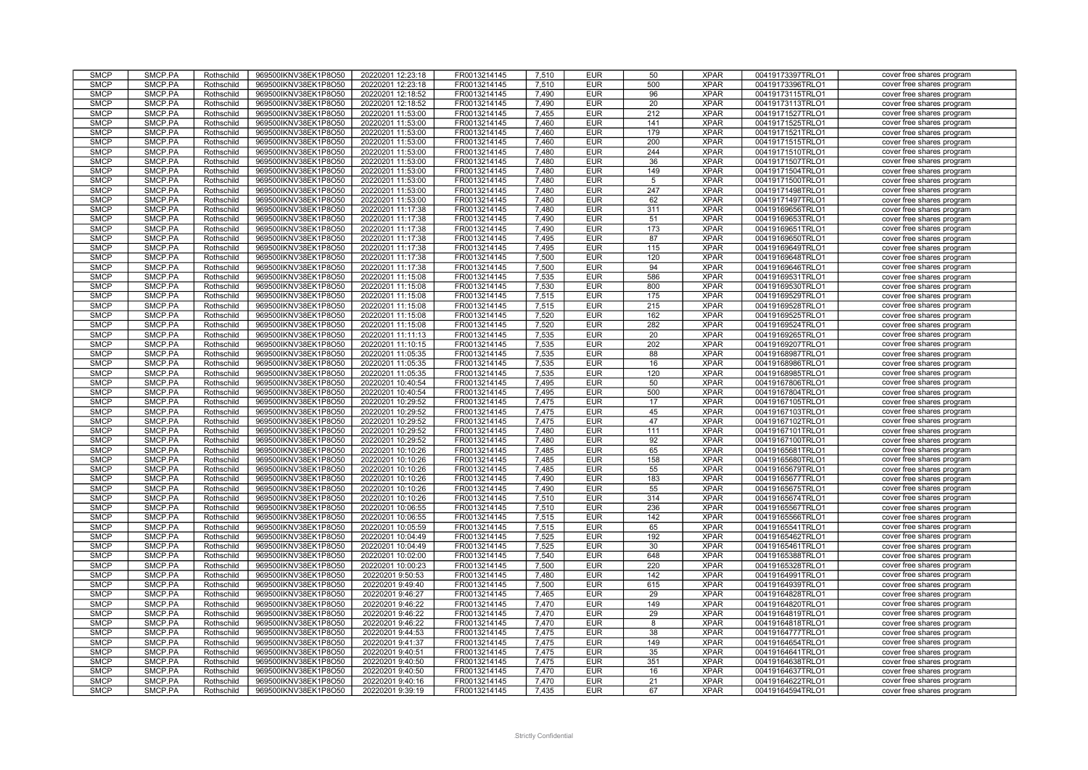| <b>SMCP</b> | SMCP.PA | Rothschild               | 969500IKNV38EK1P8O50                         | 20220201 12:23:18                      | FR0013214145 | 7,510 | <b>EUR</b> | 50        | <b>XPAR</b> | 00419173397TRLO1 | cover free shares program |
|-------------|---------|--------------------------|----------------------------------------------|----------------------------------------|--------------|-------|------------|-----------|-------------|------------------|---------------------------|
| <b>SMCP</b> | SMCP.PA | Rothschild               | 969500IKNV38EK1P8O50                         | 20220201 12:23:18                      | FR0013214145 | 7,510 | <b>EUR</b> | 500       | <b>XPAR</b> | 00419173396TRLO1 | cover free shares program |
| <b>SMCP</b> | SMCP.PA | Rothschild               | 969500IKNV38EK1P8O50                         | 20220201 12:18:52                      | FR0013214145 | 7,490 | <b>EUR</b> | 96        | <b>XPAR</b> | 00419173115TRLO1 | cover free shares program |
| <b>SMCP</b> | SMCP.PA | Rothschild               | 969500IKNV38EK1P8O50                         | 20220201 12:18:52                      | FR0013214145 | 7,490 | <b>EUR</b> | 20        | <b>XPAR</b> | 00419173113TRLO1 | cover free shares program |
| <b>SMCP</b> | SMCP.PA | Rothschild               | 969500IKNV38EK1P8O50                         | 20220201 11:53:00                      | FR0013214145 | 7,455 | <b>EUR</b> | 212       | <b>XPAR</b> | 00419171527TRLO1 | cover free shares program |
| <b>SMCP</b> | SMCP.PA | Rothschild               | 969500IKNV38EK1P8O50                         | 20220201 11:53:00                      | FR0013214145 | 7.460 | <b>EUR</b> | 141       | <b>XPAR</b> | 00419171525TRLO1 | cover free shares program |
| <b>SMCP</b> | SMCP.PA | Rothschild               | 969500IKNV38EK1P8O50                         | 20220201 11:53:00                      | FR0013214145 | 7,460 | <b>EUR</b> | 179       | <b>XPAR</b> | 00419171521TRLO1 | cover free shares program |
| <b>SMCP</b> | SMCP.PA | Rothschild               | 969500IKNV38EK1P8O50                         | 20220201 11:53:00                      | FR0013214145 | 7,460 | <b>EUR</b> | 200       | <b>XPAR</b> | 00419171515TRLO1 |                           |
| <b>SMCP</b> | SMCP.PA |                          | 969500IKNV38EK1P8O50                         |                                        |              |       | <b>EUR</b> | 244       | <b>XPAR</b> | 00419171510TRLO1 | cover free shares program |
|             |         | Rothschild               |                                              | 20220201 11:53:00                      | FR0013214145 | 7,480 |            |           |             |                  | cover free shares program |
| <b>SMCP</b> | SMCP.PA | Rothschild               | 969500IKNV38EK1P8O50                         | 20220201 11:53:00                      | FR0013214145 | 7.480 | <b>EUR</b> | 36        | <b>XPAR</b> | 00419171507TRLO1 | cover free shares program |
| <b>SMCP</b> | SMCP.PA | Rothschild               | 969500IKNV38EK1P8O50                         | 20220201 11:53:00                      | FR0013214145 | 7,480 | <b>EUR</b> | 149       | <b>XPAR</b> | 00419171504TRLO1 | cover free shares program |
| <b>SMCP</b> | SMCP.PA | Rothschild               | 969500IKNV38EK1P8O50                         | 20220201 11:53:00                      | FR0013214145 | 7,480 | <b>EUR</b> | 5         | <b>XPAR</b> | 00419171500TRLO1 | cover free shares program |
| <b>SMCP</b> | SMCP.PA | Rothschild               | 969500IKNV38EK1P8O50                         | 20220201 11:53:00                      | FR0013214145 | 7,480 | <b>EUR</b> | 247       | <b>XPAR</b> | 00419171498TRLO1 | cover free shares program |
| <b>SMCP</b> | SMCP.PA | Rothschild               | 969500IKNV38EK1P8O50                         | 20220201 11:53:00                      | FR0013214145 | 7,480 | <b>EUR</b> | 62        | <b>XPAR</b> | 00419171497TRLO1 | cover free shares program |
| <b>SMCP</b> | SMCP.PA | Rothschild               | 969500IKNV38EK1P8O50                         | 20220201 11:17:38                      | FR0013214145 | 7,480 | <b>EUR</b> | 311       | <b>XPAR</b> | 00419169656TRLO1 | cover free shares program |
| <b>SMCP</b> | SMCP.PA | Rothschild               | 969500IKNV38EK1P8O50                         | 20220201 11:17:38                      | FR0013214145 | 7,490 | <b>EUR</b> | 51        | <b>XPAR</b> | 00419169653TRLO1 | cover free shares program |
| <b>SMCP</b> | SMCP.PA | Rothschild               | 969500IKNV38EK1P8O50                         | 20220201 11:17:38                      | FR0013214145 | 7,490 | <b>EUR</b> | 173       | <b>XPAR</b> | 00419169651TRLO1 | cover free shares program |
| <b>SMCP</b> | SMCP.PA | Rothschild               | 969500IKNV38EK1P8O50                         | 20220201 11:17:38                      | FR0013214145 | 7.495 | <b>EUR</b> | 87        | <b>XPAR</b> | 00419169650TRLO1 | cover free shares program |
| <b>SMCP</b> | SMCP.PA | Rothschild               | 969500IKNV38EK1P8O50                         | 20220201 11:17:38                      | FR0013214145 | 7,495 | <b>EUR</b> | 115       | <b>XPAR</b> | 00419169649TRLO1 | cover free shares program |
| <b>SMCP</b> | SMCP.PA | Rothschild               | 969500IKNV38EK1P8O50                         | 20220201 11:17:38                      | FR0013214145 | 7.500 | <b>EUR</b> | 120       | <b>XPAR</b> | 00419169648TRLO1 | cover free shares program |
| <b>SMCP</b> | SMCP.PA | Rothschild               | 969500IKNV38EK1P8O50                         | 20220201 11:17:38                      | FR0013214145 | 7,500 | <b>EUR</b> | 94        | <b>XPAR</b> | 00419169646TRLO1 | cover free shares program |
| <b>SMCP</b> | SMCP.PA | Rothschild               | 969500IKNV38EK1P8O50                         | 20220201 11:15:08                      | FR0013214145 | 7,535 | <b>EUR</b> | 586       | <b>XPAR</b> | 00419169531TRLO1 | cover free shares program |
| <b>SMCP</b> | SMCP.PA | Rothschild               | 969500IKNV38EK1P8O50                         | 20220201 11:15:08                      | FR0013214145 | 7,530 | <b>EUR</b> | 800       | <b>XPAR</b> | 00419169530TRLO1 | cover free shares program |
| <b>SMCP</b> | SMCP.PA | Rothschild               | 969500IKNV38EK1P8O50                         | 20220201 11:15:08                      | FR0013214145 | 7,515 | <b>EUR</b> | 175       | <b>XPAR</b> | 00419169529TRLO1 | cover free shares program |
|             |         |                          |                                              |                                        |              |       |            |           |             |                  |                           |
| <b>SMCP</b> | SMCP.PA | Rothschild               | 969500IKNV38EK1P8O50                         | 20220201 11:15:08                      | FR0013214145 | 7,515 | <b>EUR</b> | 215       | <b>XPAR</b> | 00419169528TRLO1 | cover free shares program |
| <b>SMCP</b> | SMCP.PA | Rothschild               | 969500IKNV38EK1P8O50                         | 20220201 11:15:08                      | FR0013214145 | 7,520 | <b>EUR</b> | 162       | <b>XPAR</b> | 00419169525TRLO1 | cover free shares program |
| <b>SMCP</b> | SMCP.PA | Rothschild               | 969500IKNV38EK1P8O50                         | 20220201 11:15:08                      | FR0013214145 | 7,520 | <b>EUR</b> | 282       | <b>XPAR</b> | 00419169524TRLO1 | cover free shares program |
| <b>SMCP</b> | SMCP.PA | Rothschild               | 969500IKNV38EK1P8O50                         | 20220201 11:11:13                      | FR0013214145 | 7,535 | <b>EUR</b> | 20        | <b>XPAR</b> | 00419169265TRLO1 | cover free shares program |
| <b>SMCP</b> | SMCP.PA | Rothschild               | 969500IKNV38EK1P8O50                         | 20220201 11:10:15                      | FR0013214145 | 7,535 | <b>EUR</b> | 202       | <b>XPAR</b> | 00419169207TRLO1 | cover free shares program |
| <b>SMCP</b> | SMCP.PA | Rothschild               | 969500IKNV38EK1P8O50                         | 20220201 11:05:35                      | FR0013214145 | 7,535 | <b>EUR</b> | 88        | <b>XPAR</b> | 00419168987TRLO1 | cover free shares program |
| <b>SMCP</b> | SMCP.PA | Rothschild               | 969500IKNV38EK1P8O50                         | 20220201 11:05:35                      | FR0013214145 | 7,535 | <b>EUR</b> | 16        | <b>XPAR</b> | 00419168986TRLO1 | cover free shares program |
| <b>SMCP</b> | SMCP.PA | Rothschild               | 969500IKNV38EK1P8O50                         | 20220201 11:05:35                      | FR0013214145 | 7,535 | <b>EUR</b> | 120       | <b>XPAR</b> | 00419168985TRLO1 | cover free shares program |
| <b>SMCP</b> | SMCP.PA | Rothschild               | 969500IKNV38EK1P8O50                         | 20220201 10:40:54                      | FR0013214145 | 7,495 | <b>EUR</b> | 50        | <b>XPAR</b> | 00419167806TRLO1 | cover free shares program |
| <b>SMCP</b> | SMCP.PA | Rothschild               | 969500IKNV38EK1P8O50                         | 20220201 10:40:54                      | FR0013214145 | 7,495 | <b>EUR</b> | 500       | <b>XPAR</b> | 00419167804TRLO1 | cover free shares program |
| <b>SMCP</b> | SMCP.PA | Rothschild               | 969500IKNV38EK1P8O50                         | 20220201 10:29:52                      | FR0013214145 | 7,475 | <b>EUR</b> | 17        | <b>XPAR</b> | 00419167105TRLO1 | cover free shares program |
| <b>SMCP</b> | SMCP.PA | Rothschild               | 969500IKNV38EK1P8O50                         | 20220201 10:29:52                      | FR0013214145 | 7,475 | <b>EUR</b> | 45        | <b>XPAR</b> | 00419167103TRLO1 | cover free shares program |
| <b>SMCP</b> | SMCP.PA | Rothschild               | 969500IKNV38EK1P8O50                         | 20220201 10:29:52                      | FR0013214145 | 7,475 | <b>EUR</b> | 47        | <b>XPAR</b> | 00419167102TRLO1 | cover free shares program |
| <b>SMCP</b> | SMCP.PA | Rothschild               | 969500IKNV38EK1P8O50                         | 20220201 10:29:52                      | FR0013214145 | 7,480 | <b>EUR</b> | 111       | <b>XPAR</b> | 00419167101TRLO1 | cover free shares program |
| <b>SMCP</b> | SMCP.PA | Rothschild               | 969500IKNV38EK1P8O50                         | 20220201 10:29:52                      | FR0013214145 | 7,480 | <b>EUR</b> | 92        | <b>XPAR</b> | 00419167100TRLO1 | cover free shares program |
| <b>SMCP</b> | SMCP.PA | Rothschild               | 969500IKNV38EK1P8O50                         | 20220201 10:10:26                      | FR0013214145 | 7,485 | <b>EUR</b> | 65        | <b>XPAR</b> | 00419165681TRLO1 | cover free shares program |
| <b>SMCP</b> | SMCP.PA | Rothschild               | 969500IKNV38EK1P8O50                         | 20220201 10:10:26                      | FR0013214145 | 7,485 | <b>EUR</b> | 158       | <b>XPAR</b> | 00419165680TRLO1 | cover free shares program |
| <b>SMCP</b> | SMCP.PA | Rothschild               | 969500IKNV38EK1P8O50                         | 20220201 10:10:26                      | FR0013214145 | 7,485 | <b>EUR</b> | 55        | <b>XPAR</b> | 00419165679TRLO1 | cover free shares program |
| <b>SMCP</b> | SMCP.PA | Rothschild               | 969500IKNV38EK1P8O50                         | 20220201 10:10:26                      | FR0013214145 | 7,490 | <b>EUR</b> | 183       | <b>XPAR</b> | 00419165677TRLO1 | cover free shares program |
| <b>SMCP</b> | SMCP.PA |                          |                                              |                                        | FR0013214145 | 7,490 | <b>EUR</b> |           | <b>XPAR</b> | 00419165675TRLO1 | cover free shares program |
| <b>SMCP</b> | SMCP.PA | Rothschild<br>Rothschild | 969500IKNV38EK1P8O50<br>969500IKNV38EK1P8O50 | 20220201 10:10:26<br>20220201 10:10:26 | FR0013214145 | 7.510 | <b>EUR</b> | 55<br>314 | <b>XPAR</b> | 00419165674TRLO1 |                           |
|             |         |                          |                                              |                                        |              |       |            |           |             |                  | cover free shares program |
| <b>SMCP</b> | SMCP.PA | Rothschild               | 969500IKNV38EK1P8O50                         | 20220201 10:06:55                      | FR0013214145 | 7,510 | <b>EUR</b> | 236       | <b>XPAR</b> | 00419165567TRLO1 | cover free shares program |
| <b>SMCP</b> | SMCP.PA | Rothschild               | 969500IKNV38EK1P8O50                         | 20220201 10:06:55                      | FR0013214145 | 7.515 | <b>EUR</b> | 142       | <b>XPAR</b> | 00419165566TRLO1 | cover free shares program |
| <b>SMCP</b> | SMCP.PA | Rothschild               | 969500IKNV38EK1P8O50                         | 20220201 10:05:59                      | FR0013214145 | 7,515 | <b>EUR</b> | 65        | <b>XPAR</b> | 00419165541TRLO1 | cover free shares program |
| <b>SMCP</b> | SMCP.PA | Rothschild               | 969500IKNV38EK1P8O50                         | 20220201 10:04:49                      | FR0013214145 | 7,525 | <b>EUR</b> | 192       | <b>XPAR</b> | 00419165462TRLO1 | cover free shares program |
| <b>SMCP</b> | SMCP.PA | Rothschild               | 969500IKNV38EK1P8O50                         | 20220201 10:04:49                      | FR0013214145 | 7,525 | <b>EUR</b> | 30        | <b>XPAR</b> | 00419165461TRLO1 | cover free shares program |
| <b>SMCP</b> | SMCP.PA | Rothschild               | 969500IKNV38EK1P8O50                         | 20220201 10:02:00                      | FR0013214145 | 7,540 | <b>EUR</b> | 648       | <b>XPAR</b> | 00419165388TRLO1 | cover free shares program |
| <b>SMCP</b> | SMCP.PA | Rothschild               | 969500IKNV38EK1P8O50                         | 20220201 10:00:23                      | FR0013214145 | 7,500 | <b>EUR</b> | 220       | <b>XPAR</b> | 00419165328TRLO1 | cover free shares program |
| <b>SMCP</b> | SMCP.PA | Rothschild               | 969500IKNV38EK1P8O50                         | 20220201 9:50:53                       | FR0013214145 | 7,480 | <b>EUR</b> | 142       | <b>XPAR</b> | 00419164991TRLO1 | cover free shares program |
| <b>SMCP</b> | SMCP.PA | Rothschild               | 969500IKNV38EK1P8O50                         | 20220201 9:49:40                       | FR0013214145 | 7,500 | <b>EUR</b> | 615       | <b>XPAR</b> | 00419164939TRLO1 | cover free shares program |
| <b>SMCP</b> | SMCP.PA | Rothschild               | 969500IKNV38EK1P8O50                         | 20220201 9:46:27                       | FR0013214145 | 7,465 | <b>EUR</b> | 29        | <b>XPAR</b> | 00419164828TRLO1 | cover free shares program |
| <b>SMCP</b> | SMCP.PA | Rothschild               | 969500IKNV38EK1P8O50                         | 20220201 9:46:22                       | FR0013214145 | 7,470 | <b>EUR</b> | 149       | <b>XPAR</b> | 00419164820TRLO1 | cover free shares program |
| <b>SMCP</b> | SMCP.PA | Rothschild               | 969500IKNV38EK1P8O50                         | 20220201 9:46:22                       | FR0013214145 | 7,470 | <b>EUR</b> | 29        | <b>XPAR</b> | 00419164819TRLO1 | cover free shares program |
| <b>SMCP</b> | SMCP.PA | Rothschild               | 969500IKNV38EK1P8O50                         | 20220201 9:46:22                       | FR0013214145 | 7,470 | <b>EUR</b> | 8         | <b>XPAR</b> | 00419164818TRLO1 | cover free shares program |
| <b>SMCP</b> | SMCP.PA | Rothschild               | 969500IKNV38EK1P8O50                         | 20220201 9:44:53                       | FR0013214145 | 7,475 | <b>EUR</b> | 38        | <b>XPAR</b> | 00419164777TRLO1 | cover free shares program |
| <b>SMCP</b> | SMCP.PA | Rothschild               | 969500IKNV38EK1P8O50                         | 20220201 9:41:37                       | FR0013214145 | 7,475 | <b>EUR</b> | 149       | <b>XPAR</b> | 00419164654TRLO1 | cover free shares program |
| <b>SMCP</b> | SMCP.PA | Rothschild               | 969500IKNV38EK1P8O50                         | 20220201 9:40:51                       | FR0013214145 | 7,475 | <b>EUR</b> | 35        | <b>XPAR</b> | 00419164641TRLO1 | cover free shares program |
| <b>SMCP</b> | SMCP.PA | Rothschild               | 969500IKNV38EK1P8O50                         | 20220201 9:40:50                       | FR0013214145 | 7.475 | <b>EUR</b> | 351       | <b>XPAR</b> | 00419164638TRLO1 | cover free shares program |
| <b>SMCP</b> | SMCP.PA | Rothschild               | 969500IKNV38EK1P8O50                         | 20220201 9:40:50                       | FR0013214145 | 7,470 | <b>EUR</b> | 16        | <b>XPAR</b> | 00419164637TRLO1 | cover free shares program |
| <b>SMCP</b> | SMCP.PA |                          | 969500IKNV38EK1P8O50                         | 20220201 9:40:16                       | FR0013214145 | 7,470 | <b>EUR</b> | 21        | <b>XPAR</b> | 00419164622TRLO1 | cover free shares program |
|             |         | Rothschild               |                                              |                                        |              |       |            |           |             |                  |                           |
| <b>SMCP</b> | SMCP.PA | Rothschild               | 969500IKNV38EK1P8O50                         | 20220201 9:39:19                       | FR0013214145 | 7,435 | <b>EUR</b> | 67        | <b>XPAR</b> | 00419164594TRLO1 | cover free shares program |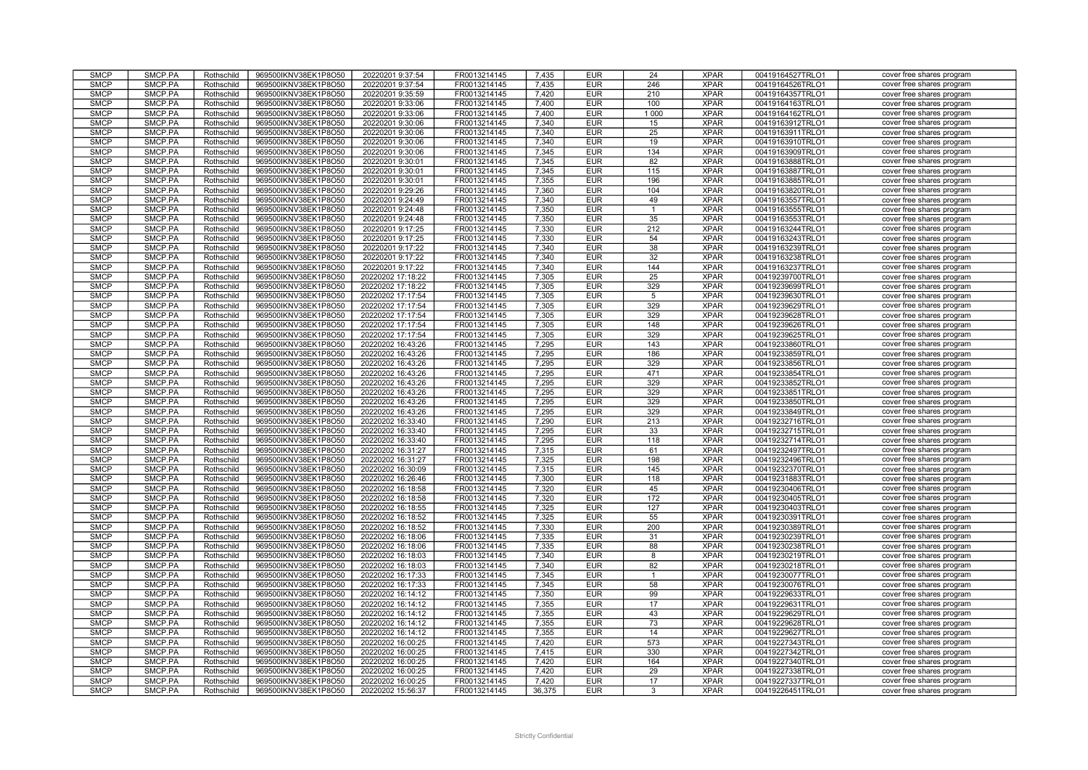| <b>SMCP</b> | SMCP.PA | Rothschild | 969500IKNV38EK1P8O50 | 20220201 9:37:54  | FR0013214145 | 7,435  | <b>EUR</b> | 24              | <b>XPAR</b> | 00419164527TRLO1 | cover free shares program |
|-------------|---------|------------|----------------------|-------------------|--------------|--------|------------|-----------------|-------------|------------------|---------------------------|
| <b>SMCP</b> | SMCP.PA | Rothschild | 969500IKNV38EK1P8O50 | 20220201 9:37:54  | FR0013214145 | 7,435  | <b>EUR</b> | 246             | <b>XPAR</b> | 00419164526TRLO1 | cover free shares program |
| <b>SMCP</b> | SMCP.PA | Rothschild | 969500IKNV38EK1P8O50 | 20220201 9:35:59  | FR0013214145 | 7,420  | <b>EUR</b> | 210             | <b>XPAR</b> | 00419164357TRLO1 | cover free shares program |
| <b>SMCP</b> | SMCP.PA | Rothschild | 969500IKNV38EK1P8O50 | 20220201 9:33:06  | FR0013214145 | 7,400  | <b>EUR</b> | 100             | <b>XPAR</b> | 00419164163TRLO1 | cover free shares program |
| <b>SMCP</b> | SMCP.PA | Rothschild | 969500IKNV38EK1P8O50 | 20220201 9:33:06  | FR0013214145 | 7,400  | <b>EUR</b> | 1 0 0 0         | <b>XPAR</b> | 00419164162TRLO1 | cover free shares program |
| <b>SMCP</b> | SMCP.PA | Rothschild | 969500IKNV38EK1P8O50 | 20220201 9:30:06  | FR0013214145 | 7.340  | <b>EUR</b> | 15              | <b>XPAR</b> | 00419163912TRLO1 | cover free shares program |
| <b>SMCP</b> | SMCP.PA | Rothschild | 969500IKNV38EK1P8O50 | 20220201 9:30:06  | FR0013214145 | 7,340  | <b>EUR</b> | 25              | <b>XPAR</b> | 00419163911TRLO1 | cover free shares program |
| <b>SMCP</b> | SMCP.PA | Rothschild | 969500IKNV38EK1P8O50 | 20220201 9:30:06  | FR0013214145 | 7,340  | <b>EUR</b> | 19              | <b>XPAR</b> | 00419163910TRLO1 |                           |
|             |         |            |                      |                   |              |        |            |                 |             |                  | cover free shares program |
| <b>SMCP</b> | SMCP.PA | Rothschild | 969500IKNV38EK1P8O50 | 20220201 9:30:06  | FR0013214145 | 7,345  | <b>EUR</b> | 134             | <b>XPAR</b> | 00419163909TRLO1 | cover free shares program |
| <b>SMCP</b> | SMCP.PA | Rothschild | 969500IKNV38EK1P8O50 | 20220201 9:30:01  | FR0013214145 | 7,345  | <b>EUR</b> | 82              | <b>XPAR</b> | 00419163888TRLO1 | cover free shares program |
| <b>SMCP</b> | SMCP.PA | Rothschild | 969500IKNV38EK1P8O50 | 20220201 9:30:01  | FR0013214145 | 7,345  | <b>EUR</b> | 115             | <b>XPAR</b> | 00419163887TRLO1 | cover free shares program |
| <b>SMCP</b> | SMCP.PA | Rothschild | 969500IKNV38EK1P8O50 | 20220201 9:30:01  | FR0013214145 | 7,355  | <b>EUR</b> | 196             | <b>XPAR</b> | 00419163885TRLO1 | cover free shares program |
| <b>SMCP</b> | SMCP.PA | Rothschild | 969500IKNV38EK1P8O50 | 20220201 9:29:26  | FR0013214145 | 7,360  | <b>EUR</b> | 104             | <b>XPAR</b> | 00419163820TRLO1 | cover free shares program |
| <b>SMCP</b> | SMCP.PA | Rothschild | 969500IKNV38EK1P8O50 | 20220201 9:24:49  | FR0013214145 | 7,340  | <b>EUR</b> | 49              | <b>XPAR</b> | 00419163557TRLO1 | cover free shares program |
| <b>SMCP</b> | SMCP.PA | Rothschild | 969500IKNV38EK1P8O50 | 20220201 9:24:48  | FR0013214145 | 7,350  | <b>EUR</b> | $\mathbf{1}$    | <b>XPAR</b> | 00419163555TRLO1 | cover free shares program |
| <b>SMCP</b> | SMCP.PA | Rothschild | 969500IKNV38EK1P8O50 | 20220201 9:24:48  | FR0013214145 | 7,350  | <b>EUR</b> | 35              | <b>XPAR</b> | 00419163553TRLO1 | cover free shares program |
| <b>SMCP</b> | SMCP.PA | Rothschild | 969500IKNV38EK1P8O50 | 20220201 9:17:25  | FR0013214145 | 7,330  | <b>EUR</b> | 212             | <b>XPAR</b> | 00419163244TRLO1 | cover free shares program |
| <b>SMCP</b> | SMCP.PA | Rothschild | 969500IKNV38EK1P8O50 | 20220201 9:17:25  | FR0013214145 | 7,330  | <b>EUR</b> | 54              | <b>XPAR</b> | 00419163243TRLO1 | cover free shares program |
| <b>SMCP</b> | SMCP.PA | Rothschild | 969500IKNV38EK1P8O50 | 20220201 9:17:22  | FR0013214145 | 7,340  | <b>EUR</b> | 38              | <b>XPAR</b> | 00419163239TRLO1 | cover free shares program |
| <b>SMCP</b> | SMCP.PA | Rothschild | 969500IKNV38EK1P8O50 | 20220201 9:17:22  | FR0013214145 | 7.340  | <b>EUR</b> | 32              | <b>XPAR</b> | 00419163238TRLO1 | cover free shares program |
| <b>SMCP</b> |         |            |                      |                   |              |        |            | 144             | <b>XPAR</b> |                  |                           |
|             | SMCP.PA | Rothschild | 969500IKNV38EK1P8O50 | 20220201 9:17:22  | FR0013214145 | 7,340  | <b>EUR</b> |                 |             | 00419163237TRLO1 | cover free shares program |
| <b>SMCP</b> | SMCP.PA | Rothschild | 969500IKNV38EK1P8O50 | 20220202 17:18:22 | FR0013214145 | 7,305  | <b>EUR</b> | 25              | <b>XPAR</b> | 00419239700TRLO1 | cover free shares program |
| <b>SMCP</b> | SMCP.PA | Rothschild | 969500IKNV38EK1P8O50 | 20220202 17:18:22 | FR0013214145 | 7,305  | <b>EUR</b> | 329             | <b>XPAR</b> | 00419239699TRLO1 | cover free shares program |
| <b>SMCP</b> | SMCP.PA | Rothschild | 969500IKNV38EK1P8O50 | 20220202 17:17:54 | FR0013214145 | 7,305  | <b>EUR</b> | 5               | <b>XPAR</b> | 00419239630TRLO1 | cover free shares program |
| <b>SMCP</b> | SMCP.PA | Rothschild | 969500IKNV38EK1P8O50 | 20220202 17:17:54 | FR0013214145 | 7,305  | <b>EUR</b> | 329             | <b>XPAR</b> | 00419239629TRLO1 | cover free shares program |
| <b>SMCP</b> | SMCP.PA | Rothschild | 969500IKNV38EK1P8O50 | 20220202 17:17:54 | FR0013214145 | 7,305  | <b>EUR</b> | 329             | <b>XPAR</b> | 00419239628TRLO1 | cover free shares program |
| <b>SMCP</b> | SMCP.PA | Rothschild | 969500IKNV38EK1P8O50 | 20220202 17:17:54 | FR0013214145 | 7,305  | <b>EUR</b> | 148             | <b>XPAR</b> | 00419239626TRLO1 | cover free shares program |
| <b>SMCP</b> | SMCP.PA | Rothschild | 969500IKNV38EK1P8O50 | 20220202 17:17:54 | FR0013214145 | 7,305  | <b>EUR</b> | 329             | <b>XPAR</b> | 00419239625TRLO1 | cover free shares program |
| <b>SMCP</b> | SMCP.PA | Rothschild | 969500IKNV38EK1P8O50 | 20220202 16:43:26 | FR0013214145 | 7,295  | <b>EUR</b> | 143             | <b>XPAR</b> | 00419233860TRLO1 | cover free shares program |
| <b>SMCP</b> | SMCP.PA | Rothschild | 969500IKNV38EK1P8O50 | 20220202 16:43:26 | FR0013214145 | 7,295  | <b>EUR</b> | 186             | <b>XPAR</b> | 00419233859TRLO1 | cover free shares program |
| <b>SMCP</b> | SMCP.PA | Rothschild | 969500IKNV38EK1P8O50 | 20220202 16:43:26 | FR0013214145 | 7,295  | <b>EUR</b> | 329             | <b>XPAR</b> | 00419233856TRLO1 | cover free shares program |
| <b>SMCP</b> | SMCP.PA | Rothschild | 969500IKNV38EK1P8O50 | 20220202 16:43:26 | FR0013214145 | 7,295  | <b>EUR</b> | 471             | <b>XPAR</b> | 00419233854TRLO1 | cover free shares program |
| <b>SMCP</b> | SMCP.PA | Rothschild | 969500IKNV38EK1P8O50 | 20220202 16:43:26 | FR0013214145 | 7,295  | <b>EUR</b> | 329             | <b>XPAR</b> | 00419233852TRLO1 | cover free shares program |
| <b>SMCP</b> | SMCP.PA | Rothschild | 969500IKNV38EK1P8O50 |                   | FR0013214145 | 7,295  | <b>EUR</b> | 329             | <b>XPAR</b> | 00419233851TRLO1 |                           |
| <b>SMCP</b> |         |            |                      | 20220202 16:43:26 |              |        |            | 329             |             |                  | cover free shares program |
|             | SMCP.PA | Rothschild | 969500IKNV38EK1P8O50 | 20220202 16:43:26 | FR0013214145 | 7,295  | <b>EUR</b> |                 | <b>XPAR</b> | 00419233850TRLO1 | cover free shares program |
| <b>SMCP</b> | SMCP.PA | Rothschild | 969500IKNV38EK1P8O50 | 20220202 16:43:26 | FR0013214145 | 7,295  | <b>EUR</b> | 329             | <b>XPAR</b> | 00419233849TRLO1 | cover free shares program |
| <b>SMCP</b> | SMCP.PA | Rothschild | 969500IKNV38EK1P8O50 | 20220202 16:33:40 | FR0013214145 | 7,290  | <b>EUR</b> | 213             | <b>XPAR</b> | 00419232716TRLO1 | cover free shares program |
| <b>SMCP</b> | SMCP.PA | Rothschild | 969500IKNV38EK1P8O50 | 20220202 16:33:40 | FR0013214145 | 7,295  | <b>EUR</b> | 33              | <b>XPAR</b> | 00419232715TRLO1 | cover free shares program |
| <b>SMCP</b> | SMCP.PA | Rothschild | 969500IKNV38EK1P8O50 | 20220202 16:33:40 | FR0013214145 | 7,295  | <b>EUR</b> | 118             | <b>XPAR</b> | 00419232714TRLO1 | cover free shares program |
| <b>SMCP</b> | SMCP.PA | Rothschild | 969500IKNV38EK1P8O50 | 20220202 16:31:27 | FR0013214145 | 7,315  | <b>EUR</b> | 61              | <b>XPAR</b> | 00419232497TRLO1 | cover free shares program |
| <b>SMCP</b> | SMCP.PA | Rothschild | 969500IKNV38EK1P8O50 | 20220202 16:31:27 | FR0013214145 | 7,325  | <b>EUR</b> | 198             | <b>XPAR</b> | 00419232496TRLO1 | cover free shares program |
| <b>SMCP</b> | SMCP.PA | Rothschild | 969500IKNV38EK1P8O50 | 20220202 16:30:09 | FR0013214145 | 7,315  | <b>EUR</b> | 145             | <b>XPAR</b> | 00419232370TRLO1 | cover free shares program |
| <b>SMCP</b> | SMCP.PA | Rothschild | 969500IKNV38EK1P8O50 | 20220202 16:26:46 | FR0013214145 | 7,300  | <b>EUR</b> | 118             | <b>XPAR</b> | 00419231883TRLO1 | cover free shares program |
| <b>SMCP</b> | SMCP.PA | Rothschild | 969500IKNV38EK1P8O50 | 20220202 16:18:58 | FR0013214145 | 7,320  | <b>EUR</b> | 45              | <b>XPAR</b> | 00419230406TRLO1 | cover free shares program |
| <b>SMCP</b> | SMCP.PA | Rothschild | 969500IKNV38EK1P8O50 | 20220202 16:18:58 | FR0013214145 | 7,320  | <b>EUR</b> | 172             | <b>XPAR</b> | 00419230405TRLO1 | cover free shares program |
| <b>SMCP</b> | SMCP.PA | Rothschild | 969500IKNV38EK1P8O50 | 20220202 16:18:55 | FR0013214145 | 7,325  | <b>EUR</b> | 127             | <b>XPAR</b> | 00419230403TRLO1 | cover free shares program |
| <b>SMCP</b> | SMCP.PA | Rothschild | 969500IKNV38EK1P8O50 | 20220202 16:18:52 | FR0013214145 | 7,325  | <b>EUR</b> | 55              | <b>XPAR</b> | 00419230391TRLO1 | cover free shares program |
| <b>SMCP</b> | SMCP.PA | Rothschild | 969500IKNV38EK1P8O50 | 20220202 16:18:52 | FR0013214145 | 7,330  | <b>EUR</b> | 200             | <b>XPAR</b> | 00419230389TRLO1 | cover free shares program |
| <b>SMCP</b> | SMCP.PA | Rothschild | 969500IKNV38EK1P8O50 | 20220202 16:18:06 | FR0013214145 | 7,335  | <b>EUR</b> | 31              | <b>XPAR</b> | 00419230239TRLO1 | cover free shares program |
| <b>SMCP</b> | SMCP.PA |            |                      | 20220202 16:18:06 | FR0013214145 |        | <b>EUR</b> | 88              | <b>XPAR</b> | 00419230238TRLO1 |                           |
|             |         | Rothschild | 969500IKNV38EK1P8O50 |                   |              | 7,335  |            |                 | <b>XPAR</b> |                  | cover free shares program |
| <b>SMCP</b> | SMCP.PA | Rothschild | 969500IKNV38EK1P8O50 | 20220202 16:18:03 | FR0013214145 | 7,340  | <b>EUR</b> | 8               |             | 00419230219TRLO1 | cover free shares program |
| <b>SMCP</b> | SMCP.PA | Rothschild | 969500IKNV38EK1P8O50 | 20220202 16:18:03 | FR0013214145 | 7,340  | <b>EUR</b> | 82              | <b>XPAR</b> | 00419230218TRLO1 | cover free shares program |
| <b>SMCP</b> | SMCP.PA | Rothschild | 969500IKNV38EK1P8O50 | 20220202 16:17:33 | FR0013214145 | 7,345  | <b>EUR</b> | $\mathbf{1}$    | <b>XPAR</b> | 00419230077TRLO1 | cover free shares program |
| <b>SMCP</b> | SMCP.PA | Rothschild | 969500IKNV38EK1P8O50 | 20220202 16:17:33 | FR0013214145 | 7,345  | <b>EUR</b> | $\overline{58}$ | <b>XPAR</b> | 00419230076TRLO1 | cover free shares program |
| <b>SMCP</b> | SMCP.PA | Rothschild | 969500IKNV38EK1P8O50 | 20220202 16:14:12 | FR0013214145 | 7,350  | <b>EUR</b> | 99              | <b>XPAR</b> | 00419229633TRLO1 | cover free shares program |
| <b>SMCP</b> | SMCP.PA | Rothschild | 969500IKNV38EK1P8O50 | 20220202 16:14:12 | FR0013214145 | 7,355  | <b>EUR</b> | 17              | <b>XPAR</b> | 00419229631TRLO1 | cover free shares program |
| <b>SMCP</b> | SMCP.PA | Rothschild | 969500IKNV38EK1P8O50 | 20220202 16:14:12 | FR0013214145 | 7,355  | <b>EUR</b> | 43              | <b>XPAR</b> | 00419229629TRLO1 | cover free shares program |
| <b>SMCP</b> | SMCP.PA | Rothschild | 969500IKNV38EK1P8O50 | 20220202 16:14:12 | FR0013214145 | 7,355  | <b>EUR</b> | $\overline{73}$ | <b>XPAR</b> | 00419229628TRLO1 | cover free shares program |
| <b>SMCP</b> | SMCP.PA | Rothschild | 969500IKNV38EK1P8O50 | 20220202 16:14:12 | FR0013214145 | 7,355  | <b>EUR</b> | 14              | <b>XPAR</b> | 00419229627TRLO1 | cover free shares program |
| <b>SMCP</b> | SMCP.PA | Rothschild | 969500IKNV38EK1P8O50 | 20220202 16:00:25 | FR0013214145 | 7,420  | <b>EUR</b> | 573             | <b>XPAR</b> | 00419227343TRLO1 | cover free shares program |
| <b>SMCP</b> | SMCP.PA | Rothschild | 969500IKNV38EK1P8O50 | 20220202 16:00:25 | FR0013214145 | 7,415  | <b>EUR</b> | 330             | <b>XPAR</b> | 00419227342TRLO1 | cover free shares program |
| <b>SMCP</b> | SMCP.PA | Rothschild | 969500IKNV38EK1P8O50 | 20220202 16:00:25 | FR0013214145 | 7,420  | <b>EUR</b> | 164             | <b>XPAR</b> | 00419227340TRLO1 | cover free shares program |
| <b>SMCP</b> | SMCP.PA | Rothschild | 969500IKNV38EK1P8O50 | 20220202 16:00:25 | FR0013214145 | 7,420  | <b>EUR</b> | 29              | <b>XPAR</b> | 00419227338TRLO1 | cover free shares program |
| <b>SMCP</b> | SMCP.PA |            | 969500IKNV38EK1P8O50 | 20220202 16:00:25 | FR0013214145 | 7,420  | <b>EUR</b> | 17              | <b>XPAR</b> | 00419227337TRLO1 | cover free shares program |
|             |         | Rothschild |                      |                   |              |        |            |                 |             |                  |                           |
| <b>SMCP</b> | SMCP.PA | Rothschild | 969500IKNV38EK1P8O50 | 20220202 15:56:37 | FR0013214145 | 36,375 | <b>EUR</b> | 3               | <b>XPAR</b> | 00419226451TRLO1 | cover free shares program |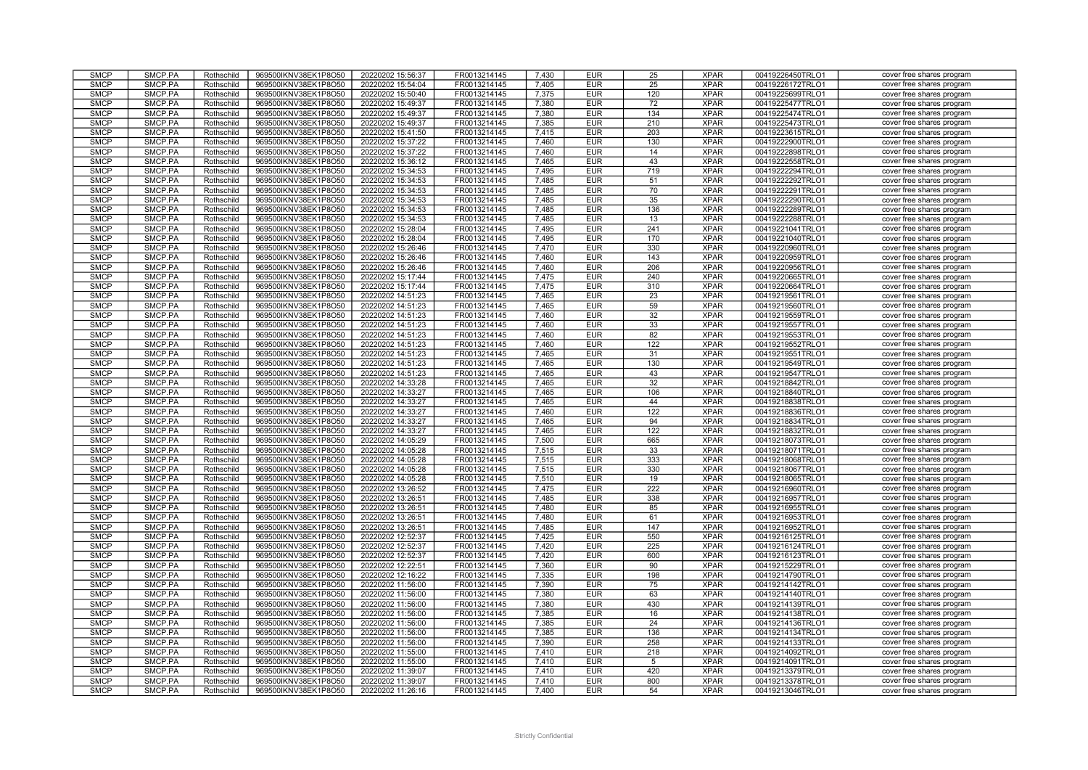| <b>SMCP</b>                | SMCP.PA            | Rothschild               | 969500IKNV38EK1P8O50                         | 20220202 15:56:37                      | FR0013214145                 | 7,430          | <b>EUR</b>               | 25              | <b>XPAR</b> | 00419226450TRLO1                     | cover free shares program |
|----------------------------|--------------------|--------------------------|----------------------------------------------|----------------------------------------|------------------------------|----------------|--------------------------|-----------------|-------------|--------------------------------------|---------------------------|
| <b>SMCP</b>                | SMCP.PA            | Rothschild               | 969500IKNV38EK1P8O50                         | 20220202 15:54:04                      | FR0013214145                 | 7,405          | <b>EUR</b>               | 25              | <b>XPAR</b> | 00419226172TRLO1                     | cover free shares program |
| <b>SMCP</b>                | SMCP.PA            | Rothschild               | 969500IKNV38EK1P8O50                         | 20220202 15:50:40                      | FR0013214145                 | 7,375          | <b>EUR</b>               | 120             | <b>XPAR</b> | 00419225699TRLO1                     | cover free shares program |
| <b>SMCP</b>                | SMCP.PA            | Rothschild               | 969500IKNV38EK1P8O50                         | 20220202 15:49:37                      | FR0013214145                 | 7,380          | <b>EUR</b>               | 72              | <b>XPAR</b> | 00419225477TRLO1                     | cover free shares program |
| <b>SMCP</b>                | SMCP.PA            | Rothschild               | 969500IKNV38EK1P8O50                         | 20220202 15:49:37                      | FR0013214145                 | 7,380          | <b>EUR</b>               | 134             | <b>XPAR</b> | 00419225474TRLO1                     | cover free shares program |
| <b>SMCP</b>                | SMCP.PA            | Rothschild               | 969500IKNV38EK1P8O50                         | 20220202 15:49:37                      | FR0013214145                 | 7,385          | <b>EUR</b>               | 210             | <b>XPAR</b> | 00419225473TRLO1                     | cover free shares program |
| <b>SMCP</b>                | SMCP.PA            | Rothschild               | 969500IKNV38EK1P8O50                         | 20220202 15:41:50                      | FR0013214145                 | 7,415          | <b>EUR</b>               | 203             | <b>XPAR</b> | 00419223615TRLO1                     | cover free shares program |
| <b>SMCP</b>                | SMCP.PA            | Rothschild               | 969500IKNV38EK1P8O50                         | 20220202 15:37:22                      | FR0013214145                 | 7,460          | <b>EUR</b>               | 130             | <b>XPAR</b> | 00419222900TRLO1                     | cover free shares program |
| <b>SMCP</b>                | SMCP.PA            |                          |                                              |                                        |                              |                | <b>EUR</b>               | 14              | <b>XPAR</b> | 00419222898TRLO1                     |                           |
|                            |                    | Rothschild               | 969500IKNV38EK1P8O50                         | 20220202 15:37:22                      | FR0013214145                 | 7,460          |                          |                 |             |                                      | cover free shares program |
| <b>SMCP</b>                | SMCP.PA            | Rothschild               | 969500IKNV38EK1P8O50                         | 20220202 15:36:12                      | FR0013214145                 | 7,465          | <b>EUR</b>               | 43              | <b>XPAR</b> | 00419222558TRLO1                     | cover free shares program |
| <b>SMCP</b>                | SMCP.PA            | Rothschild               | 969500IKNV38EK1P8O50                         | 20220202 15:34:53                      | FR0013214145                 | 7,495          | <b>EUR</b>               | 719             | <b>XPAR</b> | 00419222294TRLO1                     | cover free shares program |
| <b>SMCP</b>                | SMCP.PA            | Rothschild               | 969500IKNV38EK1P8O50                         | 20220202 15:34:53                      | FR0013214145                 | 7,485          | <b>EUR</b>               | 51              | <b>XPAR</b> | 00419222292TRLO1                     | cover free shares program |
| <b>SMCP</b>                | SMCP.PA            | Rothschild               | 969500IKNV38EK1P8O50                         | 20220202 15:34:53                      | FR0013214145                 | 7,485          | <b>EUR</b>               | 70              | <b>XPAR</b> | 00419222291TRLO1                     | cover free shares program |
| <b>SMCP</b>                | SMCP.PA            | Rothschild               | 969500IKNV38EK1P8O50                         | 20220202 15:34:53                      | FR0013214145                 | 7,485          | <b>EUR</b>               | 35              | <b>XPAR</b> | 00419222290TRLO1                     | cover free shares program |
| <b>SMCP</b>                | SMCP.PA            | Rothschild               | 969500IKNV38EK1P8O50                         | 20220202 15:34:53                      | FR0013214145                 | 7,485          | <b>EUR</b>               | 136             | <b>XPAR</b> | 00419222289TRLO1                     | cover free shares program |
| <b>SMCP</b>                | SMCP.PA            | Rothschild               | 969500IKNV38EK1P8O50                         | 20220202 15:34:53                      | FR0013214145                 | 7,485          | <b>EUR</b>               | 13              | <b>XPAR</b> | 00419222288TRLO1                     | cover free shares program |
| <b>SMCP</b>                | SMCP.PA            | Rothschild               | 969500IKNV38EK1P8O50                         | 20220202 15:28:04                      | FR0013214145                 | 7,495          | <b>EUR</b>               | 241             | <b>XPAR</b> | 00419221041TRLO1                     | cover free shares program |
| <b>SMCP</b>                | SMCP.PA            | Rothschild               | 969500IKNV38EK1P8O50                         | 20220202 15:28:04                      | FR0013214145                 | 7.495          | <b>EUR</b>               | 170             | <b>XPAR</b> | 00419221040TRLO1                     | cover free shares program |
| <b>SMCP</b>                | SMCP.PA            | Rothschild               | 969500IKNV38EK1P8O50                         | 20220202 15:26:46                      | FR0013214145                 | 7,470          | <b>EUR</b>               | 330             | <b>XPAR</b> | 00419220960TRLO1                     | cover free shares program |
| <b>SMCP</b>                | SMCP.PA            | Rothschild               | 969500IKNV38EK1P8O50                         | 20220202 15:26:46                      | FR0013214145                 | 7.460          | <b>EUR</b>               | 143             | <b>XPAR</b> | 00419220959TRLO1                     | cover free shares program |
| <b>SMCP</b>                | SMCP.PA            | Rothschild               | 969500IKNV38EK1P8O50                         | 20220202 15:26:46                      | FR0013214145                 | 7,460          | <b>EUR</b>               | 206             | <b>XPAR</b> | 00419220956TRLO1                     | cover free shares program |
| <b>SMCP</b>                | SMCP.PA            | Rothschild               | 969500IKNV38EK1P8O50                         | 20220202 15:17:44                      | FR0013214145                 | 7,475          | <b>EUR</b>               | 240             | <b>XPAR</b> | 00419220665TRLO1                     | cover free shares program |
| <b>SMCP</b>                | SMCP.PA            | Rothschild               | 969500IKNV38EK1P8O50                         | 20220202 15:17:44                      | FR0013214145                 | 7,475          | <b>EUR</b>               | 310             | <b>XPAR</b> | 00419220664TRLO1                     | cover free shares program |
| <b>SMCP</b>                | SMCP.PA            | Rothschild               | 969500IKNV38EK1P8O50                         | 20220202 14:51:23                      | FR0013214145                 | 7,465          | <b>EUR</b>               | 23              | <b>XPAR</b> | 00419219561TRLO1                     | cover free shares program |
| <b>SMCP</b>                |                    | Rothschild               |                                              |                                        |                              | 7,465          |                          |                 | <b>XPAR</b> |                                      | cover free shares program |
|                            | SMCP.PA            |                          | 969500IKNV38EK1P8O50                         | 20220202 14:51:23                      | FR0013214145                 |                | <b>EUR</b>               | 59              |             | 00419219560TRLO1                     |                           |
| <b>SMCP</b>                | SMCP.PA            | Rothschild               | 969500IKNV38EK1P8O50                         | 20220202 14:51:23                      | FR0013214145                 | 7,460          | <b>EUR</b>               | $\overline{32}$ | <b>XPAR</b> | 00419219559TRLO1                     | cover free shares program |
| <b>SMCP</b>                | SMCP.PA            | Rothschild               | 969500IKNV38EK1P8O50                         | 20220202 14:51:23                      | FR0013214145                 | 7,460          | <b>EUR</b>               | 33              | <b>XPAR</b> | 00419219557TRLO1                     | cover free shares program |
| <b>SMCP</b>                | SMCP.PA            | Rothschild               | 969500IKNV38EK1P8O50                         | 20220202 14:51:23                      | FR0013214145                 | 7,460          | <b>EUR</b>               | 82              | <b>XPAR</b> | 00419219553TRLO1                     | cover free shares program |
| <b>SMCP</b>                | SMCP.PA            | Rothschild               | 969500IKNV38EK1P8O50                         | 20220202 14:51:23                      | FR0013214145                 | 7,460          | <b>EUR</b>               | 122             | <b>XPAR</b> | 00419219552TRLO1                     | cover free shares program |
| <b>SMCP</b>                | SMCP.PA            | Rothschild               | 969500IKNV38EK1P8O50                         | 20220202 14:51:23                      | FR0013214145                 | 7,465          | <b>EUR</b>               | 31              | <b>XPAR</b> | 00419219551TRLO1                     | cover free shares program |
| <b>SMCP</b>                | SMCP.PA            | Rothschild               | 969500IKNV38EK1P8O50                         | 20220202 14:51:23                      | FR0013214145                 | 7,465          | <b>EUR</b>               | 130             | <b>XPAR</b> | 00419219549TRLO1                     | cover free shares program |
| <b>SMCP</b>                | SMCP.PA            | Rothschild               | 969500IKNV38EK1P8O50                         | 20220202 14:51:23                      | FR0013214145                 | 7,465          | <b>EUR</b>               | 43              | <b>XPAR</b> | 00419219547TRLO1                     | cover free shares program |
| <b>SMCP</b>                | SMCP.PA            | Rothschild               | 969500IKNV38EK1P8O50                         | 20220202 14:33:28                      | FR0013214145                 | 7,465          | <b>EUR</b>               | $\overline{32}$ | <b>XPAR</b> | 00419218842TRLO1                     | cover free shares program |
| <b>SMCP</b>                | SMCP.PA            | Rothschild               | 969500IKNV38EK1P8O50                         | 20220202 14:33:27                      | FR0013214145                 | 7,465          | <b>EUR</b>               | 106             | <b>XPAR</b> | 00419218840TRLO1                     | cover free shares program |
| <b>SMCP</b>                | SMCP.PA            | Rothschild               | 969500IKNV38EK1P8O50                         | 20220202 14:33:27                      | FR0013214145                 | 7,465          | <b>EUR</b>               | 44              | <b>XPAR</b> | 00419218838TRLO1                     | cover free shares program |
| <b>SMCP</b>                | SMCP.PA            | Rothschild               | 969500IKNV38EK1P8O50                         | 20220202 14:33:27                      | FR0013214145                 | 7,460          | <b>EUR</b>               | 122             | <b>XPAR</b> | 00419218836TRLO1                     | cover free shares program |
| <b>SMCP</b>                | SMCP.PA            | Rothschild               | 969500IKNV38EK1P8O50                         | 20220202 14:33:27                      | FR0013214145                 | 7.465          | <b>EUR</b>               | 94              | <b>XPAR</b> | 00419218834TRLO1                     | cover free shares program |
| <b>SMCP</b>                | SMCP.PA            | Rothschild               | 969500IKNV38EK1P8O50                         | 20220202 14:33:27                      | FR0013214145                 | 7,465          | <b>EUR</b>               | 122             | <b>XPAR</b> | 00419218832TRLO1                     | cover free shares program |
| <b>SMCP</b>                | SMCP.PA            | Rothschild               | 969500IKNV38EK1P8O50                         | 20220202 14:05:29                      | FR0013214145                 | 7,500          | <b>EUR</b>               | 665             | <b>XPAR</b> | 00419218073TRLO1                     | cover free shares program |
| <b>SMCP</b>                | SMCP.PA            | Rothschild               | 969500IKNV38EK1P8O50                         | 20220202 14:05:28                      | FR0013214145                 | 7,515          | <b>EUR</b>               | 33              | <b>XPAR</b> | 00419218071TRLO1                     | cover free shares program |
| <b>SMCP</b>                | SMCP.PA            | Rothschild               | 969500IKNV38EK1P8O50                         | 20220202 14:05:28                      | FR0013214145                 | 7,515          | <b>EUR</b>               | 333             | <b>XPAR</b> | 00419218068TRLO1                     | cover free shares program |
| <b>SMCP</b>                | SMCP.PA            | Rothschild               | 969500IKNV38EK1P8O50                         | 20220202 14:05:28                      | FR0013214145                 | 7,515          | <b>EUR</b>               | 330             | <b>XPAR</b> | 00419218067TRLO1                     | cover free shares program |
| <b>SMCP</b>                | SMCP.PA            | Rothschild               | 969500IKNV38EK1P8O50                         | 20220202 14:05:28                      | FR0013214145                 | 7,510          | <b>EUR</b>               | 19              | <b>XPAR</b> | 00419218065TRLO1                     | cover free shares program |
| <b>SMCP</b>                | SMCP.PA            | Rothschild               | 969500IKNV38EK1P8O50                         | 20220202 13:26:52                      | FR0013214145                 | 7,475          | <b>EUR</b>               | 222             | <b>XPAR</b> | 00419216960TRLO1                     | cover free shares program |
| <b>SMCP</b>                | SMCP.PA            | Rothschild               | 969500IKNV38EK1P8O50                         | 20220202 13:26:51                      | FR0013214145                 | 7.485          | <b>EUR</b>               | 338             | <b>XPAR</b> | 00419216957TRLO1                     | cover free shares program |
|                            |                    |                          |                                              |                                        |                              |                |                          |                 | <b>XPAR</b> |                                      |                           |
| <b>SMCP</b><br><b>SMCP</b> | SMCP.PA<br>SMCP.PA | Rothschild<br>Rothschild | 969500IKNV38EK1P8O50<br>969500IKNV38EK1P8O50 | 20220202 13:26:51<br>20220202 13:26:51 | FR0013214145<br>FR0013214145 | 7,480<br>7.480 | <b>EUR</b><br><b>EUR</b> | 85<br>61        | <b>XPAR</b> | 00419216955TRLO1<br>00419216953TRLO1 | cover free shares program |
|                            |                    |                          |                                              |                                        |                              |                |                          |                 |             |                                      | cover free shares program |
| <b>SMCP</b>                | SMCP.PA            | Rothschild               | 969500IKNV38EK1P8O50                         | 20220202 13:26:51                      | FR0013214145                 | 7,485          | <b>EUR</b>               | 147             | <b>XPAR</b> | 00419216952TRLO1                     | cover free shares program |
| <b>SMCP</b>                | SMCP.PA            | Rothschild               | 969500IKNV38EK1P8O50                         | 20220202 12:52:37                      | FR0013214145                 | 7,425          | <b>EUR</b>               | 550             | <b>XPAR</b> | 00419216125TRLO1                     | cover free shares program |
| <b>SMCP</b>                | SMCP.PA            | Rothschild               | 969500IKNV38EK1P8O50                         | 20220202 12:52:37                      | FR0013214145                 | 7,420          | <b>EUR</b>               | 225             | <b>XPAR</b> | 00419216124TRLO1                     | cover free shares program |
| <b>SMCP</b>                | SMCP.PA            | Rothschild               | 969500IKNV38EK1P8O50                         | 20220202 12:52:37                      | FR0013214145                 | 7,420          | <b>EUR</b>               | 600             | <b>XPAR</b> | 00419216123TRLO1                     | cover free shares program |
| <b>SMCP</b>                | SMCP.PA            | Rothschild               | 969500IKNV38EK1P8O50                         | 20220202 12:22:51                      | FR0013214145                 | 7,360          | <b>EUR</b>               | 90              | <b>XPAR</b> | 00419215229TRLO1                     | cover free shares program |
| <b>SMCP</b>                | SMCP.PA            | Rothschild               | 969500IKNV38EK1P8O50                         | 20220202 12:16:22                      | FR0013214145                 | 7,335          | <b>EUR</b>               | 198             | <b>XPAR</b> | 00419214790TRLO1                     | cover free shares program |
| <b>SMCP</b>                | SMCP.PA            | Rothschild               | 969500IKNV38EK1P8O50                         | 20220202 11:56:00                      | FR0013214145                 | 7,390          | <b>EUR</b>               | 75              | <b>XPAR</b> | 00419214142TRLO1                     | cover free shares program |
| <b>SMCP</b>                | SMCP.PA            | Rothschild               | 969500IKNV38EK1P8O50                         | 20220202 11:56:00                      | FR0013214145                 | 7,380          | <b>EUR</b>               | 63              | <b>XPAR</b> | 00419214140TRLO1                     | cover free shares program |
| <b>SMCP</b>                | SMCP.PA            | Rothschild               | 969500IKNV38EK1P8O50                         | 20220202 11:56:00                      | FR0013214145                 | 7,380          | <b>EUR</b>               | 430             | <b>XPAR</b> | 00419214139TRLO1                     | cover free shares program |
| <b>SMCP</b>                | SMCP.PA            | Rothschild               | 969500IKNV38EK1P8O50                         | 20220202 11:56:00                      | FR0013214145                 | 7,385          | <b>EUR</b>               | 16              | <b>XPAR</b> | 00419214138TRLO1                     | cover free shares program |
| <b>SMCP</b>                | SMCP.PA            | Rothschild               | 969500IKNV38EK1P8O50                         | 20220202 11:56:00                      | FR0013214145                 | 7,385          | <b>EUR</b>               | 24              | <b>XPAR</b> | 00419214136TRLO1                     | cover free shares program |
| <b>SMCP</b>                | SMCP.PA            | Rothschild               | 969500IKNV38EK1P8O50                         | 20220202 11:56:00                      | FR0013214145                 | 7,385          | <b>EUR</b>               | 136             | <b>XPAR</b> | 00419214134TRLO1                     | cover free shares program |
| <b>SMCP</b>                | SMCP.PA            | Rothschild               | 969500IKNV38EK1P8O50                         | 20220202 11:56:00                      | FR0013214145                 | 7,390          | <b>EUR</b>               | 258             | <b>XPAR</b> | 00419214133TRLO1                     | cover free shares program |
| <b>SMCP</b>                | SMCP.PA            | Rothschild               | 969500IKNV38EK1P8O50                         | 20220202 11:55:00                      | FR0013214145                 | 7,410          | <b>EUR</b>               | 218             | <b>XPAR</b> | 00419214092TRLO1                     | cover free shares program |
| <b>SMCP</b>                | SMCP.PA            | Rothschild               | 969500IKNV38EK1P8O50                         | 20220202 11:55:00                      | FR0013214145                 | 7.410          | <b>EUR</b>               | 5               | <b>XPAR</b> | 00419214091TRLO1                     | cover free shares program |
| <b>SMCP</b>                | SMCP.PA            | Rothschild               | 969500IKNV38EK1P8O50                         | 20220202 11:39:07                      | FR0013214145                 | 7,410          | <b>EUR</b>               | 420             | <b>XPAR</b> | 00419213379TRLO1                     | cover free shares program |
| <b>SMCP</b>                | SMCP.PA            | Rothschild               | 969500IKNV38EK1P8O50                         | 20220202 11:39:07                      | FR0013214145                 | 7.410          | <b>EUR</b>               | 800             | <b>XPAR</b> | 00419213378TRLO1                     | cover free shares program |
| <b>SMCP</b>                | SMCP.PA            | Rothschild               | 969500IKNV38EK1P8O50                         | 20220202 11:26:16                      | FR0013214145                 | 7,400          | <b>EUR</b>               | 54              | <b>XPAR</b> | 00419213046TRLO1                     | cover free shares program |
|                            |                    |                          |                                              |                                        |                              |                |                          |                 |             |                                      |                           |